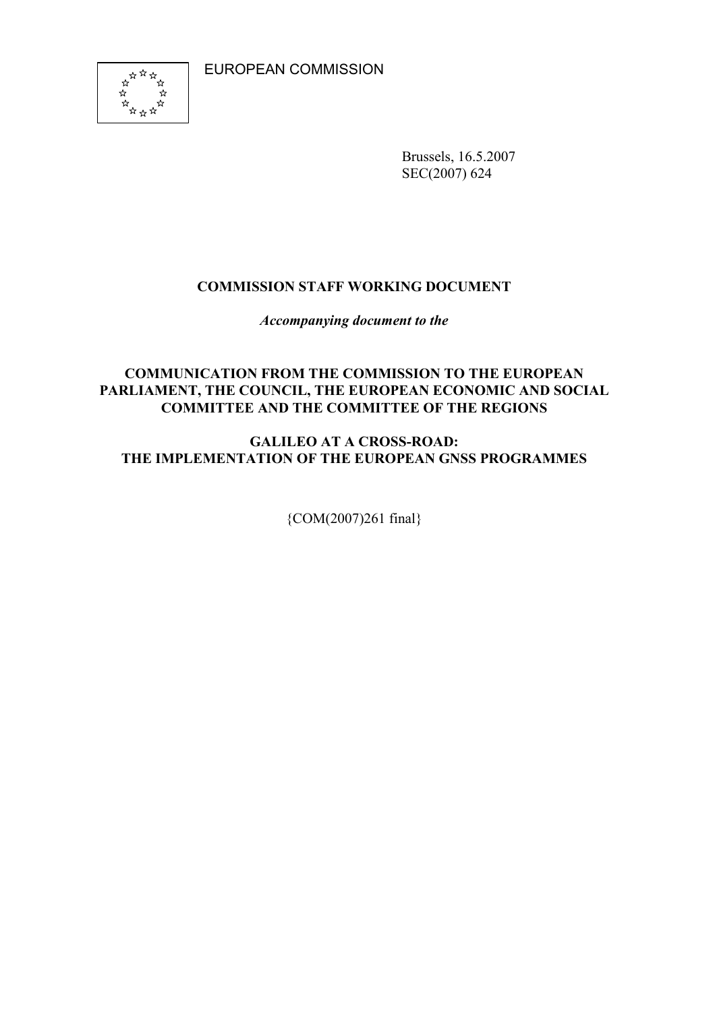EUROPEAN COMMISSION



Brussels, 16.5.2007 SEC(2007) 624

# COMMISSION STAFF WORKING DOCUMENT

Accompanying document to the

# COMMUNICATION FROM THE COMMISSION TO THE EUROPEAN PARLIAMENT, THE COUNCIL, THE EUROPEAN ECONOMIC AND SOCIAL COMMITTEE AND THE COMMITTEE OF THE REGIONS

# GALILEO AT A CROSS-ROAD: THE IMPLEMENTATION OF THE EUROPEAN GNSS PROGRAMMES

{COM(2007)261 final}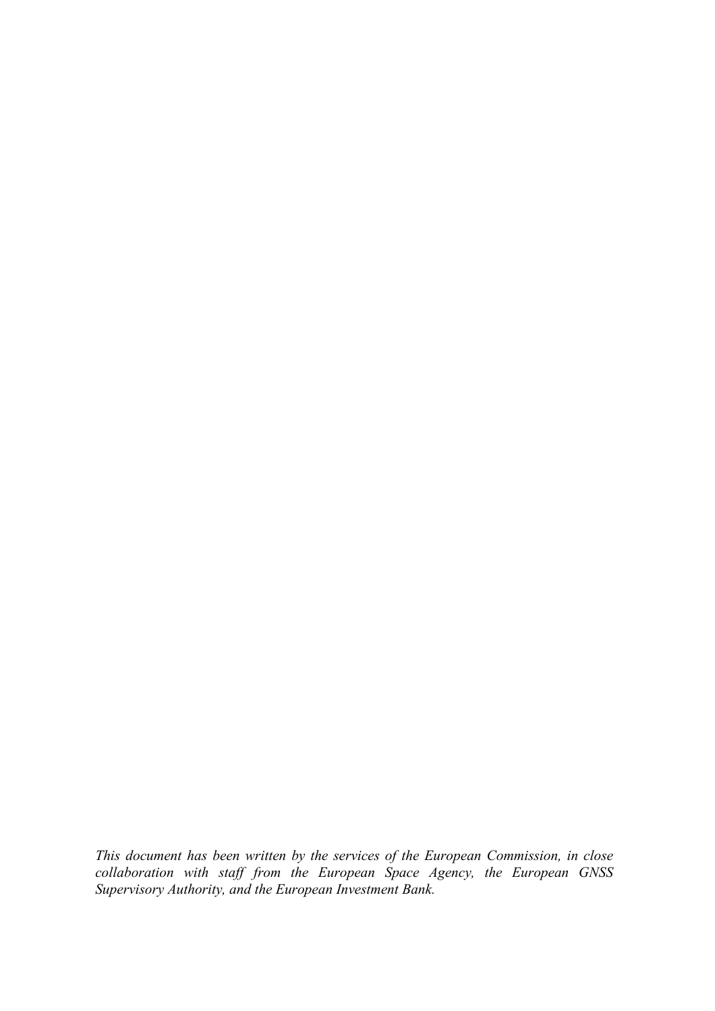This document has been written by the services of the European Commission, in close collaboration with staff from the European Space Agency, the European GNSS Supervisory Authority, and the European Investment Bank.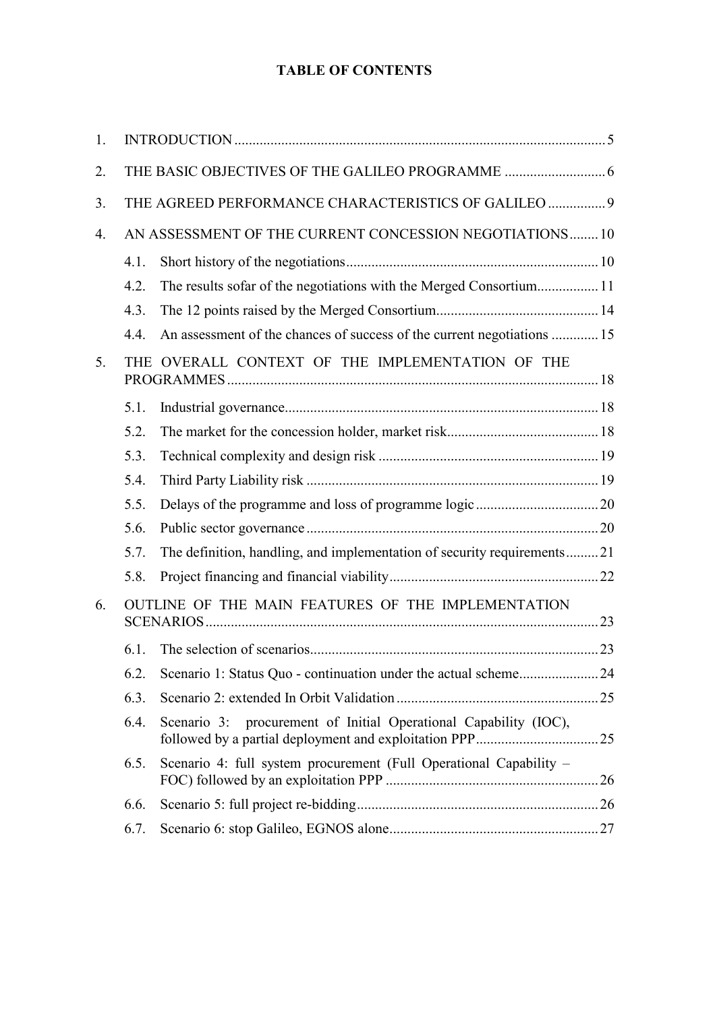# TABLE OF CONTENTS

| 1.             |      |                                                                         |  |
|----------------|------|-------------------------------------------------------------------------|--|
| 2.             |      |                                                                         |  |
| 3.             |      | THE AGREED PERFORMANCE CHARACTERISTICS OF GALILEO  9                    |  |
| 4.             |      | AN ASSESSMENT OF THE CURRENT CONCESSION NEGOTIATIONS 10                 |  |
|                | 4.1. |                                                                         |  |
|                | 4.2. | The results sofar of the negotiations with the Merged Consortium 11     |  |
|                | 4.3. |                                                                         |  |
|                | 4.4. | An assessment of the chances of success of the current negotiations  15 |  |
| 5 <sub>1</sub> |      | THE OVERALL CONTEXT OF THE IMPLEMENTATION OF THE                        |  |
|                | 5.1. |                                                                         |  |
|                | 5.2. |                                                                         |  |
|                | 5.3. |                                                                         |  |
|                | 5.4. |                                                                         |  |
|                | 5.5. |                                                                         |  |
|                | 5.6. |                                                                         |  |
|                | 5.7. | The definition, handling, and implementation of security requirements21 |  |
|                | 5.8. |                                                                         |  |
| 6.             |      | OUTLINE OF THE MAIN FEATURES OF THE IMPLEMENTATION                      |  |
|                | 6.1. |                                                                         |  |
|                | 6.2. |                                                                         |  |
|                | 6.3. |                                                                         |  |
|                | 6.4. | Scenario 3: procurement of Initial Operational Capability (IOC),        |  |
|                | 6.5. | Scenario 4: full system procurement (Full Operational Capability –      |  |
|                | 6.6. |                                                                         |  |
|                | 6.7. |                                                                         |  |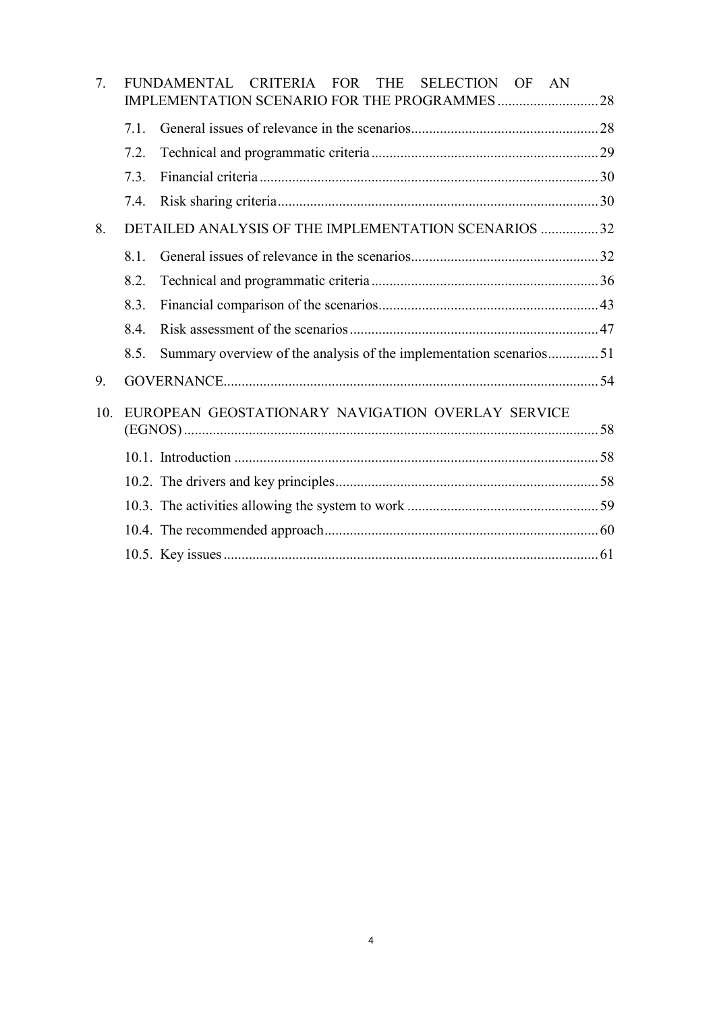| 7.  |      | FUNDAMENTAL CRITERIA FOR<br>THE SELECTION OF AN                    |  |
|-----|------|--------------------------------------------------------------------|--|
|     | 7.1. |                                                                    |  |
|     | 7.2. |                                                                    |  |
|     | 7.3  |                                                                    |  |
|     | 7.4. |                                                                    |  |
| 8.  |      | DETAILED ANALYSIS OF THE IMPLEMENTATION SCENARIOS 32               |  |
|     | 8.1. |                                                                    |  |
|     | 8.2. |                                                                    |  |
|     | 8.3. |                                                                    |  |
|     | 8.4. |                                                                    |  |
|     | 8.5. | Summary overview of the analysis of the implementation scenarios51 |  |
| 9.  |      |                                                                    |  |
| 10. |      | EUROPEAN GEOSTATIONARY NAVIGATION OVERLAY SERVICE                  |  |
|     |      |                                                                    |  |
|     |      |                                                                    |  |
|     |      |                                                                    |  |
|     |      |                                                                    |  |
|     |      |                                                                    |  |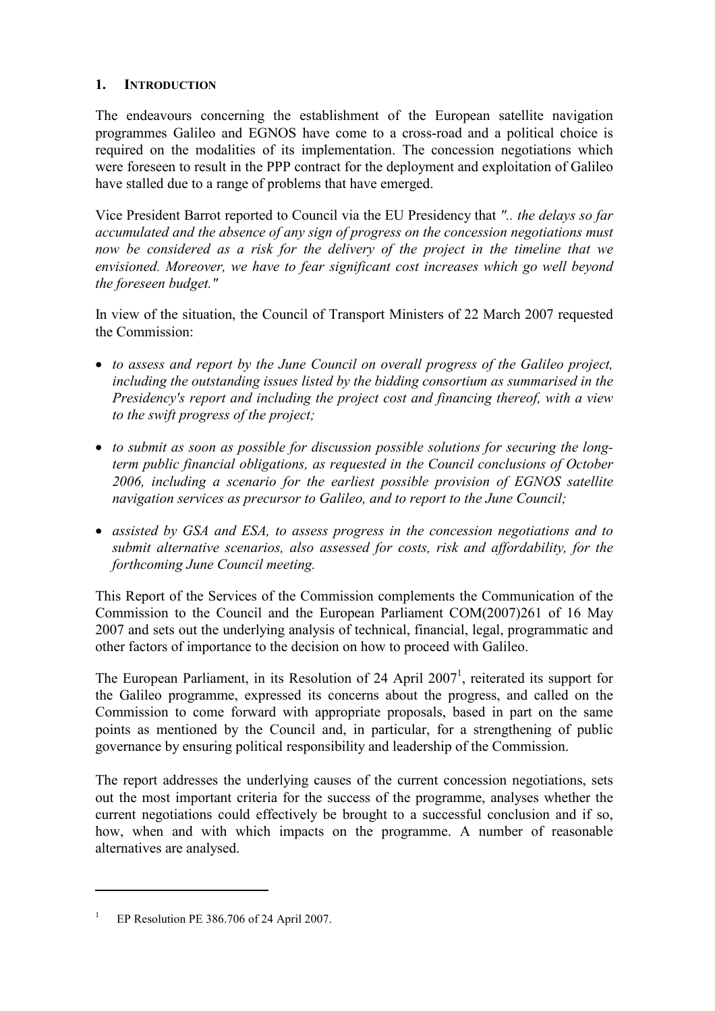# 1. INTRODUCTION

The endeavours concerning the establishment of the European satellite navigation programmes Galileo and EGNOS have come to a cross-road and a political choice is required on the modalities of its implementation. The concession negotiations which were foreseen to result in the PPP contract for the deployment and exploitation of Galileo have stalled due to a range of problems that have emerged.

Vice President Barrot reported to Council via the EU Presidency that ".. the delays so far accumulated and the absence of any sign of progress on the concession negotiations must now be considered as a risk for the delivery of the project in the timeline that we envisioned. Moreover, we have to fear significant cost increases which go well beyond the foreseen budget."

In view of the situation, the Council of Transport Ministers of 22 March 2007 requested the Commission:

- to assess and report by the June Council on overall progress of the Galileo project, including the outstanding issues listed by the bidding consortium as summarised in the Presidency's report and including the project cost and financing thereof, with a view to the swift progress of the project;
- to submit as soon as possible for discussion possible solutions for securing the longterm public financial obligations, as requested in the Council conclusions of October 2006, including a scenario for the earliest possible provision of EGNOS satellite navigation services as precursor to Galileo, and to report to the June Council;
- assisted by GSA and ESA, to assess progress in the concession negotiations and to submit alternative scenarios, also assessed for costs, risk and affordability, for the forthcoming June Council meeting.

This Report of the Services of the Commission complements the Communication of the Commission to the Council and the European Parliament COM(2007)261 of 16 May 2007 and sets out the underlying analysis of technical, financial, legal, programmatic and other factors of importance to the decision on how to proceed with Galileo.

The European Parliament, in its Resolution of 24 April 2007<sup>1</sup>, reiterated its support for the Galileo programme, expressed its concerns about the progress, and called on the Commission to come forward with appropriate proposals, based in part on the same points as mentioned by the Council and, in particular, for a strengthening of public governance by ensuring political responsibility and leadership of the Commission.

The report addresses the underlying causes of the current concession negotiations, sets out the most important criteria for the success of the programme, analyses whether the current negotiations could effectively be brought to a successful conclusion and if so, how, when and with which impacts on the programme. A number of reasonable alternatives are analysed.

<sup>1</sup>EP Resolution PE 386.706 of 24 April 2007.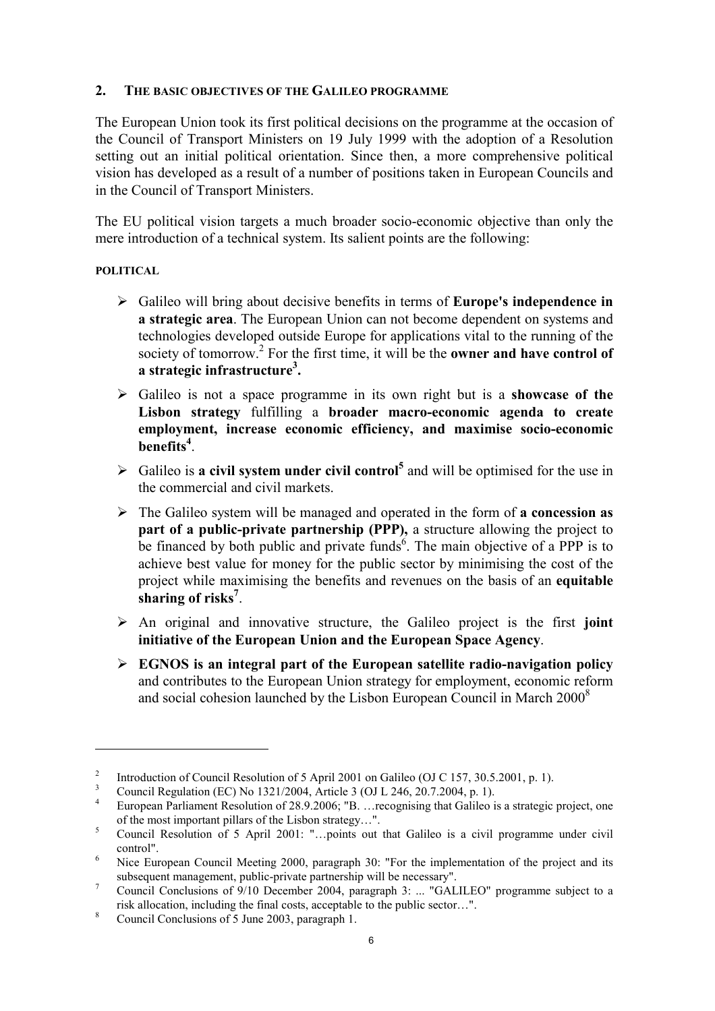## 2. THE BASIC OBJECTIVES OF THE GALILEO PROGRAMME

The European Union took its first political decisions on the programme at the occasion of the Council of Transport Ministers on 19 July 1999 with the adoption of a Resolution setting out an initial political orientation. Since then, a more comprehensive political vision has developed as a result of a number of positions taken in European Councils and in the Council of Transport Ministers.

The EU political vision targets a much broader socio-economic objective than only the mere introduction of a technical system. Its salient points are the following:

## POLITICAL

- $\triangleright$  Galileo will bring about decisive benefits in terms of **Europe's independence in** a strategic area. The European Union can not become dependent on systems and technologies developed outside Europe for applications vital to the running of the society of tomorrow.<sup>2</sup> For the first time, it will be the **owner and have control of** a strategic infrastructure<sup>3</sup>.
- $\triangleright$  Galileo is not a space programme in its own right but is a showcase of the Lisbon strategy fulfilling a broader macro-economic agenda to create employment, increase economic efficiency, and maximise socio-economic benefits<sup>4</sup>.
- $\triangleright$  Galileo is a civil system under civil control<sup>5</sup> and will be optimised for the use in the commercial and civil markets.
- $\triangleright$  The Galileo system will be managed and operated in the form of a concession as part of a public-private partnership (PPP), a structure allowing the project to be financed by both public and private funds<sup>6</sup>. The main objective of a PPP is to achieve best value for money for the public sector by minimising the cost of the project while maximising the benefits and revenues on the basis of an equitable sharing of risks<sup>7</sup>.
- $\triangleright$  An original and innovative structure, the Galileo project is the first joint initiative of the European Union and the European Space Agency.
- $\triangleright$  EGNOS is an integral part of the European satellite radio-navigation policy and contributes to the European Union strategy for employment, economic reform and social cohesion launched by the Lisbon European Council in March 2000<sup>8</sup>

<sup>&</sup>lt;sup>2</sup> Introduction of Council Resolution of 5 April 2001 on Galileo (OJ C 157, 30.5.2001, p. 1).

<sup>3</sup> Council Regulation (EC) No 1321/2004, Article 3 (OJ L 246, 20.7.2004, p. 1).

<sup>4</sup> European Parliament Resolution of 28.9.2006; "B. …recognising that Galileo is a strategic project, one of the most important pillars of the Lisbon strategy…".

<sup>5</sup> Council Resolution of 5 April 2001: "…points out that Galileo is a civil programme under civil control".

<sup>6</sup> Nice European Council Meeting 2000, paragraph 30: "For the implementation of the project and its subsequent management, public-private partnership will be necessary".

<sup>7</sup> Council Conclusions of 9/10 December 2004, paragraph 3: ... "GALILEO" programme subject to a risk allocation, including the final costs, acceptable to the public sector…".

<sup>&</sup>lt;sup>8</sup> Council Conclusions of 5 June 2003, paragraph 1.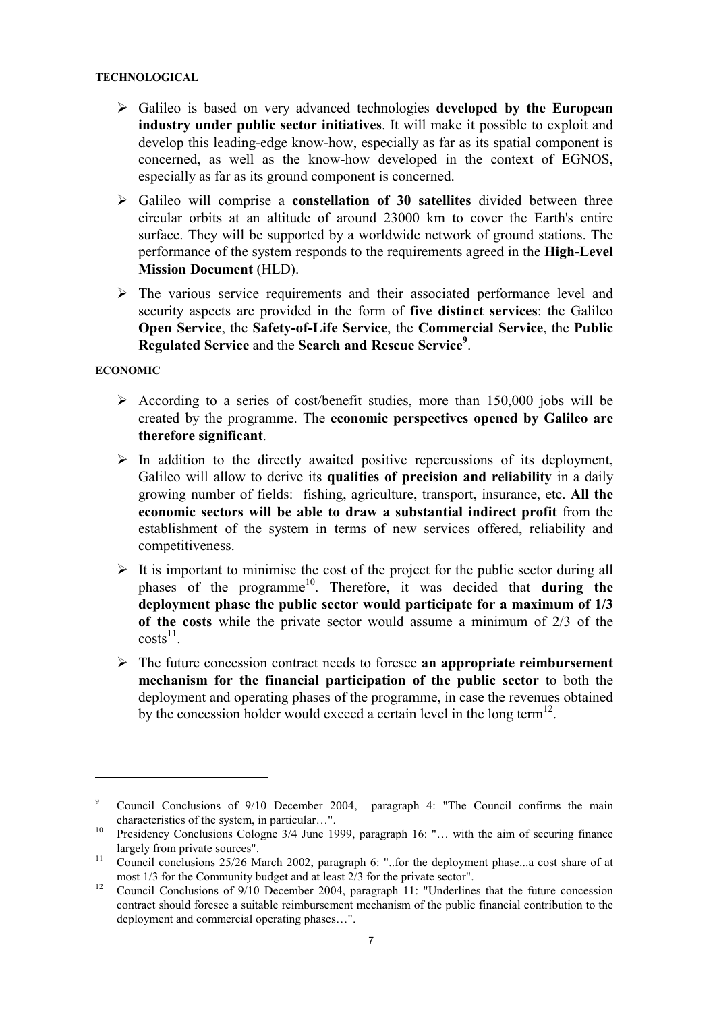#### TECHNOLOGICAL

- $\triangleright$  Galileo is based on very advanced technologies developed by the European industry under public sector initiatives. It will make it possible to exploit and develop this leading-edge know-how, especially as far as its spatial component is concerned, as well as the know-how developed in the context of EGNOS, especially as far as its ground component is concerned.
- $\triangleright$  Galileo will comprise a constellation of 30 satellites divided between three circular orbits at an altitude of around 23000 km to cover the Earth's entire surface. They will be supported by a worldwide network of ground stations. The performance of the system responds to the requirements agreed in the High-Level Mission Document (HLD).
- $\triangleright$  The various service requirements and their associated performance level and security aspects are provided in the form of five distinct services: the Galileo Open Service, the Safety-of-Life Service, the Commercial Service, the Public Regulated Service and the Search and Rescue Service<sup>9</sup>.

### ECONOMIC

- $\triangleright$  According to a series of cost/benefit studies, more than 150,000 jobs will be created by the programme. The economic perspectives opened by Galileo are therefore significant.
- $\triangleright$  In addition to the directly awaited positive repercussions of its deployment, Galileo will allow to derive its qualities of precision and reliability in a daily growing number of fields: fishing, agriculture, transport, insurance, etc. All the economic sectors will be able to draw a substantial indirect profit from the establishment of the system in terms of new services offered, reliability and competitiveness.
- $\triangleright$  It is important to minimise the cost of the project for the public sector during all phases of the programme<sup>10</sup>. Therefore, it was decided that **during** the deployment phase the public sector would participate for a maximum of 1/3 of the costs while the private sector would assume a minimum of 2/3 of the  $costs^{11}$ .
- $\triangleright$  The future concession contract needs to foresee an appropriate reimbursement mechanism for the financial participation of the public sector to both the deployment and operating phases of the programme, in case the revenues obtained by the concession holder would exceed a certain level in the long term<sup>12</sup>.

<sup>9</sup> Council Conclusions of 9/10 December 2004, paragraph 4: "The Council confirms the main characteristics of the system, in particular…".

<sup>&</sup>lt;sup>10</sup> Presidency Conclusions Cologne 3/4 June 1999, paragraph 16: "... with the aim of securing finance largely from private sources".

<sup>&</sup>lt;sup>11</sup> Council conclusions 25/26 March 2002, paragraph 6: "..for the deployment phase...a cost share of at most 1/3 for the Community budget and at least 2/3 for the private sector".

<sup>&</sup>lt;sup>12</sup> Council Conclusions of 9/10 December 2004, paragraph 11: "Underlines that the future concession contract should foresee a suitable reimbursement mechanism of the public financial contribution to the deployment and commercial operating phases…".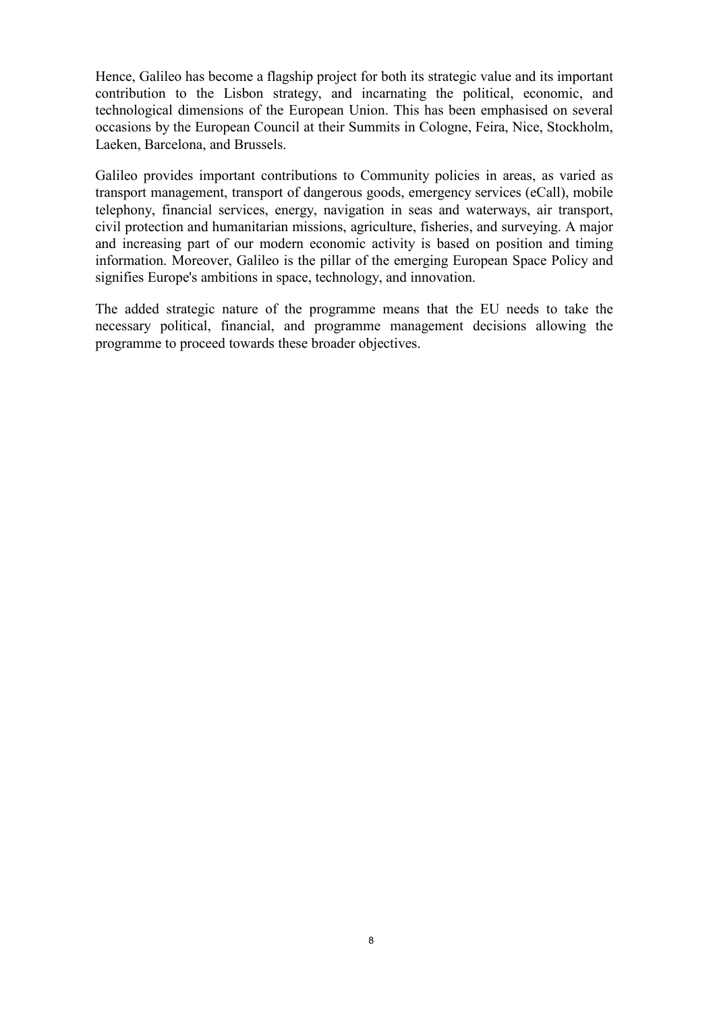Hence, Galileo has become a flagship project for both its strategic value and its important contribution to the Lisbon strategy, and incarnating the political, economic, and technological dimensions of the European Union. This has been emphasised on several occasions by the European Council at their Summits in Cologne, Feira, Nice, Stockholm, Laeken, Barcelona, and Brussels.

Galileo provides important contributions to Community policies in areas, as varied as transport management, transport of dangerous goods, emergency services (eCall), mobile telephony, financial services, energy, navigation in seas and waterways, air transport, civil protection and humanitarian missions, agriculture, fisheries, and surveying. A major and increasing part of our modern economic activity is based on position and timing information. Moreover, Galileo is the pillar of the emerging European Space Policy and signifies Europe's ambitions in space, technology, and innovation.

The added strategic nature of the programme means that the EU needs to take the necessary political, financial, and programme management decisions allowing the programme to proceed towards these broader objectives.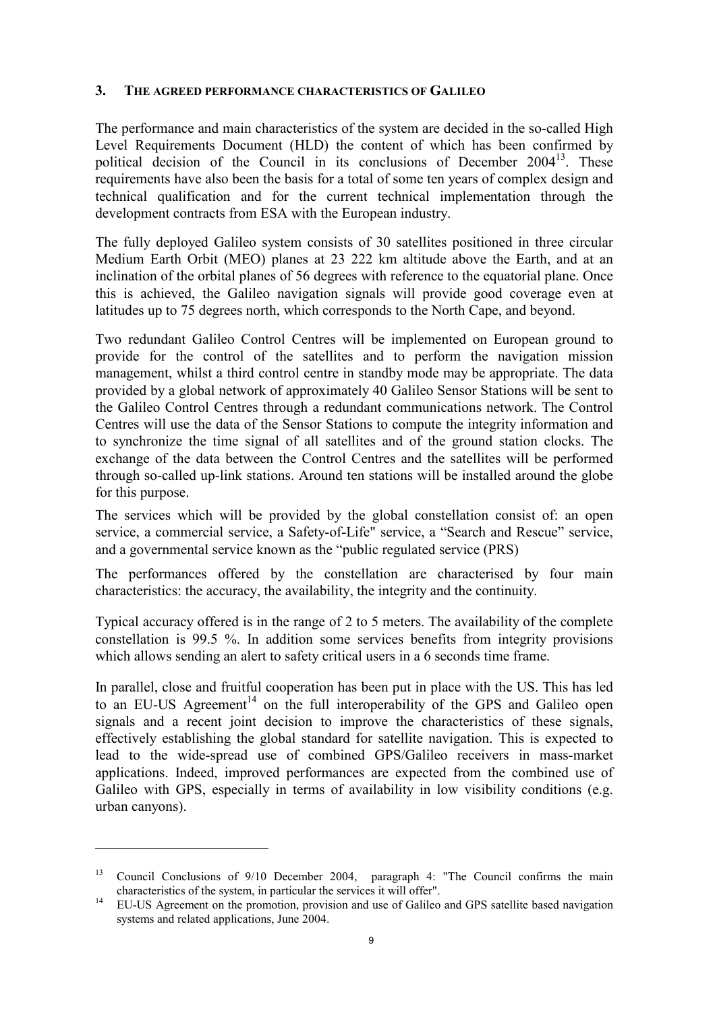## 3. THE AGREED PERFORMANCE CHARACTERISTICS OF GALILEO

The performance and main characteristics of the system are decided in the so-called High Level Requirements Document (HLD) the content of which has been confirmed by political decision of the Council in its conclusions of December  $2004<sup>13</sup>$ . These requirements have also been the basis for a total of some ten years of complex design and technical qualification and for the current technical implementation through the development contracts from ESA with the European industry.

The fully deployed Galileo system consists of 30 satellites positioned in three circular Medium Earth Orbit (MEO) planes at 23 222 km altitude above the Earth, and at an inclination of the orbital planes of 56 degrees with reference to the equatorial plane. Once this is achieved, the Galileo navigation signals will provide good coverage even at latitudes up to 75 degrees north, which corresponds to the North Cape, and beyond.

Two redundant Galileo Control Centres will be implemented on European ground to provide for the control of the satellites and to perform the navigation mission management, whilst a third control centre in standby mode may be appropriate. The data provided by a global network of approximately 40 Galileo Sensor Stations will be sent to the Galileo Control Centres through a redundant communications network. The Control Centres will use the data of the Sensor Stations to compute the integrity information and to synchronize the time signal of all satellites and of the ground station clocks. The exchange of the data between the Control Centres and the satellites will be performed through so-called up-link stations. Around ten stations will be installed around the globe for this purpose.

The services which will be provided by the global constellation consist of: an open service, a commercial service, a Safety-of-Life" service, a "Search and Rescue" service, and a governmental service known as the "public regulated service (PRS)

The performances offered by the constellation are characterised by four main characteristics: the accuracy, the availability, the integrity and the continuity.

Typical accuracy offered is in the range of 2 to 5 meters. The availability of the complete constellation is 99.5 %. In addition some services benefits from integrity provisions which allows sending an alert to safety critical users in a 6 seconds time frame.

In parallel, close and fruitful cooperation has been put in place with the US. This has led to an EU-US Agreement<sup>14</sup> on the full interoperability of the GPS and Galileo open signals and a recent joint decision to improve the characteristics of these signals, effectively establishing the global standard for satellite navigation. This is expected to lead to the wide-spread use of combined GPS/Galileo receivers in mass-market applications. Indeed, improved performances are expected from the combined use of Galileo with GPS, especially in terms of availability in low visibility conditions (e.g. urban canyons).

<sup>13</sup>Council Conclusions of 9/10 December 2004, paragraph 4: "The Council confirms the main characteristics of the system, in particular the services it will offer".

<sup>&</sup>lt;sup>14</sup> EU-US Agreement on the promotion, provision and use of Galileo and GPS satellite based navigation systems and related applications, June 2004.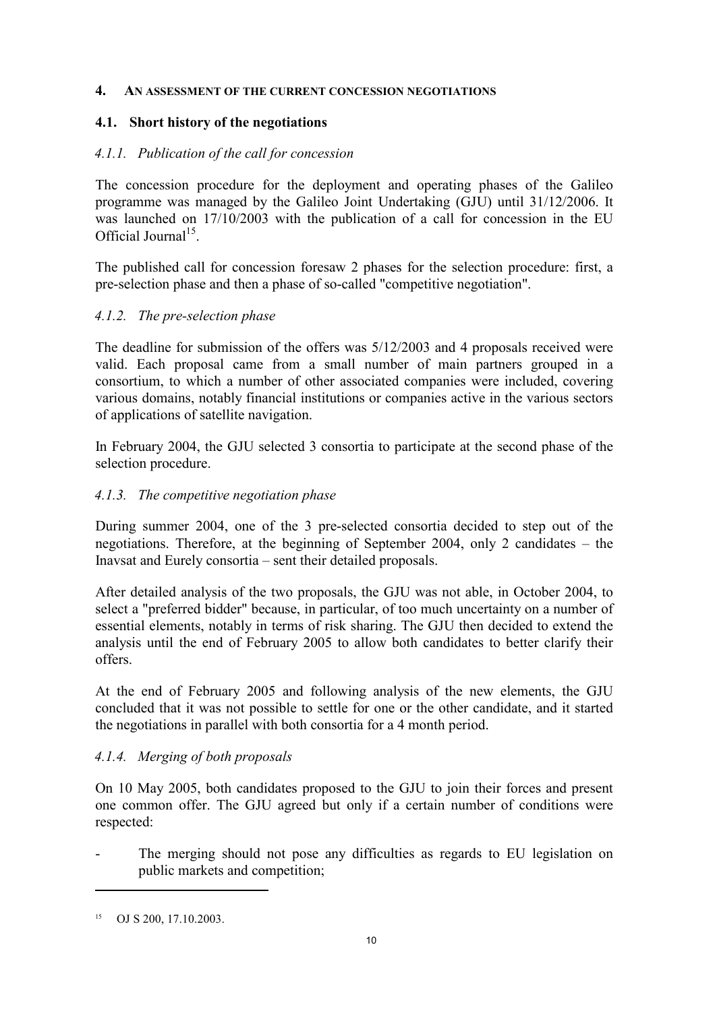#### 4. AN ASSESSMENT OF THE CURRENT CONCESSION NEGOTIATIONS

## 4.1. Short history of the negotiations

## 4.1.1. Publication of the call for concession

The concession procedure for the deployment and operating phases of the Galileo programme was managed by the Galileo Joint Undertaking (GJU) until 31/12/2006. It was launched on 17/10/2003 with the publication of a call for concession in the EU Official Journal<sup>15</sup>.

The published call for concession foresaw 2 phases for the selection procedure: first, a pre-selection phase and then a phase of so-called "competitive negotiation".

# 4.1.2. The pre-selection phase

The deadline for submission of the offers was 5/12/2003 and 4 proposals received were valid. Each proposal came from a small number of main partners grouped in a consortium, to which a number of other associated companies were included, covering various domains, notably financial institutions or companies active in the various sectors of applications of satellite navigation.

In February 2004, the GJU selected 3 consortia to participate at the second phase of the selection procedure.

## 4.1.3. The competitive negotiation phase

During summer 2004, one of the 3 pre-selected consortia decided to step out of the negotiations. Therefore, at the beginning of September 2004, only 2 candidates – the Inavsat and Eurely consortia – sent their detailed proposals.

After detailed analysis of the two proposals, the GJU was not able, in October 2004, to select a "preferred bidder" because, in particular, of too much uncertainty on a number of essential elements, notably in terms of risk sharing. The GJU then decided to extend the analysis until the end of February 2005 to allow both candidates to better clarify their offers.

At the end of February 2005 and following analysis of the new elements, the GJU concluded that it was not possible to settle for one or the other candidate, and it started the negotiations in parallel with both consortia for a 4 month period.

# 4.1.4. Merging of both proposals

On 10 May 2005, both candidates proposed to the GJU to join their forces and present one common offer. The GJU agreed but only if a certain number of conditions were respected:

The merging should not pose any difficulties as regards to EU legislation on public markets and competition;

<sup>15</sup> OJ S 200, 17.10.2003.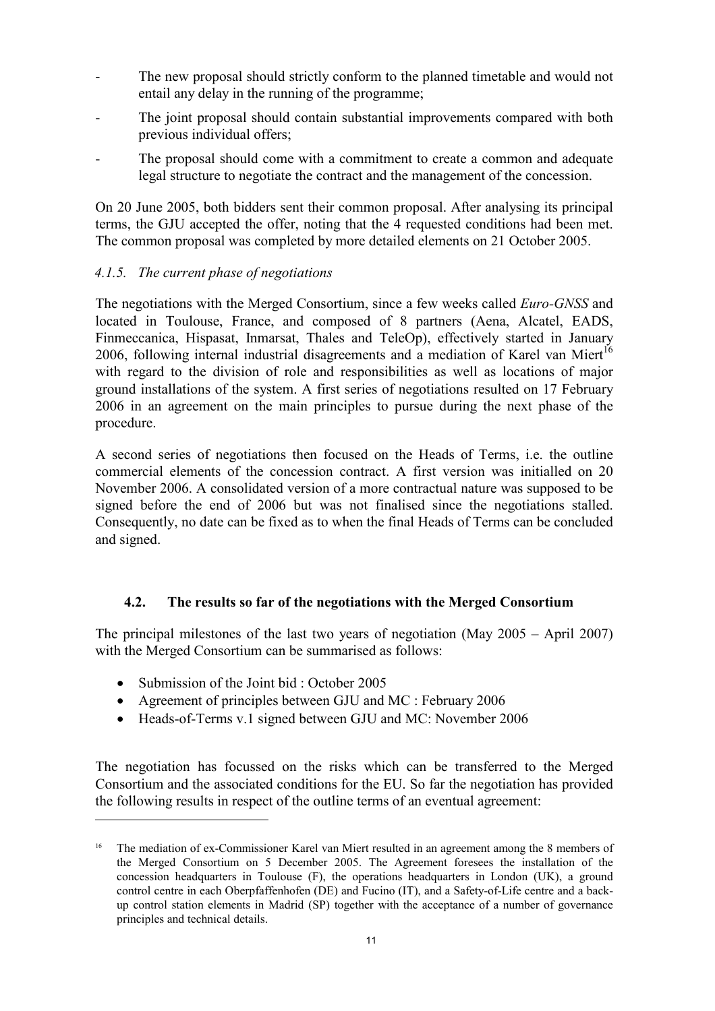- The new proposal should strictly conform to the planned timetable and would not entail any delay in the running of the programme;
- The joint proposal should contain substantial improvements compared with both previous individual offers;
- The proposal should come with a commitment to create a common and adequate legal structure to negotiate the contract and the management of the concession.

On 20 June 2005, both bidders sent their common proposal. After analysing its principal terms, the GJU accepted the offer, noting that the 4 requested conditions had been met. The common proposal was completed by more detailed elements on 21 October 2005.

# 4.1.5. The current phase of negotiations

The negotiations with the Merged Consortium, since a few weeks called Euro-GNSS and located in Toulouse, France, and composed of 8 partners (Aena, Alcatel, EADS, Finmeccanica, Hispasat, Inmarsat, Thales and TeleOp), effectively started in January 2006, following internal industrial disagreements and a mediation of Karel van Miert<sup>16</sup> with regard to the division of role and responsibilities as well as locations of major ground installations of the system. A first series of negotiations resulted on 17 February 2006 in an agreement on the main principles to pursue during the next phase of the procedure.

A second series of negotiations then focused on the Heads of Terms, i.e. the outline commercial elements of the concession contract. A first version was initialled on 20 November 2006. A consolidated version of a more contractual nature was supposed to be signed before the end of 2006 but was not finalised since the negotiations stalled. Consequently, no date can be fixed as to when the final Heads of Terms can be concluded and signed.

# 4.2. The results so far of the negotiations with the Merged Consortium

The principal milestones of the last two years of negotiation (May 2005 – April 2007) with the Merged Consortium can be summarised as follows:

• Submission of the Joint bid : October 2005

 $\overline{a}$ 

- Agreement of principles between GJU and MC : February 2006
- Heads-of-Terms v.1 signed between GJU and MC: November 2006

The negotiation has focussed on the risks which can be transferred to the Merged Consortium and the associated conditions for the EU. So far the negotiation has provided the following results in respect of the outline terms of an eventual agreement:

<sup>16</sup>The mediation of ex-Commissioner Karel van Miert resulted in an agreement among the 8 members of the Merged Consortium on 5 December 2005. The Agreement foresees the installation of the concession headquarters in Toulouse (F), the operations headquarters in London (UK), a ground control centre in each Oberpfaffenhofen (DE) and Fucino (IT), and a Safety-of-Life centre and a backup control station elements in Madrid (SP) together with the acceptance of a number of governance principles and technical details.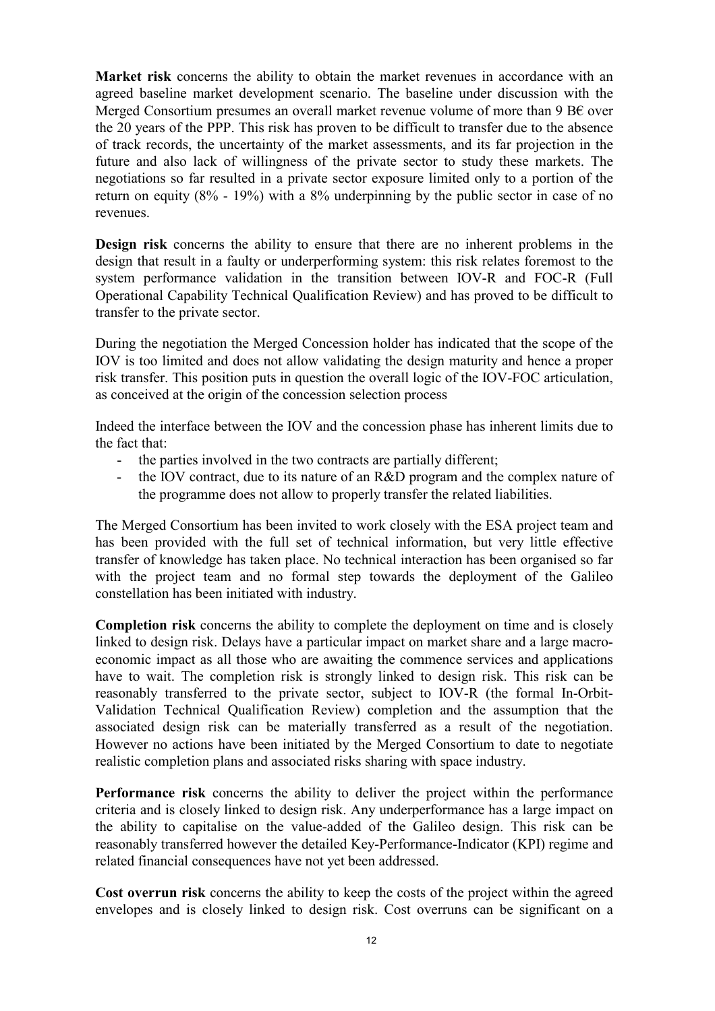Market risk concerns the ability to obtain the market revenues in accordance with an agreed baseline market development scenario. The baseline under discussion with the Merged Consortium presumes an overall market revenue volume of more than 9 B $\epsilon$  over the 20 years of the PPP. This risk has proven to be difficult to transfer due to the absence of track records, the uncertainty of the market assessments, and its far projection in the future and also lack of willingness of the private sector to study these markets. The negotiations so far resulted in a private sector exposure limited only to a portion of the return on equity (8% - 19%) with a 8% underpinning by the public sector in case of no revenues.

Design risk concerns the ability to ensure that there are no inherent problems in the design that result in a faulty or underperforming system: this risk relates foremost to the system performance validation in the transition between IOV-R and FOC-R (Full Operational Capability Technical Qualification Review) and has proved to be difficult to transfer to the private sector.

During the negotiation the Merged Concession holder has indicated that the scope of the IOV is too limited and does not allow validating the design maturity and hence a proper risk transfer. This position puts in question the overall logic of the IOV-FOC articulation, as conceived at the origin of the concession selection process

Indeed the interface between the IOV and the concession phase has inherent limits due to the fact that:

- the parties involved in the two contracts are partially different;
- the IOV contract, due to its nature of an R&D program and the complex nature of the programme does not allow to properly transfer the related liabilities.

The Merged Consortium has been invited to work closely with the ESA project team and has been provided with the full set of technical information, but very little effective transfer of knowledge has taken place. No technical interaction has been organised so far with the project team and no formal step towards the deployment of the Galileo constellation has been initiated with industry.

Completion risk concerns the ability to complete the deployment on time and is closely linked to design risk. Delays have a particular impact on market share and a large macroeconomic impact as all those who are awaiting the commence services and applications have to wait. The completion risk is strongly linked to design risk. This risk can be reasonably transferred to the private sector, subject to IOV-R (the formal In-Orbit-Validation Technical Qualification Review) completion and the assumption that the associated design risk can be materially transferred as a result of the negotiation. However no actions have been initiated by the Merged Consortium to date to negotiate realistic completion plans and associated risks sharing with space industry.

Performance risk concerns the ability to deliver the project within the performance criteria and is closely linked to design risk. Any underperformance has a large impact on the ability to capitalise on the value-added of the Galileo design. This risk can be reasonably transferred however the detailed Key-Performance-Indicator (KPI) regime and related financial consequences have not yet been addressed.

Cost overrun risk concerns the ability to keep the costs of the project within the agreed envelopes and is closely linked to design risk. Cost overruns can be significant on a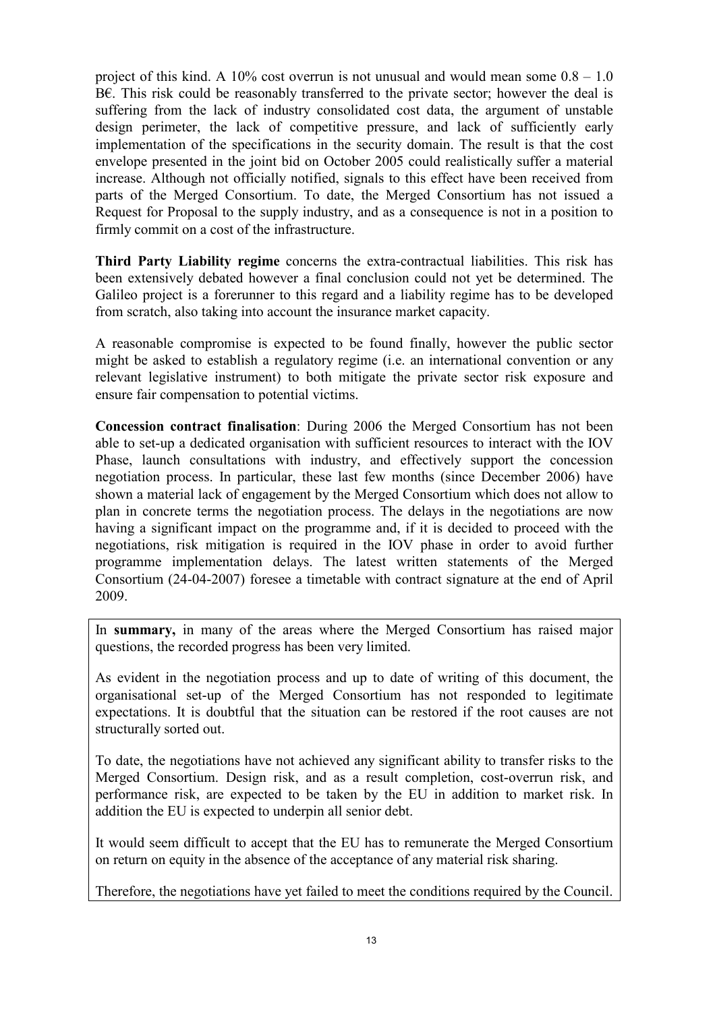project of this kind. A 10% cost overrun is not unusual and would mean some  $0.8 - 1.0$ B€. This risk could be reasonably transferred to the private sector; however the deal is suffering from the lack of industry consolidated cost data, the argument of unstable design perimeter, the lack of competitive pressure, and lack of sufficiently early implementation of the specifications in the security domain. The result is that the cost envelope presented in the joint bid on October 2005 could realistically suffer a material increase. Although not officially notified, signals to this effect have been received from parts of the Merged Consortium. To date, the Merged Consortium has not issued a Request for Proposal to the supply industry, and as a consequence is not in a position to firmly commit on a cost of the infrastructure.

Third Party Liability regime concerns the extra-contractual liabilities. This risk has been extensively debated however a final conclusion could not yet be determined. The Galileo project is a forerunner to this regard and a liability regime has to be developed from scratch, also taking into account the insurance market capacity.

A reasonable compromise is expected to be found finally, however the public sector might be asked to establish a regulatory regime (i.e. an international convention or any relevant legislative instrument) to both mitigate the private sector risk exposure and ensure fair compensation to potential victims.

Concession contract finalisation: During 2006 the Merged Consortium has not been able to set-up a dedicated organisation with sufficient resources to interact with the IOV Phase, launch consultations with industry, and effectively support the concession negotiation process. In particular, these last few months (since December 2006) have shown a material lack of engagement by the Merged Consortium which does not allow to plan in concrete terms the negotiation process. The delays in the negotiations are now having a significant impact on the programme and, if it is decided to proceed with the negotiations, risk mitigation is required in the IOV phase in order to avoid further programme implementation delays. The latest written statements of the Merged Consortium (24-04-2007) foresee a timetable with contract signature at the end of April 2009.

In summary, in many of the areas where the Merged Consortium has raised major questions, the recorded progress has been very limited.

As evident in the negotiation process and up to date of writing of this document, the organisational set-up of the Merged Consortium has not responded to legitimate expectations. It is doubtful that the situation can be restored if the root causes are not structurally sorted out.

To date, the negotiations have not achieved any significant ability to transfer risks to the Merged Consortium. Design risk, and as a result completion, cost-overrun risk, and performance risk, are expected to be taken by the EU in addition to market risk. In addition the EU is expected to underpin all senior debt.

It would seem difficult to accept that the EU has to remunerate the Merged Consortium on return on equity in the absence of the acceptance of any material risk sharing.

Therefore, the negotiations have yet failed to meet the conditions required by the Council.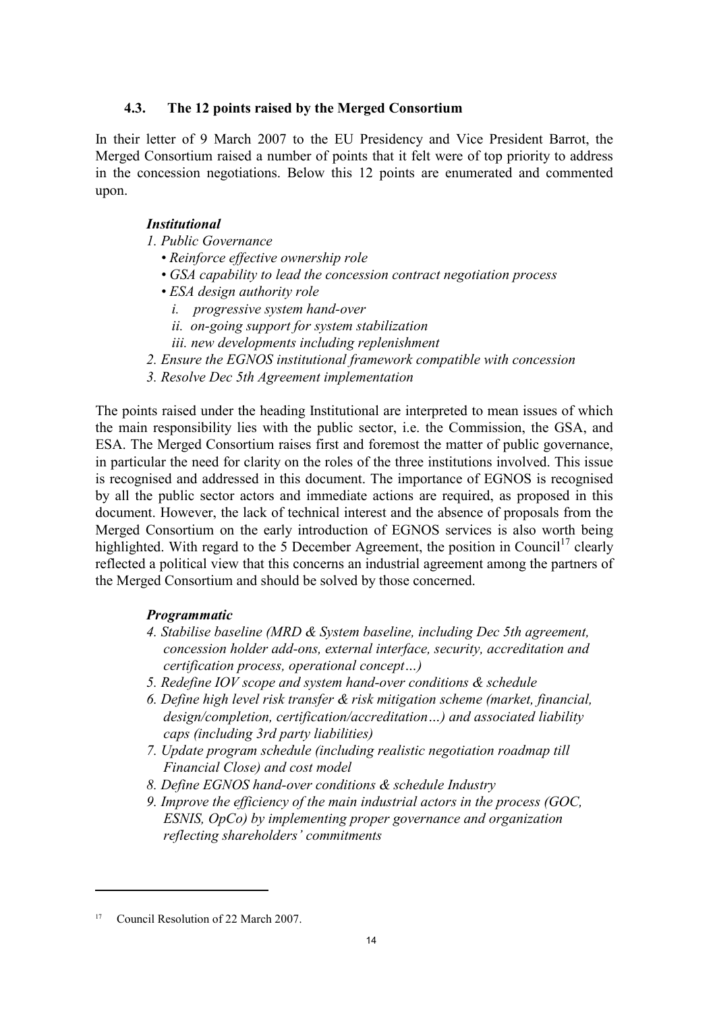## 4.3. The 12 points raised by the Merged Consortium

In their letter of 9 March 2007 to the EU Presidency and Vice President Barrot, the Merged Consortium raised a number of points that it felt were of top priority to address in the concession negotiations. Below this 12 points are enumerated and commented upon.

# **Institutional**

- 1. Public Governance
	- Reinforce effective ownership role
	- GSA capability to lead the concession contract negotiation process
	- ESA design authority role
		- i. progressive system hand-over
		- ii. on-going support for system stabilization
		- iii. new developments including replenishment
- 2. Ensure the EGNOS institutional framework compatible with concession
- 3. Resolve Dec 5th Agreement implementation

The points raised under the heading Institutional are interpreted to mean issues of which the main responsibility lies with the public sector, i.e. the Commission, the GSA, and ESA. The Merged Consortium raises first and foremost the matter of public governance, in particular the need for clarity on the roles of the three institutions involved. This issue is recognised and addressed in this document. The importance of EGNOS is recognised by all the public sector actors and immediate actions are required, as proposed in this document. However, the lack of technical interest and the absence of proposals from the Merged Consortium on the early introduction of EGNOS services is also worth being highlighted. With regard to the 5 December Agreement, the position in Council<sup>17</sup> clearly reflected a political view that this concerns an industrial agreement among the partners of the Merged Consortium and should be solved by those concerned.

### Programmatic

- 4. Stabilise baseline (MRD & System baseline, including Dec 5th agreement, concession holder add-ons, external interface, security, accreditation and certification process, operational concept…)
- 5. Redefine IOV scope and system hand-over conditions & schedule
- 6. Define high level risk transfer & risk mitigation scheme (market, financial, design/completion, certification/accreditation…) and associated liability caps (including 3rd party liabilities)
- 7. Update program schedule (including realistic negotiation roadmap till Financial Close) and cost model
- 8. Define EGNOS hand-over conditions & schedule Industry
- 9. Improve the efficiency of the main industrial actors in the process (GOC, ESNIS, OpCo) by implementing proper governance and organization reflecting shareholders' commitments

<sup>17</sup> Council Resolution of 22 March 2007.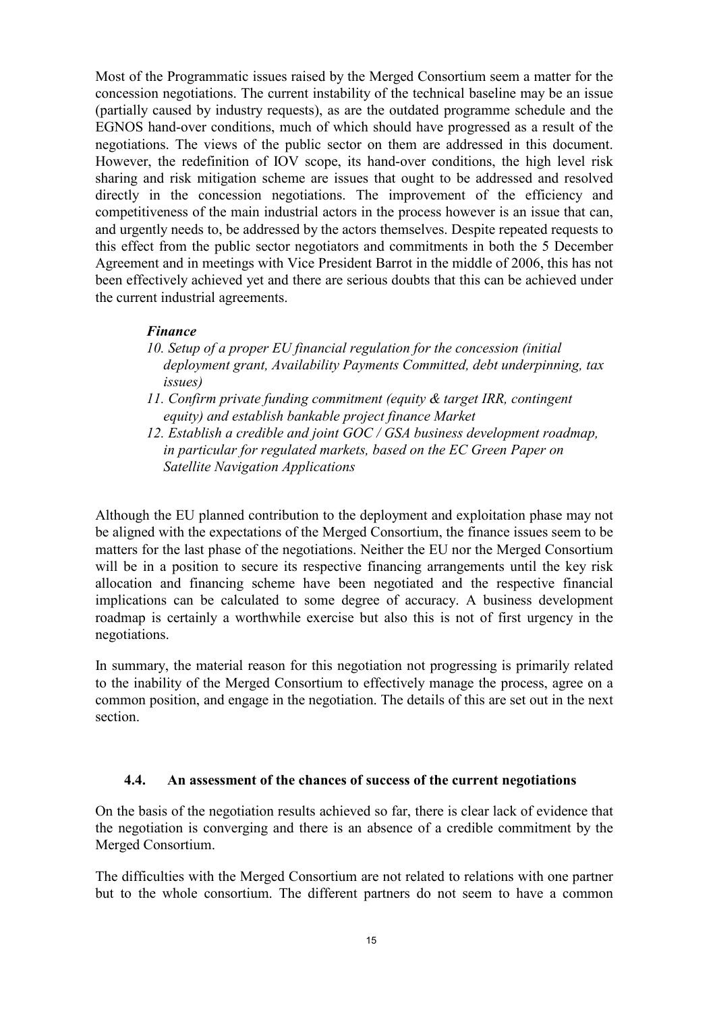Most of the Programmatic issues raised by the Merged Consortium seem a matter for the concession negotiations. The current instability of the technical baseline may be an issue (partially caused by industry requests), as are the outdated programme schedule and the EGNOS hand-over conditions, much of which should have progressed as a result of the negotiations. The views of the public sector on them are addressed in this document. However, the redefinition of IOV scope, its hand-over conditions, the high level risk sharing and risk mitigation scheme are issues that ought to be addressed and resolved directly in the concession negotiations. The improvement of the efficiency and competitiveness of the main industrial actors in the process however is an issue that can, and urgently needs to, be addressed by the actors themselves. Despite repeated requests to this effect from the public sector negotiators and commitments in both the 5 December Agreement and in meetings with Vice President Barrot in the middle of 2006, this has not been effectively achieved yet and there are serious doubts that this can be achieved under the current industrial agreements.

## Finance

- 10. Setup of a proper EU financial regulation for the concession (initial deployment grant, Availability Payments Committed, debt underpinning, tax issues)
- 11. Confirm private funding commitment (equity & target IRR, contingent equity) and establish bankable project finance Market
- 12. Establish a credible and joint GOC / GSA business development roadmap, in particular for regulated markets, based on the EC Green Paper on Satellite Navigation Applications

Although the EU planned contribution to the deployment and exploitation phase may not be aligned with the expectations of the Merged Consortium, the finance issues seem to be matters for the last phase of the negotiations. Neither the EU nor the Merged Consortium will be in a position to secure its respective financing arrangements until the key risk allocation and financing scheme have been negotiated and the respective financial implications can be calculated to some degree of accuracy. A business development roadmap is certainly a worthwhile exercise but also this is not of first urgency in the negotiations.

In summary, the material reason for this negotiation not progressing is primarily related to the inability of the Merged Consortium to effectively manage the process, agree on a common position, and engage in the negotiation. The details of this are set out in the next section.

### 4.4. An assessment of the chances of success of the current negotiations

On the basis of the negotiation results achieved so far, there is clear lack of evidence that the negotiation is converging and there is an absence of a credible commitment by the Merged Consortium.

The difficulties with the Merged Consortium are not related to relations with one partner but to the whole consortium. The different partners do not seem to have a common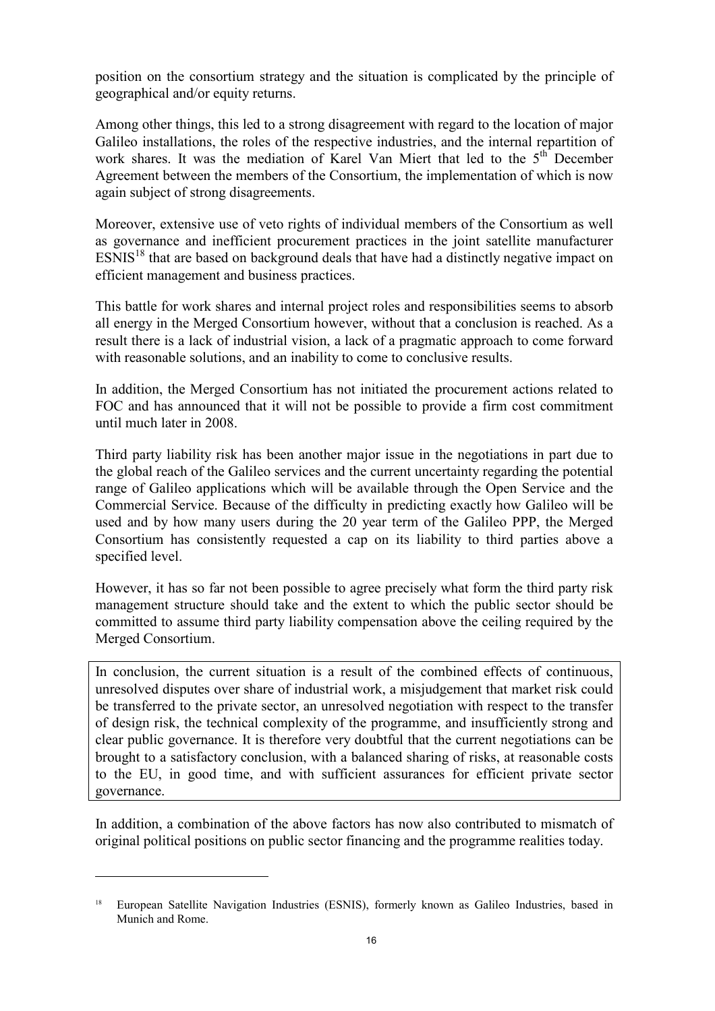position on the consortium strategy and the situation is complicated by the principle of geographical and/or equity returns.

Among other things, this led to a strong disagreement with regard to the location of major Galileo installations, the roles of the respective industries, and the internal repartition of work shares. It was the mediation of Karel Van Miert that led to the  $5<sup>th</sup>$  December Agreement between the members of the Consortium, the implementation of which is now again subject of strong disagreements.

Moreover, extensive use of veto rights of individual members of the Consortium as well as governance and inefficient procurement practices in the joint satellite manufacturer  $ESNIS<sup>18</sup>$  that are based on background deals that have had a distinctly negative impact on efficient management and business practices.

This battle for work shares and internal project roles and responsibilities seems to absorb all energy in the Merged Consortium however, without that a conclusion is reached. As a result there is a lack of industrial vision, a lack of a pragmatic approach to come forward with reasonable solutions, and an inability to come to conclusive results.

In addition, the Merged Consortium has not initiated the procurement actions related to FOC and has announced that it will not be possible to provide a firm cost commitment until much later in 2008.

Third party liability risk has been another major issue in the negotiations in part due to the global reach of the Galileo services and the current uncertainty regarding the potential range of Galileo applications which will be available through the Open Service and the Commercial Service. Because of the difficulty in predicting exactly how Galileo will be used and by how many users during the 20 year term of the Galileo PPP, the Merged Consortium has consistently requested a cap on its liability to third parties above a specified level.

However, it has so far not been possible to agree precisely what form the third party risk management structure should take and the extent to which the public sector should be committed to assume third party liability compensation above the ceiling required by the Merged Consortium.

In conclusion, the current situation is a result of the combined effects of continuous, unresolved disputes over share of industrial work, a misjudgement that market risk could be transferred to the private sector, an unresolved negotiation with respect to the transfer of design risk, the technical complexity of the programme, and insufficiently strong and clear public governance. It is therefore very doubtful that the current negotiations can be brought to a satisfactory conclusion, with a balanced sharing of risks, at reasonable costs to the EU, in good time, and with sufficient assurances for efficient private sector governance.

In addition, a combination of the above factors has now also contributed to mismatch of original political positions on public sector financing and the programme realities today.

<sup>18</sup>European Satellite Navigation Industries (ESNIS), formerly known as Galileo Industries, based in Munich and Rome.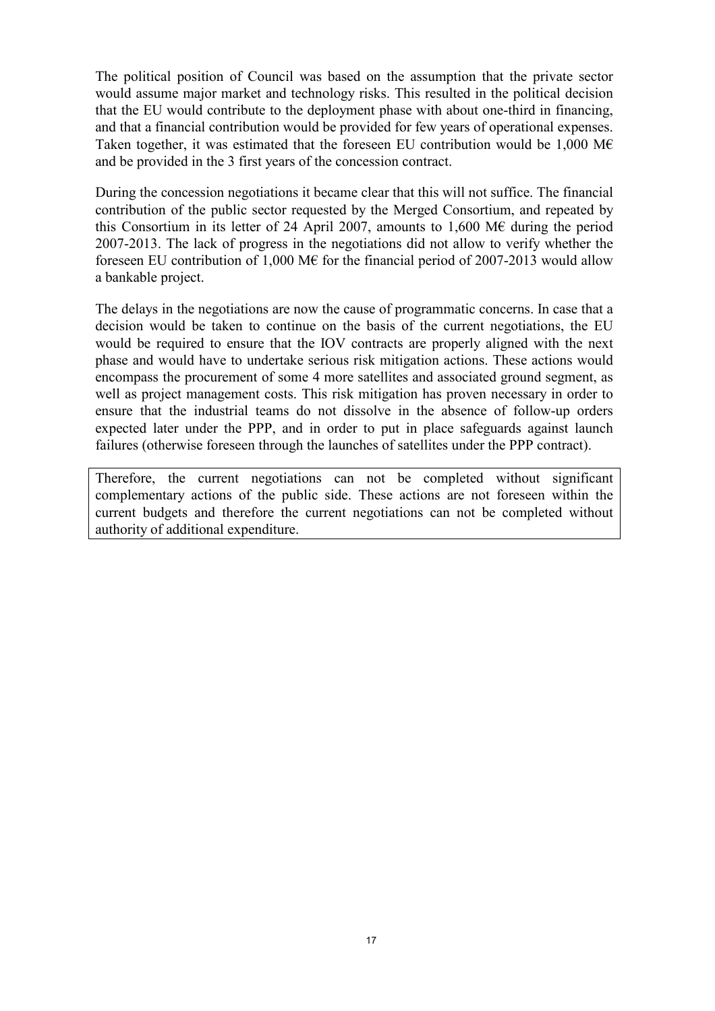The political position of Council was based on the assumption that the private sector would assume major market and technology risks. This resulted in the political decision that the EU would contribute to the deployment phase with about one-third in financing, and that a financial contribution would be provided for few years of operational expenses. Taken together, it was estimated that the foreseen EU contribution would be 1,000 M $\epsilon$ and be provided in the 3 first years of the concession contract.

During the concession negotiations it became clear that this will not suffice. The financial contribution of the public sector requested by the Merged Consortium, and repeated by this Consortium in its letter of 24 April 2007, amounts to 1,600 M $\epsilon$  during the period 2007-2013. The lack of progress in the negotiations did not allow to verify whether the foreseen EU contribution of 1,000 M€ for the financial period of 2007-2013 would allow a bankable project.

The delays in the negotiations are now the cause of programmatic concerns. In case that a decision would be taken to continue on the basis of the current negotiations, the EU would be required to ensure that the IOV contracts are properly aligned with the next phase and would have to undertake serious risk mitigation actions. These actions would encompass the procurement of some 4 more satellites and associated ground segment, as well as project management costs. This risk mitigation has proven necessary in order to ensure that the industrial teams do not dissolve in the absence of follow-up orders expected later under the PPP, and in order to put in place safeguards against launch failures (otherwise foreseen through the launches of satellites under the PPP contract).

Therefore, the current negotiations can not be completed without significant complementary actions of the public side. These actions are not foreseen within the current budgets and therefore the current negotiations can not be completed without authority of additional expenditure.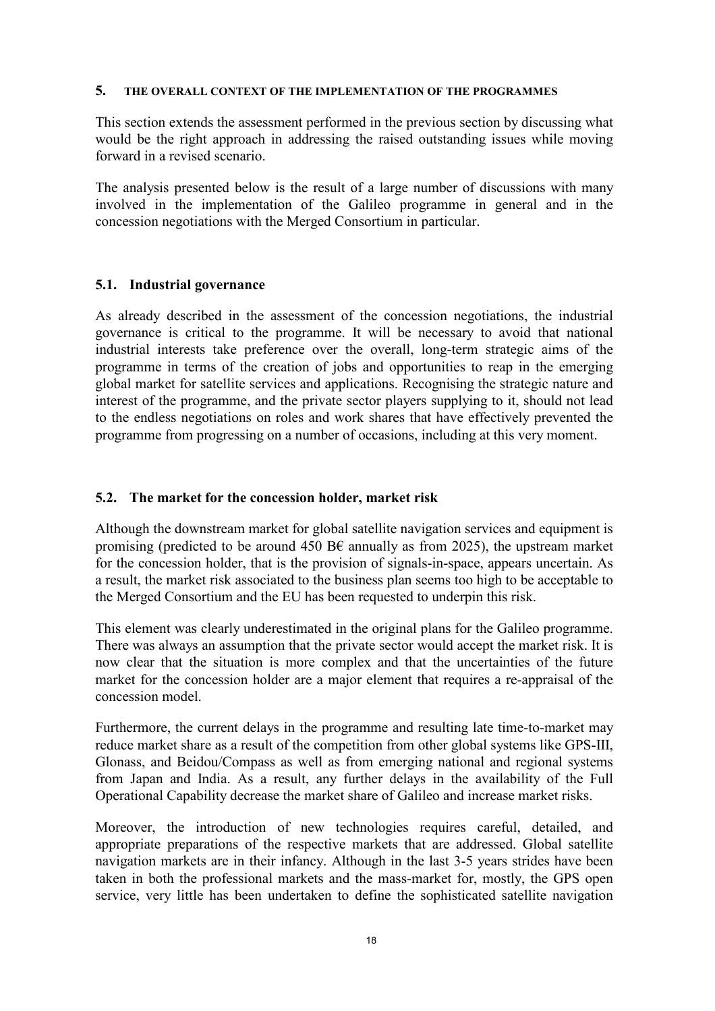#### 5. THE OVERALL CONTEXT OF THE IMPLEMENTATION OF THE PROGRAMMES

This section extends the assessment performed in the previous section by discussing what would be the right approach in addressing the raised outstanding issues while moving forward in a revised scenario.

The analysis presented below is the result of a large number of discussions with many involved in the implementation of the Galileo programme in general and in the concession negotiations with the Merged Consortium in particular.

## 5.1. Industrial governance

As already described in the assessment of the concession negotiations, the industrial governance is critical to the programme. It will be necessary to avoid that national industrial interests take preference over the overall, long-term strategic aims of the programme in terms of the creation of jobs and opportunities to reap in the emerging global market for satellite services and applications. Recognising the strategic nature and interest of the programme, and the private sector players supplying to it, should not lead to the endless negotiations on roles and work shares that have effectively prevented the programme from progressing on a number of occasions, including at this very moment.

## 5.2. The market for the concession holder, market risk

Although the downstream market for global satellite navigation services and equipment is promising (predicted to be around 450 B $\epsilon$  annually as from 2025), the upstream market for the concession holder, that is the provision of signals-in-space, appears uncertain. As a result, the market risk associated to the business plan seems too high to be acceptable to the Merged Consortium and the EU has been requested to underpin this risk.

This element was clearly underestimated in the original plans for the Galileo programme. There was always an assumption that the private sector would accept the market risk. It is now clear that the situation is more complex and that the uncertainties of the future market for the concession holder are a major element that requires a re-appraisal of the concession model.

Furthermore, the current delays in the programme and resulting late time-to-market may reduce market share as a result of the competition from other global systems like GPS-III, Glonass, and Beidou/Compass as well as from emerging national and regional systems from Japan and India. As a result, any further delays in the availability of the Full Operational Capability decrease the market share of Galileo and increase market risks.

Moreover, the introduction of new technologies requires careful, detailed, and appropriate preparations of the respective markets that are addressed. Global satellite navigation markets are in their infancy. Although in the last 3-5 years strides have been taken in both the professional markets and the mass-market for, mostly, the GPS open service, very little has been undertaken to define the sophisticated satellite navigation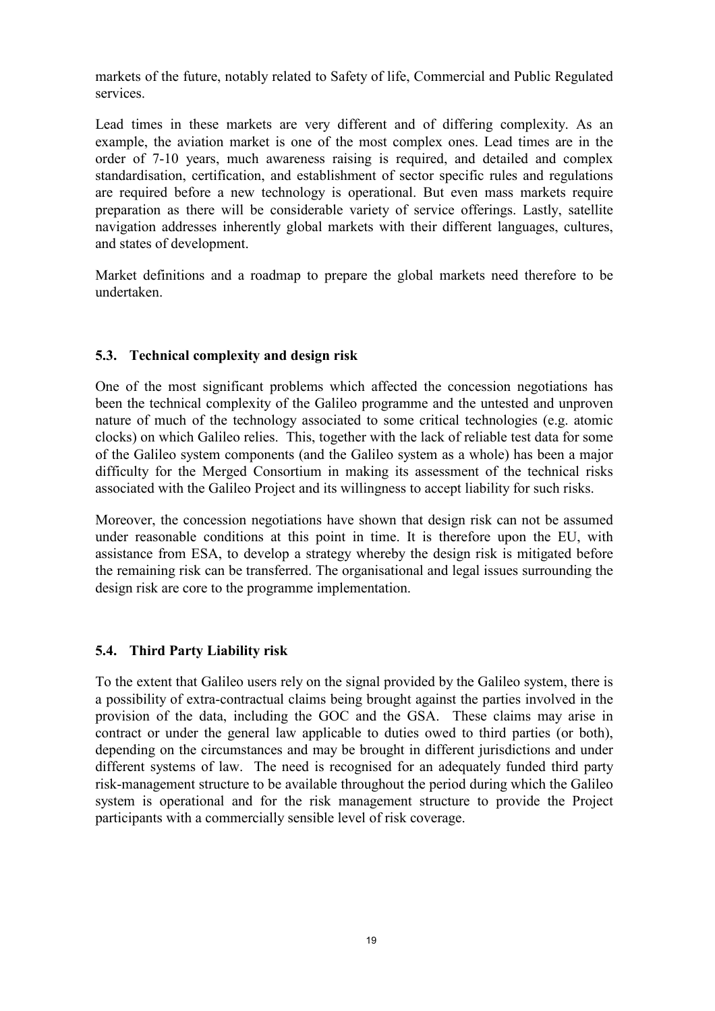markets of the future, notably related to Safety of life, Commercial and Public Regulated services.

Lead times in these markets are very different and of differing complexity. As an example, the aviation market is one of the most complex ones. Lead times are in the order of 7-10 years, much awareness raising is required, and detailed and complex standardisation, certification, and establishment of sector specific rules and regulations are required before a new technology is operational. But even mass markets require preparation as there will be considerable variety of service offerings. Lastly, satellite navigation addresses inherently global markets with their different languages, cultures, and states of development.

Market definitions and a roadmap to prepare the global markets need therefore to be undertaken.

# 5.3. Technical complexity and design risk

One of the most significant problems which affected the concession negotiations has been the technical complexity of the Galileo programme and the untested and unproven nature of much of the technology associated to some critical technologies (e.g. atomic clocks) on which Galileo relies. This, together with the lack of reliable test data for some of the Galileo system components (and the Galileo system as a whole) has been a major difficulty for the Merged Consortium in making its assessment of the technical risks associated with the Galileo Project and its willingness to accept liability for such risks.

Moreover, the concession negotiations have shown that design risk can not be assumed under reasonable conditions at this point in time. It is therefore upon the EU, with assistance from ESA, to develop a strategy whereby the design risk is mitigated before the remaining risk can be transferred. The organisational and legal issues surrounding the design risk are core to the programme implementation.

# 5.4. Third Party Liability risk

To the extent that Galileo users rely on the signal provided by the Galileo system, there is a possibility of extra-contractual claims being brought against the parties involved in the provision of the data, including the GOC and the GSA. These claims may arise in contract or under the general law applicable to duties owed to third parties (or both), depending on the circumstances and may be brought in different jurisdictions and under different systems of law. The need is recognised for an adequately funded third party risk-management structure to be available throughout the period during which the Galileo system is operational and for the risk management structure to provide the Project participants with a commercially sensible level of risk coverage.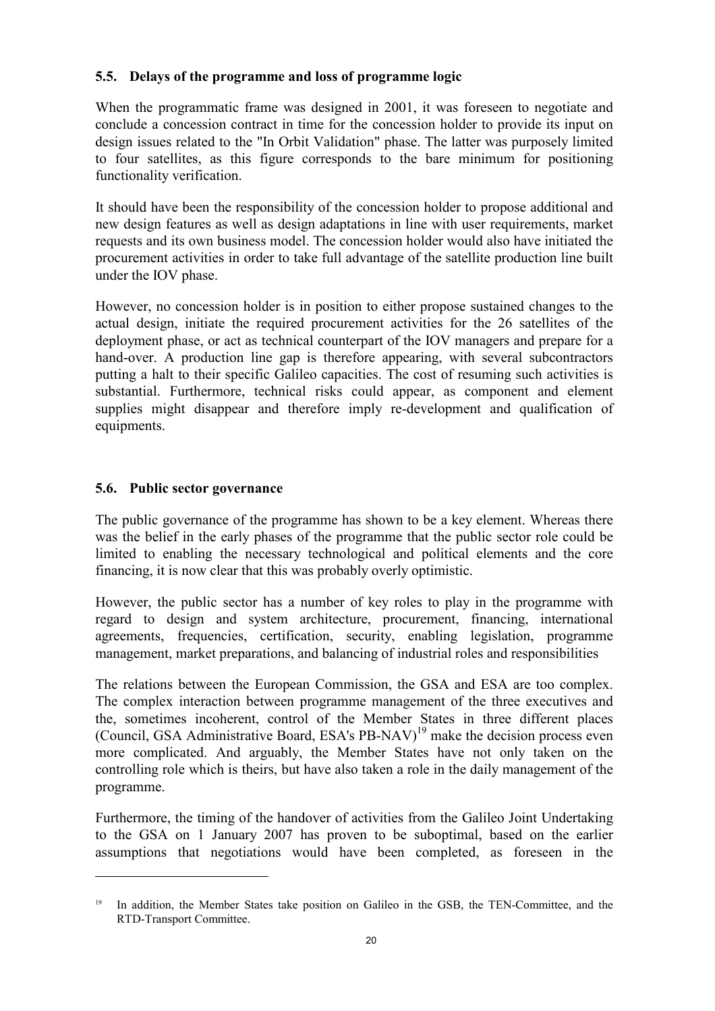# 5.5. Delays of the programme and loss of programme logic

When the programmatic frame was designed in 2001, it was foreseen to negotiate and conclude a concession contract in time for the concession holder to provide its input on design issues related to the "In Orbit Validation" phase. The latter was purposely limited to four satellites, as this figure corresponds to the bare minimum for positioning functionality verification.

It should have been the responsibility of the concession holder to propose additional and new design features as well as design adaptations in line with user requirements, market requests and its own business model. The concession holder would also have initiated the procurement activities in order to take full advantage of the satellite production line built under the IOV phase.

However, no concession holder is in position to either propose sustained changes to the actual design, initiate the required procurement activities for the 26 satellites of the deployment phase, or act as technical counterpart of the IOV managers and prepare for a hand-over. A production line gap is therefore appearing, with several subcontractors putting a halt to their specific Galileo capacities. The cost of resuming such activities is substantial. Furthermore, technical risks could appear, as component and element supplies might disappear and therefore imply re-development and qualification of equipments.

# 5.6. Public sector governance

 $\overline{a}$ 

The public governance of the programme has shown to be a key element. Whereas there was the belief in the early phases of the programme that the public sector role could be limited to enabling the necessary technological and political elements and the core financing, it is now clear that this was probably overly optimistic.

However, the public sector has a number of key roles to play in the programme with regard to design and system architecture, procurement, financing, international agreements, frequencies, certification, security, enabling legislation, programme management, market preparations, and balancing of industrial roles and responsibilities

The relations between the European Commission, the GSA and ESA are too complex. The complex interaction between programme management of the three executives and the, sometimes incoherent, control of the Member States in three different places (Council, GSA Administrative Board, ESA's  $PB-NAV$ )<sup>19</sup> make the decision process even more complicated. And arguably, the Member States have not only taken on the controlling role which is theirs, but have also taken a role in the daily management of the programme.

Furthermore, the timing of the handover of activities from the Galileo Joint Undertaking to the GSA on 1 January 2007 has proven to be suboptimal, based on the earlier assumptions that negotiations would have been completed, as foreseen in the

<sup>&</sup>lt;sup>19</sup> In addition, the Member States take position on Galileo in the GSB, the TEN-Committee, and the RTD-Transport Committee.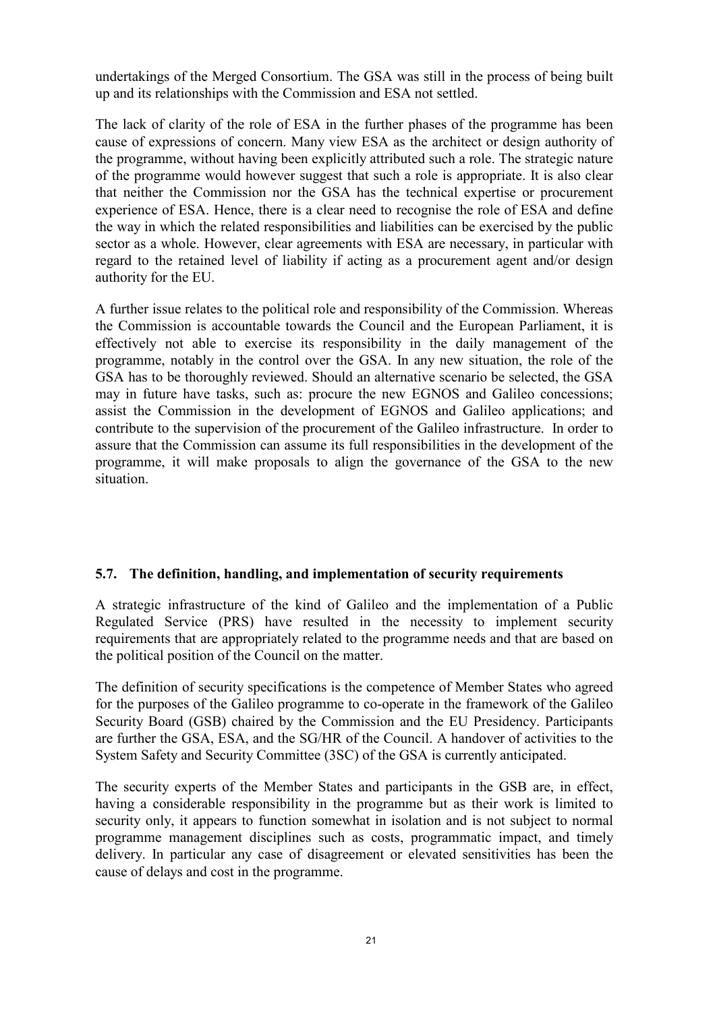undertakings of the Merged Consortium. The GSA was still in the process of being built up and its relationships with the Commission and ESA not settled.

The lack of clarity of the role of ESA in the further phases of the programme has been cause of expressions of concern. Many view ESA as the architect or design authority of the programme, without having been explicitly attributed such a role. The strategic nature of the programme would however suggest that such a role is appropriate. It is also clear that neither the Commission nor the GSA has the technical expertise or procurement experience of ESA. Hence, there is a clear need to recognise the role of ESA and define the way in which the related responsibilities and liabilities can be exercised by the public sector as a whole. However, clear agreements with ESA are necessary, in particular with regard to the retained level of liability if acting as a procurement agent and/or design authority for the EU.

A further issue relates to the political role and responsibility of the Commission. Whereas the Commission is accountable towards the Council and the European Parliament, it is effectively not able to exercise its responsibility in the daily management of the programme, notably in the control over the GSA. In any new situation, the role of the GSA has to be thoroughly reviewed. Should an alternative scenario be selected, the GSA may in future have tasks, such as: procure the new EGNOS and Galileo concessions; assist the Commission in the development of EGNOS and Galileo applications; and contribute to the supervision of the procurement of the Galileo infrastructure. In order to assure that the Commission can assume its full responsibilities in the development of the programme, it will make proposals to align the governance of the GSA to the new situation.

# 5.7. The definition, handling, and implementation of security requirements

A strategic infrastructure of the kind of Galileo and the implementation of a Public Regulated Service (PRS) have resulted in the necessity to implement security requirements that are appropriately related to the programme needs and that are based on the political position of the Council on the matter.

The definition of security specifications is the competence of Member States who agreed for the purposes of the Galileo programme to co-operate in the framework of the Galileo Security Board (GSB) chaired by the Commission and the EU Presidency. Participants are further the GSA, ESA, and the SG/HR of the Council. A handover of activities to the System Safety and Security Committee (3SC) of the GSA is currently anticipated.

The security experts of the Member States and participants in the GSB are, in effect, having a considerable responsibility in the programme but as their work is limited to security only, it appears to function somewhat in isolation and is not subject to normal programme management disciplines such as costs, programmatic impact, and timely delivery. In particular any case of disagreement or elevated sensitivities has been the cause of delays and cost in the programme.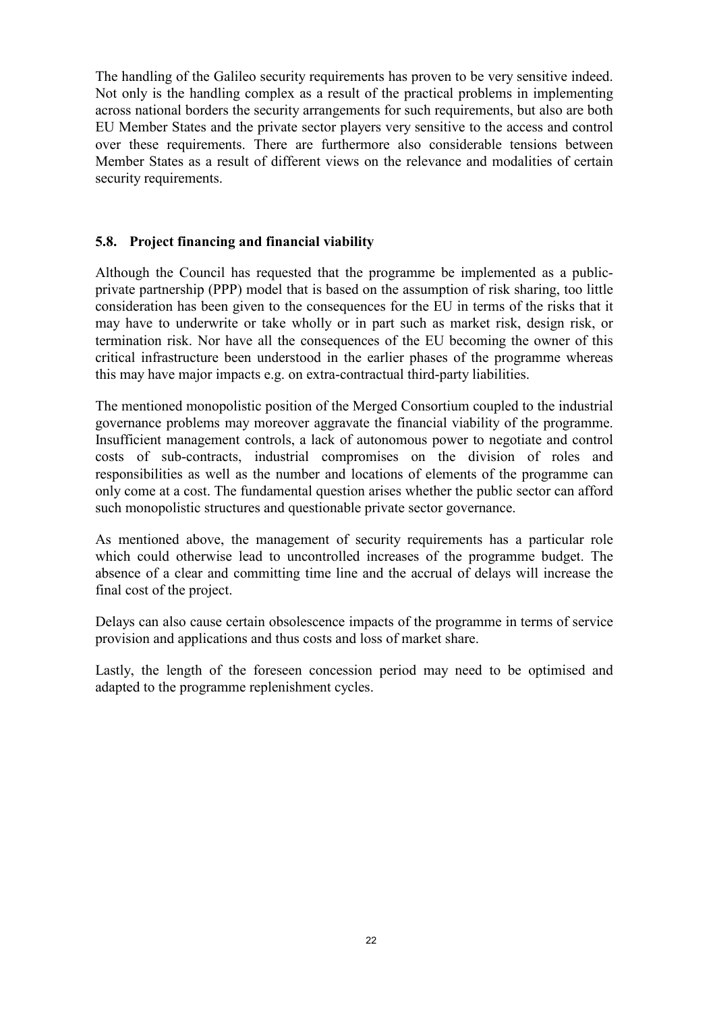The handling of the Galileo security requirements has proven to be very sensitive indeed. Not only is the handling complex as a result of the practical problems in implementing across national borders the security arrangements for such requirements, but also are both EU Member States and the private sector players very sensitive to the access and control over these requirements. There are furthermore also considerable tensions between Member States as a result of different views on the relevance and modalities of certain security requirements.

# 5.8. Project financing and financial viability

Although the Council has requested that the programme be implemented as a publicprivate partnership (PPP) model that is based on the assumption of risk sharing, too little consideration has been given to the consequences for the EU in terms of the risks that it may have to underwrite or take wholly or in part such as market risk, design risk, or termination risk. Nor have all the consequences of the EU becoming the owner of this critical infrastructure been understood in the earlier phases of the programme whereas this may have major impacts e.g. on extra-contractual third-party liabilities.

The mentioned monopolistic position of the Merged Consortium coupled to the industrial governance problems may moreover aggravate the financial viability of the programme. Insufficient management controls, a lack of autonomous power to negotiate and control costs of sub-contracts, industrial compromises on the division of roles and responsibilities as well as the number and locations of elements of the programme can only come at a cost. The fundamental question arises whether the public sector can afford such monopolistic structures and questionable private sector governance.

As mentioned above, the management of security requirements has a particular role which could otherwise lead to uncontrolled increases of the programme budget. The absence of a clear and committing time line and the accrual of delays will increase the final cost of the project.

Delays can also cause certain obsolescence impacts of the programme in terms of service provision and applications and thus costs and loss of market share.

Lastly, the length of the foreseen concession period may need to be optimised and adapted to the programme replenishment cycles.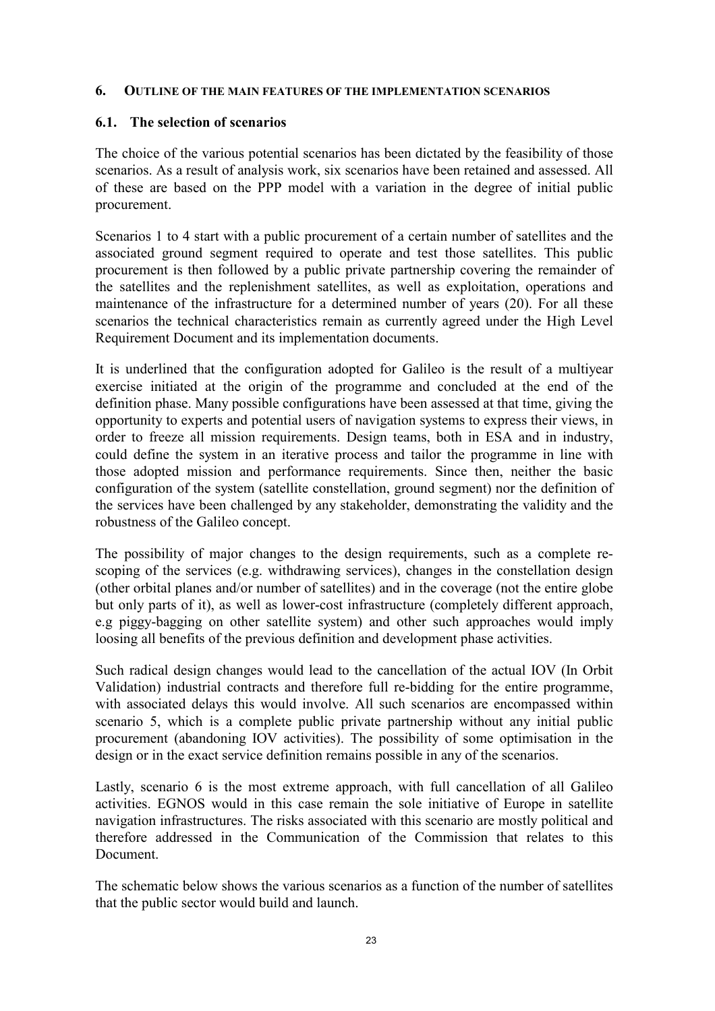#### 6. OUTLINE OF THE MAIN FEATURES OF THE IMPLEMENTATION SCENARIOS

## 6.1. The selection of scenarios

The choice of the various potential scenarios has been dictated by the feasibility of those scenarios. As a result of analysis work, six scenarios have been retained and assessed. All of these are based on the PPP model with a variation in the degree of initial public procurement.

Scenarios 1 to 4 start with a public procurement of a certain number of satellites and the associated ground segment required to operate and test those satellites. This public procurement is then followed by a public private partnership covering the remainder of the satellites and the replenishment satellites, as well as exploitation, operations and maintenance of the infrastructure for a determined number of years (20). For all these scenarios the technical characteristics remain as currently agreed under the High Level Requirement Document and its implementation documents.

It is underlined that the configuration adopted for Galileo is the result of a multiyear exercise initiated at the origin of the programme and concluded at the end of the definition phase. Many possible configurations have been assessed at that time, giving the opportunity to experts and potential users of navigation systems to express their views, in order to freeze all mission requirements. Design teams, both in ESA and in industry, could define the system in an iterative process and tailor the programme in line with those adopted mission and performance requirements. Since then, neither the basic configuration of the system (satellite constellation, ground segment) nor the definition of the services have been challenged by any stakeholder, demonstrating the validity and the robustness of the Galileo concept.

The possibility of major changes to the design requirements, such as a complete rescoping of the services (e.g. withdrawing services), changes in the constellation design (other orbital planes and/or number of satellites) and in the coverage (not the entire globe but only parts of it), as well as lower-cost infrastructure (completely different approach, e.g piggy-bagging on other satellite system) and other such approaches would imply loosing all benefits of the previous definition and development phase activities.

Such radical design changes would lead to the cancellation of the actual IOV (In Orbit Validation) industrial contracts and therefore full re-bidding for the entire programme, with associated delays this would involve. All such scenarios are encompassed within scenario 5, which is a complete public private partnership without any initial public procurement (abandoning IOV activities). The possibility of some optimisation in the design or in the exact service definition remains possible in any of the scenarios.

Lastly, scenario 6 is the most extreme approach, with full cancellation of all Galileo activities. EGNOS would in this case remain the sole initiative of Europe in satellite navigation infrastructures. The risks associated with this scenario are mostly political and therefore addressed in the Communication of the Commission that relates to this Document.

The schematic below shows the various scenarios as a function of the number of satellites that the public sector would build and launch.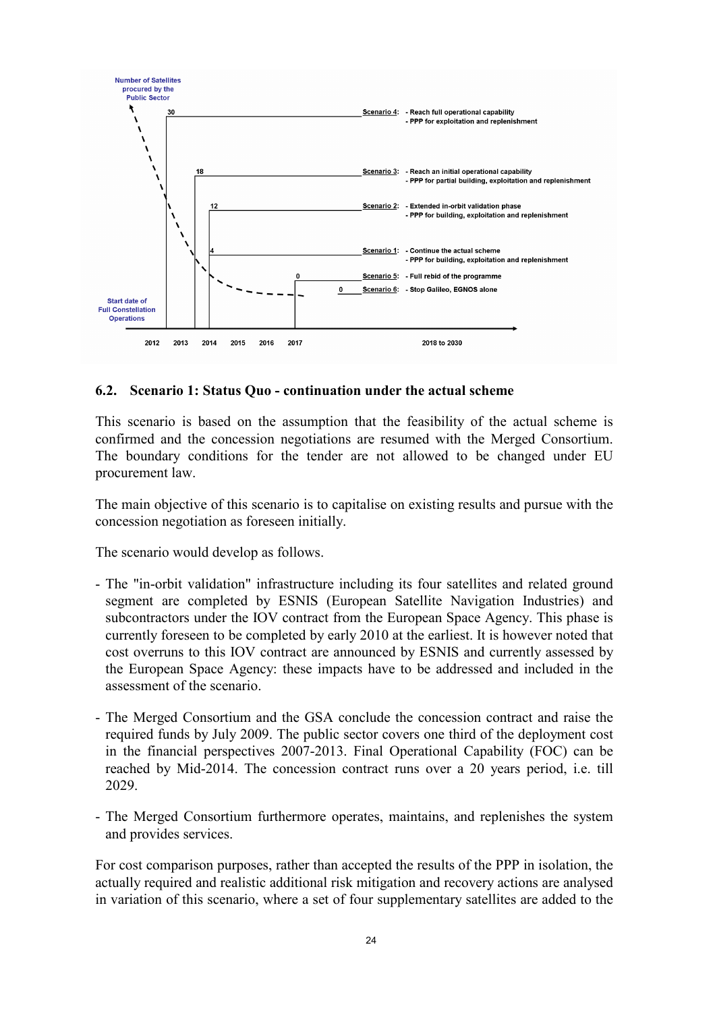

### 6.2. Scenario 1: Status Quo - continuation under the actual scheme

This scenario is based on the assumption that the feasibility of the actual scheme is confirmed and the concession negotiations are resumed with the Merged Consortium. The boundary conditions for the tender are not allowed to be changed under EU procurement law.

The main objective of this scenario is to capitalise on existing results and pursue with the concession negotiation as foreseen initially.

The scenario would develop as follows.

- The "in-orbit validation" infrastructure including its four satellites and related ground segment are completed by ESNIS (European Satellite Navigation Industries) and subcontractors under the IOV contract from the European Space Agency. This phase is currently foreseen to be completed by early 2010 at the earliest. It is however noted that cost overruns to this IOV contract are announced by ESNIS and currently assessed by the European Space Agency: these impacts have to be addressed and included in the assessment of the scenario.
- The Merged Consortium and the GSA conclude the concession contract and raise the required funds by July 2009. The public sector covers one third of the deployment cost in the financial perspectives 2007-2013. Final Operational Capability (FOC) can be reached by Mid-2014. The concession contract runs over a 20 years period, i.e. till 2029.
- The Merged Consortium furthermore operates, maintains, and replenishes the system and provides services.

For cost comparison purposes, rather than accepted the results of the PPP in isolation, the actually required and realistic additional risk mitigation and recovery actions are analysed in variation of this scenario, where a set of four supplementary satellites are added to the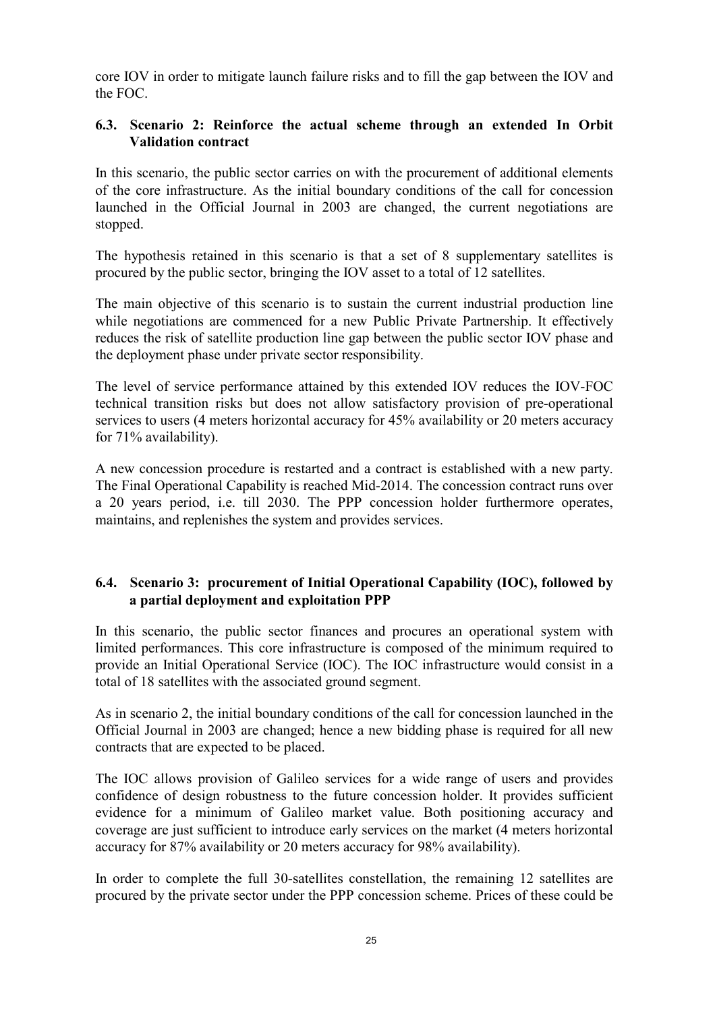core IOV in order to mitigate launch failure risks and to fill the gap between the IOV and the FOC.

# 6.3. Scenario 2: Reinforce the actual scheme through an extended In Orbit Validation contract

In this scenario, the public sector carries on with the procurement of additional elements of the core infrastructure. As the initial boundary conditions of the call for concession launched in the Official Journal in 2003 are changed, the current negotiations are stopped.

The hypothesis retained in this scenario is that a set of 8 supplementary satellites is procured by the public sector, bringing the IOV asset to a total of 12 satellites.

The main objective of this scenario is to sustain the current industrial production line while negotiations are commenced for a new Public Private Partnership. It effectively reduces the risk of satellite production line gap between the public sector IOV phase and the deployment phase under private sector responsibility.

The level of service performance attained by this extended IOV reduces the IOV-FOC technical transition risks but does not allow satisfactory provision of pre-operational services to users (4 meters horizontal accuracy for 45% availability or 20 meters accuracy for 71% availability).

A new concession procedure is restarted and a contract is established with a new party. The Final Operational Capability is reached Mid-2014. The concession contract runs over a 20 years period, i.e. till 2030. The PPP concession holder furthermore operates, maintains, and replenishes the system and provides services.

# 6.4. Scenario 3: procurement of Initial Operational Capability (IOC), followed by a partial deployment and exploitation PPP

In this scenario, the public sector finances and procures an operational system with limited performances. This core infrastructure is composed of the minimum required to provide an Initial Operational Service (IOC). The IOC infrastructure would consist in a total of 18 satellites with the associated ground segment.

As in scenario 2, the initial boundary conditions of the call for concession launched in the Official Journal in 2003 are changed; hence a new bidding phase is required for all new contracts that are expected to be placed.

The IOC allows provision of Galileo services for a wide range of users and provides confidence of design robustness to the future concession holder. It provides sufficient evidence for a minimum of Galileo market value. Both positioning accuracy and coverage are just sufficient to introduce early services on the market (4 meters horizontal accuracy for 87% availability or 20 meters accuracy for 98% availability).

In order to complete the full 30-satellites constellation, the remaining 12 satellites are procured by the private sector under the PPP concession scheme. Prices of these could be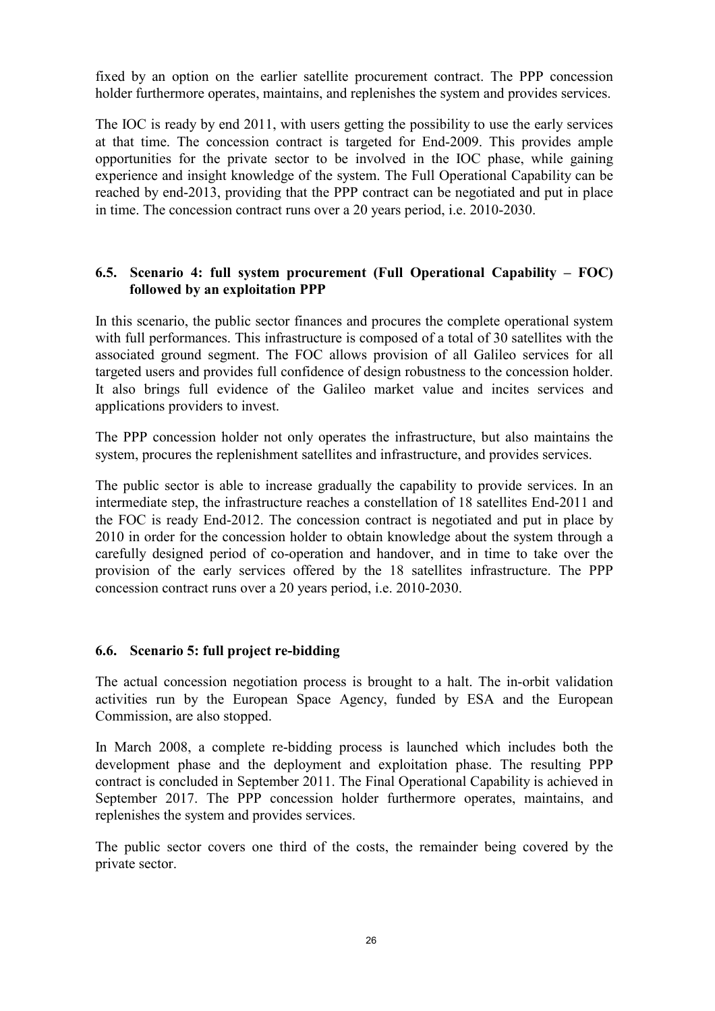fixed by an option on the earlier satellite procurement contract. The PPP concession holder furthermore operates, maintains, and replenishes the system and provides services.

The IOC is ready by end 2011, with users getting the possibility to use the early services at that time. The concession contract is targeted for End-2009. This provides ample opportunities for the private sector to be involved in the IOC phase, while gaining experience and insight knowledge of the system. The Full Operational Capability can be reached by end-2013, providing that the PPP contract can be negotiated and put in place in time. The concession contract runs over a 20 years period, i.e. 2010-2030.

# 6.5. Scenario 4: full system procurement (Full Operational Capability – FOC) followed by an exploitation PPP

In this scenario, the public sector finances and procures the complete operational system with full performances. This infrastructure is composed of a total of 30 satellites with the associated ground segment. The FOC allows provision of all Galileo services for all targeted users and provides full confidence of design robustness to the concession holder. It also brings full evidence of the Galileo market value and incites services and applications providers to invest.

The PPP concession holder not only operates the infrastructure, but also maintains the system, procures the replenishment satellites and infrastructure, and provides services.

The public sector is able to increase gradually the capability to provide services. In an intermediate step, the infrastructure reaches a constellation of 18 satellites End-2011 and the FOC is ready End-2012. The concession contract is negotiated and put in place by 2010 in order for the concession holder to obtain knowledge about the system through a carefully designed period of co-operation and handover, and in time to take over the provision of the early services offered by the 18 satellites infrastructure. The PPP concession contract runs over a 20 years period, i.e. 2010-2030.

# 6.6. Scenario 5: full project re-bidding

The actual concession negotiation process is brought to a halt. The in-orbit validation activities run by the European Space Agency, funded by ESA and the European Commission, are also stopped.

In March 2008, a complete re-bidding process is launched which includes both the development phase and the deployment and exploitation phase. The resulting PPP contract is concluded in September 2011. The Final Operational Capability is achieved in September 2017. The PPP concession holder furthermore operates, maintains, and replenishes the system and provides services.

The public sector covers one third of the costs, the remainder being covered by the private sector.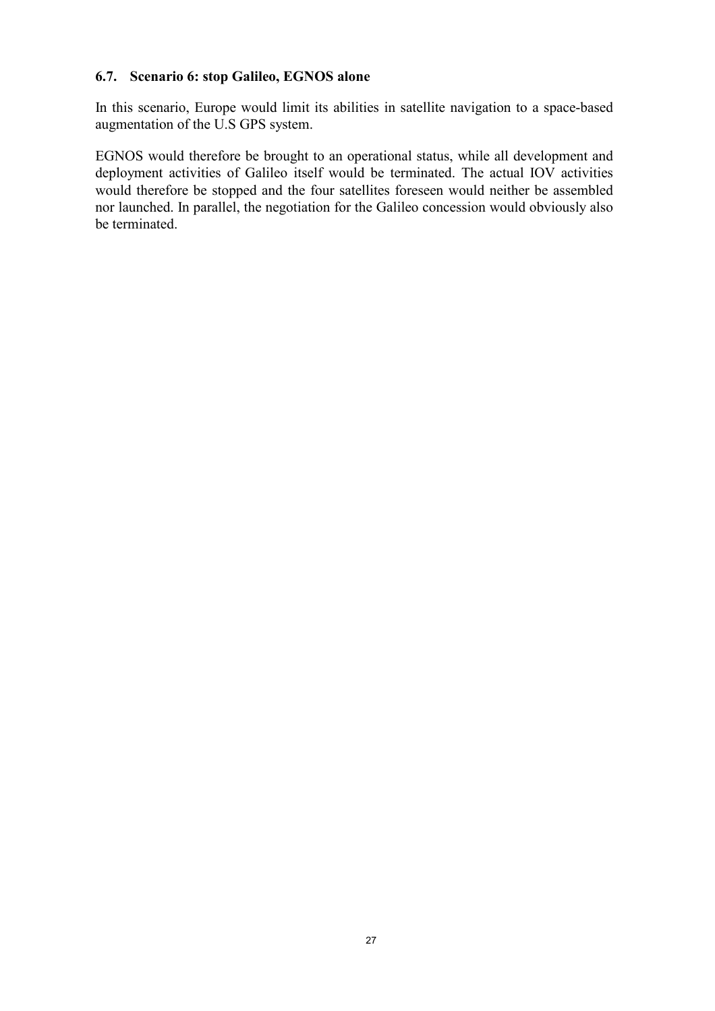## 6.7. Scenario 6: stop Galileo, EGNOS alone

In this scenario, Europe would limit its abilities in satellite navigation to a space-based augmentation of the U.S GPS system.

EGNOS would therefore be brought to an operational status, while all development and deployment activities of Galileo itself would be terminated. The actual IOV activities would therefore be stopped and the four satellites foreseen would neither be assembled nor launched. In parallel, the negotiation for the Galileo concession would obviously also be terminated.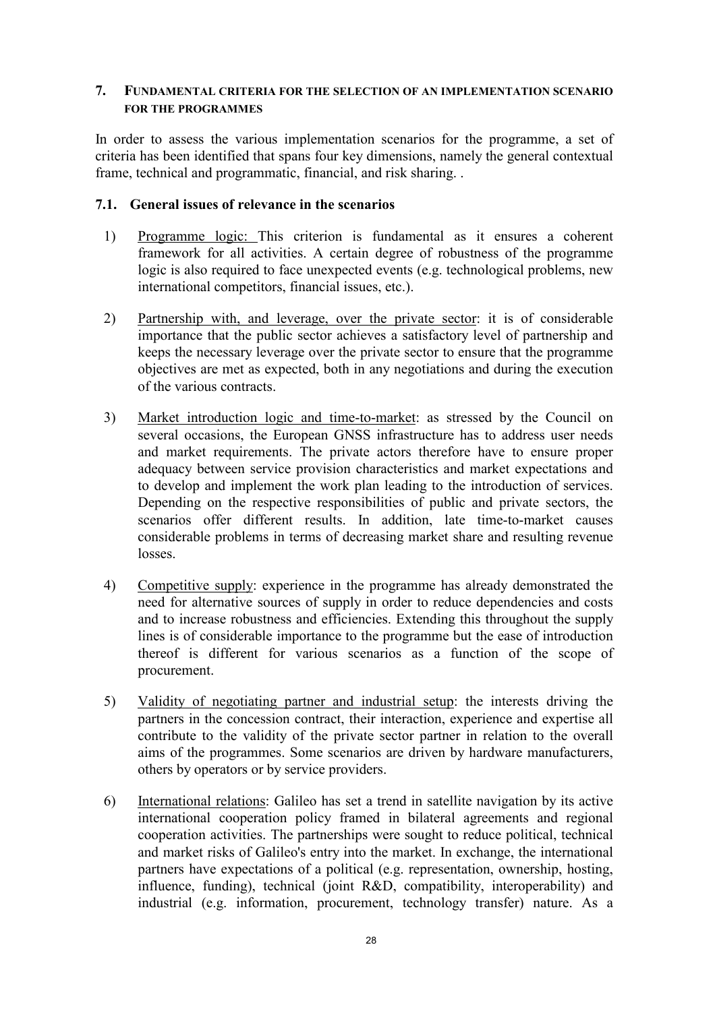## 7. FUNDAMENTAL CRITERIA FOR THE SELECTION OF AN IMPLEMENTATION SCENARIO FOR THE PROGRAMMES

In order to assess the various implementation scenarios for the programme, a set of criteria has been identified that spans four key dimensions, namely the general contextual frame, technical and programmatic, financial, and risk sharing. .

## 7.1. General issues of relevance in the scenarios

- 1) Programme logic: This criterion is fundamental as it ensures a coherent framework for all activities. A certain degree of robustness of the programme logic is also required to face unexpected events (e.g. technological problems, new international competitors, financial issues, etc.).
- 2) Partnership with, and leverage, over the private sector: it is of considerable importance that the public sector achieves a satisfactory level of partnership and keeps the necessary leverage over the private sector to ensure that the programme objectives are met as expected, both in any negotiations and during the execution of the various contracts.
- 3) Market introduction logic and time-to-market: as stressed by the Council on several occasions, the European GNSS infrastructure has to address user needs and market requirements. The private actors therefore have to ensure proper adequacy between service provision characteristics and market expectations and to develop and implement the work plan leading to the introduction of services. Depending on the respective responsibilities of public and private sectors, the scenarios offer different results. In addition, late time-to-market causes considerable problems in terms of decreasing market share and resulting revenue losses.
- 4) Competitive supply: experience in the programme has already demonstrated the need for alternative sources of supply in order to reduce dependencies and costs and to increase robustness and efficiencies. Extending this throughout the supply lines is of considerable importance to the programme but the ease of introduction thereof is different for various scenarios as a function of the scope of procurement.
- 5) Validity of negotiating partner and industrial setup: the interests driving the partners in the concession contract, their interaction, experience and expertise all contribute to the validity of the private sector partner in relation to the overall aims of the programmes. Some scenarios are driven by hardware manufacturers, others by operators or by service providers.
- 6) International relations: Galileo has set a trend in satellite navigation by its active international cooperation policy framed in bilateral agreements and regional cooperation activities. The partnerships were sought to reduce political, technical and market risks of Galileo's entry into the market. In exchange, the international partners have expectations of a political (e.g. representation, ownership, hosting, influence, funding), technical (joint R&D, compatibility, interoperability) and industrial (e.g. information, procurement, technology transfer) nature. As a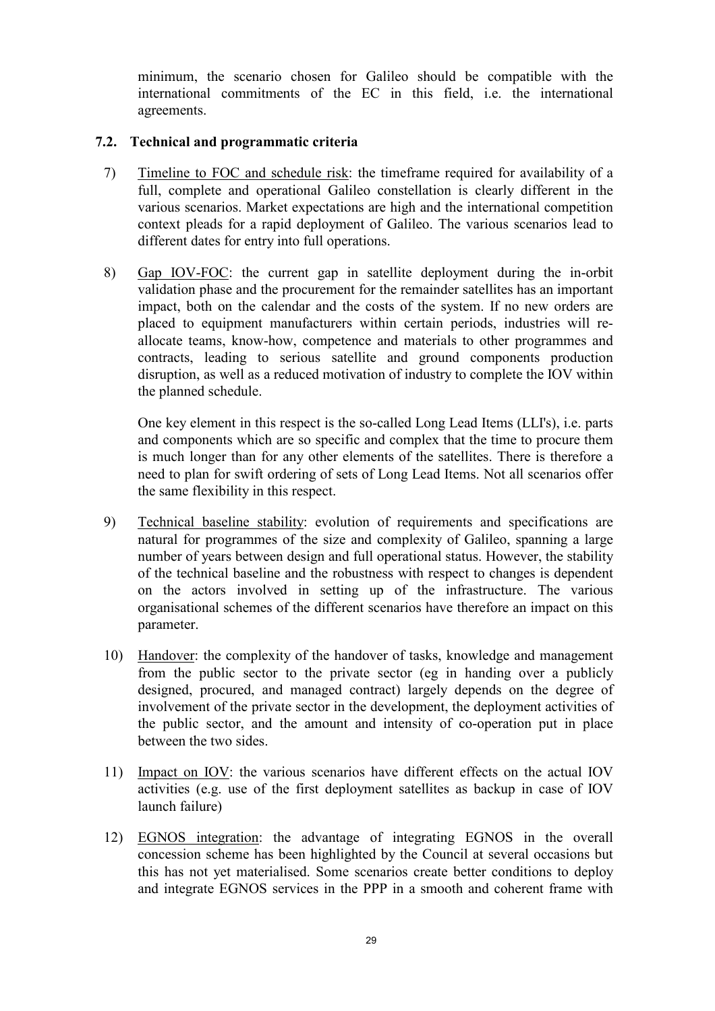minimum, the scenario chosen for Galileo should be compatible with the international commitments of the EC in this field, i.e. the international agreements.

## 7.2. Technical and programmatic criteria

- 7) Timeline to FOC and schedule risk: the timeframe required for availability of a full, complete and operational Galileo constellation is clearly different in the various scenarios. Market expectations are high and the international competition context pleads for a rapid deployment of Galileo. The various scenarios lead to different dates for entry into full operations.
- 8) Gap IOV-FOC: the current gap in satellite deployment during the in-orbit validation phase and the procurement for the remainder satellites has an important impact, both on the calendar and the costs of the system. If no new orders are placed to equipment manufacturers within certain periods, industries will reallocate teams, know-how, competence and materials to other programmes and contracts, leading to serious satellite and ground components production disruption, as well as a reduced motivation of industry to complete the IOV within the planned schedule.

 One key element in this respect is the so-called Long Lead Items (LLI's), i.e. parts and components which are so specific and complex that the time to procure them is much longer than for any other elements of the satellites. There is therefore a need to plan for swift ordering of sets of Long Lead Items. Not all scenarios offer the same flexibility in this respect.

- 9) Technical baseline stability: evolution of requirements and specifications are natural for programmes of the size and complexity of Galileo, spanning a large number of years between design and full operational status. However, the stability of the technical baseline and the robustness with respect to changes is dependent on the actors involved in setting up of the infrastructure. The various organisational schemes of the different scenarios have therefore an impact on this parameter.
- 10) Handover: the complexity of the handover of tasks, knowledge and management from the public sector to the private sector (eg in handing over a publicly designed, procured, and managed contract) largely depends on the degree of involvement of the private sector in the development, the deployment activities of the public sector, and the amount and intensity of co-operation put in place between the two sides.
- 11) Impact on IOV: the various scenarios have different effects on the actual IOV activities (e.g. use of the first deployment satellites as backup in case of IOV launch failure)
- 12) EGNOS integration: the advantage of integrating EGNOS in the overall concession scheme has been highlighted by the Council at several occasions but this has not yet materialised. Some scenarios create better conditions to deploy and integrate EGNOS services in the PPP in a smooth and coherent frame with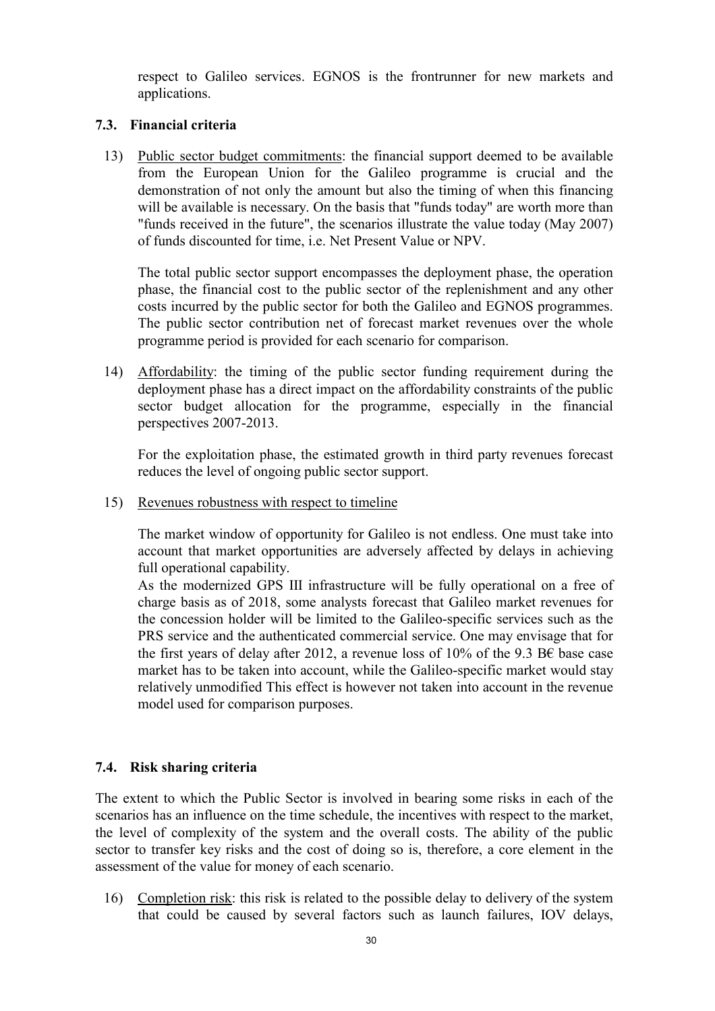respect to Galileo services. EGNOS is the frontrunner for new markets and applications.

## 7.3. Financial criteria

13) Public sector budget commitments: the financial support deemed to be available from the European Union for the Galileo programme is crucial and the demonstration of not only the amount but also the timing of when this financing will be available is necessary. On the basis that "funds today" are worth more than "funds received in the future", the scenarios illustrate the value today (May 2007) of funds discounted for time, i.e. Net Present Value or NPV.

 The total public sector support encompasses the deployment phase, the operation phase, the financial cost to the public sector of the replenishment and any other costs incurred by the public sector for both the Galileo and EGNOS programmes. The public sector contribution net of forecast market revenues over the whole programme period is provided for each scenario for comparison.

14) Affordability: the timing of the public sector funding requirement during the deployment phase has a direct impact on the affordability constraints of the public sector budget allocation for the programme, especially in the financial perspectives 2007-2013.

 For the exploitation phase, the estimated growth in third party revenues forecast reduces the level of ongoing public sector support.

15) Revenues robustness with respect to timeline

The market window of opportunity for Galileo is not endless. One must take into account that market opportunities are adversely affected by delays in achieving full operational capability.

As the modernized GPS III infrastructure will be fully operational on a free of charge basis as of 2018, some analysts forecast that Galileo market revenues for the concession holder will be limited to the Galileo-specific services such as the PRS service and the authenticated commercial service. One may envisage that for the first years of delay after 2012, a revenue loss of 10% of the 9.3 B $\epsilon$  base case market has to be taken into account, while the Galileo-specific market would stay relatively unmodified This effect is however not taken into account in the revenue model used for comparison purposes.

# 7.4. Risk sharing criteria

The extent to which the Public Sector is involved in bearing some risks in each of the scenarios has an influence on the time schedule, the incentives with respect to the market, the level of complexity of the system and the overall costs. The ability of the public sector to transfer key risks and the cost of doing so is, therefore, a core element in the assessment of the value for money of each scenario.

16) Completion risk: this risk is related to the possible delay to delivery of the system that could be caused by several factors such as launch failures, IOV delays,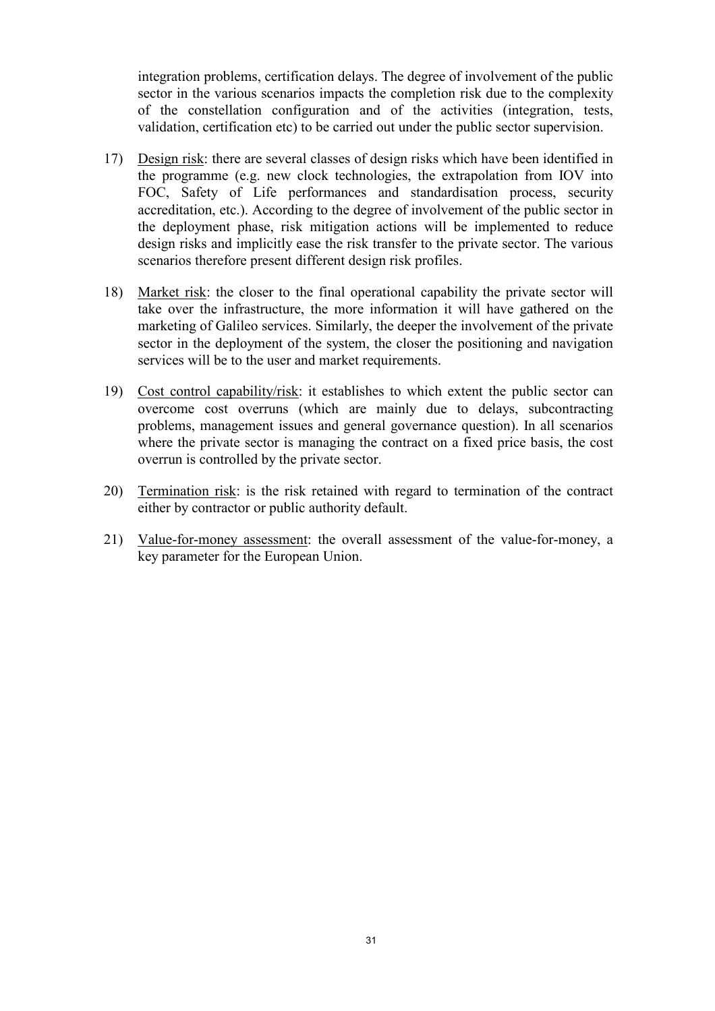integration problems, certification delays. The degree of involvement of the public sector in the various scenarios impacts the completion risk due to the complexity of the constellation configuration and of the activities (integration, tests, validation, certification etc) to be carried out under the public sector supervision.

- 17) Design risk: there are several classes of design risks which have been identified in the programme (e.g. new clock technologies, the extrapolation from IOV into FOC, Safety of Life performances and standardisation process, security accreditation, etc.). According to the degree of involvement of the public sector in the deployment phase, risk mitigation actions will be implemented to reduce design risks and implicitly ease the risk transfer to the private sector. The various scenarios therefore present different design risk profiles.
- 18) Market risk: the closer to the final operational capability the private sector will take over the infrastructure, the more information it will have gathered on the marketing of Galileo services. Similarly, the deeper the involvement of the private sector in the deployment of the system, the closer the positioning and navigation services will be to the user and market requirements.
- 19) Cost control capability/risk: it establishes to which extent the public sector can overcome cost overruns (which are mainly due to delays, subcontracting problems, management issues and general governance question). In all scenarios where the private sector is managing the contract on a fixed price basis, the cost overrun is controlled by the private sector.
- 20) Termination risk: is the risk retained with regard to termination of the contract either by contractor or public authority default.
- 21) Value-for-money assessment: the overall assessment of the value-for-money, a key parameter for the European Union.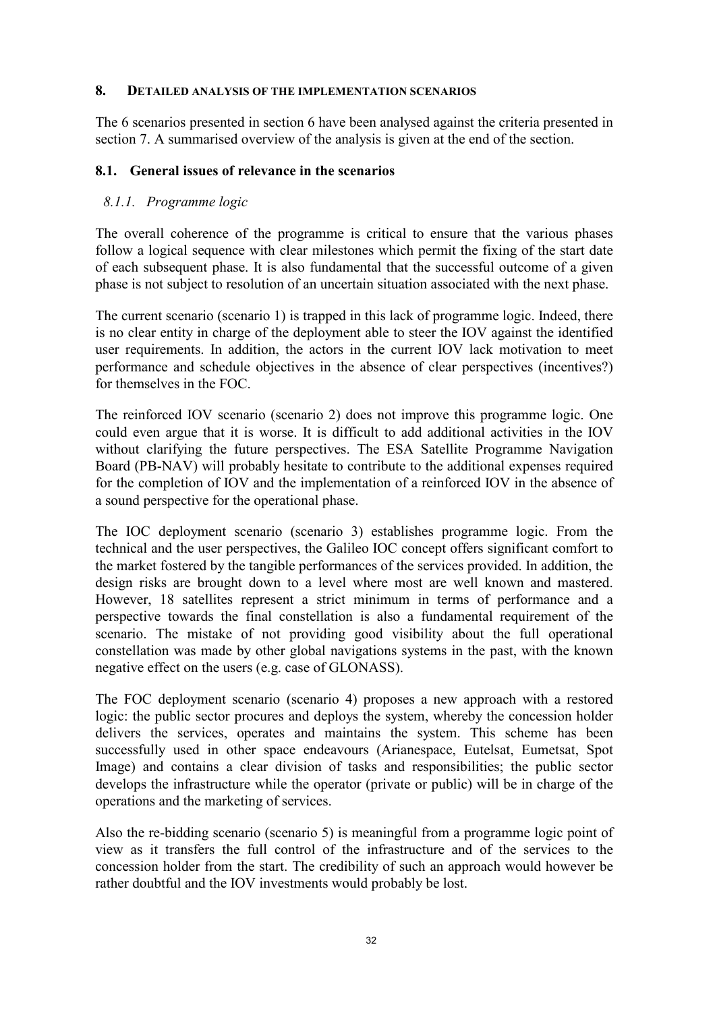## 8. DETAILED ANALYSIS OF THE IMPLEMENTATION SCENARIOS

The 6 scenarios presented in section 6 have been analysed against the criteria presented in section 7. A summarised overview of the analysis is given at the end of the section.

## 8.1. General issues of relevance in the scenarios

# 8.1.1. Programme logic

The overall coherence of the programme is critical to ensure that the various phases follow a logical sequence with clear milestones which permit the fixing of the start date of each subsequent phase. It is also fundamental that the successful outcome of a given phase is not subject to resolution of an uncertain situation associated with the next phase.

The current scenario (scenario 1) is trapped in this lack of programme logic. Indeed, there is no clear entity in charge of the deployment able to steer the IOV against the identified user requirements. In addition, the actors in the current IOV lack motivation to meet performance and schedule objectives in the absence of clear perspectives (incentives?) for themselves in the FOC.

The reinforced IOV scenario (scenario 2) does not improve this programme logic. One could even argue that it is worse. It is difficult to add additional activities in the IOV without clarifying the future perspectives. The ESA Satellite Programme Navigation Board (PB-NAV) will probably hesitate to contribute to the additional expenses required for the completion of IOV and the implementation of a reinforced IOV in the absence of a sound perspective for the operational phase.

The IOC deployment scenario (scenario 3) establishes programme logic. From the technical and the user perspectives, the Galileo IOC concept offers significant comfort to the market fostered by the tangible performances of the services provided. In addition, the design risks are brought down to a level where most are well known and mastered. However, 18 satellites represent a strict minimum in terms of performance and a perspective towards the final constellation is also a fundamental requirement of the scenario. The mistake of not providing good visibility about the full operational constellation was made by other global navigations systems in the past, with the known negative effect on the users (e.g. case of GLONASS).

The FOC deployment scenario (scenario 4) proposes a new approach with a restored logic: the public sector procures and deploys the system, whereby the concession holder delivers the services, operates and maintains the system. This scheme has been successfully used in other space endeavours (Arianespace, Eutelsat, Eumetsat, Spot Image) and contains a clear division of tasks and responsibilities; the public sector develops the infrastructure while the operator (private or public) will be in charge of the operations and the marketing of services.

Also the re-bidding scenario (scenario 5) is meaningful from a programme logic point of view as it transfers the full control of the infrastructure and of the services to the concession holder from the start. The credibility of such an approach would however be rather doubtful and the IOV investments would probably be lost.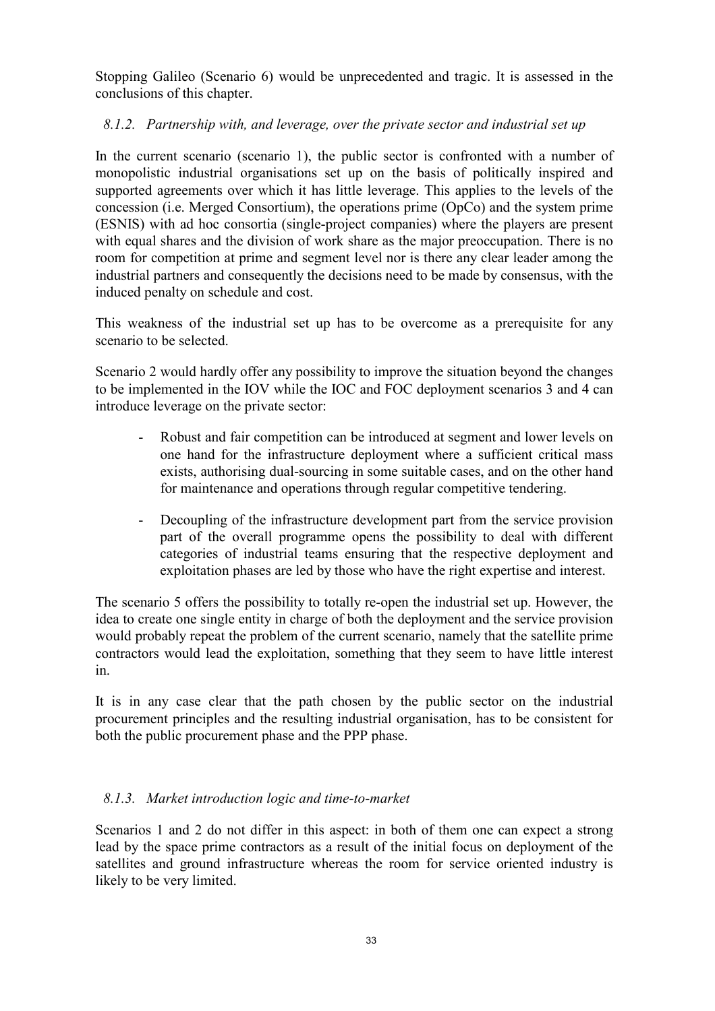Stopping Galileo (Scenario 6) would be unprecedented and tragic. It is assessed in the conclusions of this chapter.

# 8.1.2. Partnership with, and leverage, over the private sector and industrial set up

In the current scenario (scenario 1), the public sector is confronted with a number of monopolistic industrial organisations set up on the basis of politically inspired and supported agreements over which it has little leverage. This applies to the levels of the concession (i.e. Merged Consortium), the operations prime (OpCo) and the system prime (ESNIS) with ad hoc consortia (single-project companies) where the players are present with equal shares and the division of work share as the major preoccupation. There is no room for competition at prime and segment level nor is there any clear leader among the industrial partners and consequently the decisions need to be made by consensus, with the induced penalty on schedule and cost.

This weakness of the industrial set up has to be overcome as a prerequisite for any scenario to be selected.

Scenario 2 would hardly offer any possibility to improve the situation beyond the changes to be implemented in the IOV while the IOC and FOC deployment scenarios 3 and 4 can introduce leverage on the private sector:

- Robust and fair competition can be introduced at segment and lower levels on one hand for the infrastructure deployment where a sufficient critical mass exists, authorising dual-sourcing in some suitable cases, and on the other hand for maintenance and operations through regular competitive tendering.
- Decoupling of the infrastructure development part from the service provision part of the overall programme opens the possibility to deal with different categories of industrial teams ensuring that the respective deployment and exploitation phases are led by those who have the right expertise and interest.

The scenario 5 offers the possibility to totally re-open the industrial set up. However, the idea to create one single entity in charge of both the deployment and the service provision would probably repeat the problem of the current scenario, namely that the satellite prime contractors would lead the exploitation, something that they seem to have little interest in.

It is in any case clear that the path chosen by the public sector on the industrial procurement principles and the resulting industrial organisation, has to be consistent for both the public procurement phase and the PPP phase.

# 8.1.3. Market introduction logic and time-to-market

Scenarios 1 and 2 do not differ in this aspect: in both of them one can expect a strong lead by the space prime contractors as a result of the initial focus on deployment of the satellites and ground infrastructure whereas the room for service oriented industry is likely to be very limited.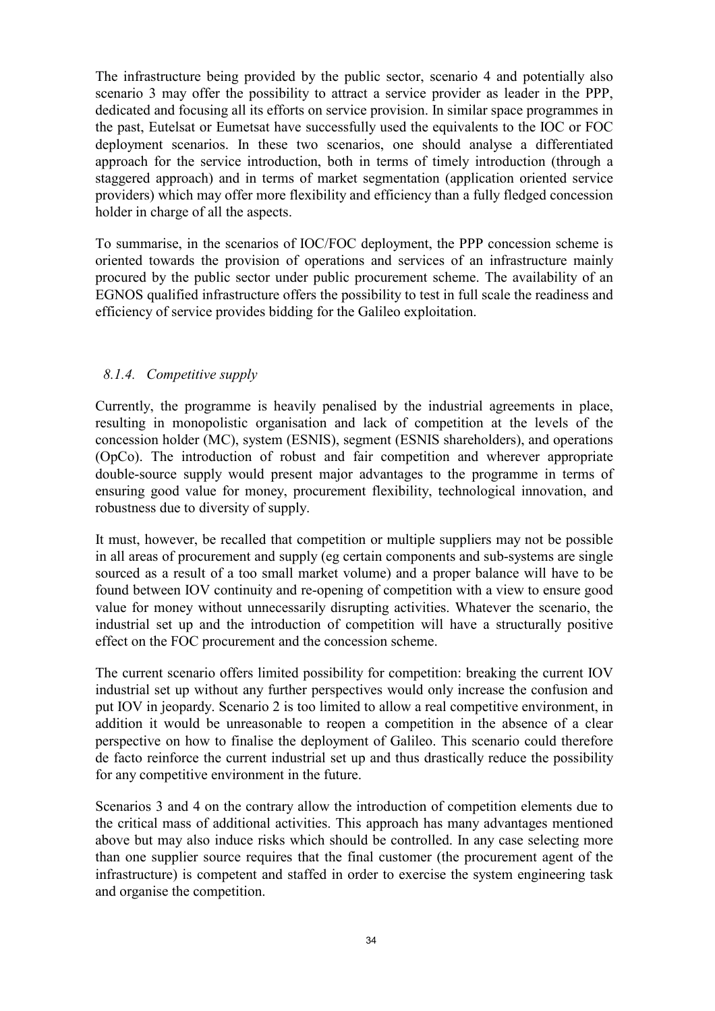The infrastructure being provided by the public sector, scenario 4 and potentially also scenario 3 may offer the possibility to attract a service provider as leader in the PPP, dedicated and focusing all its efforts on service provision. In similar space programmes in the past, Eutelsat or Eumetsat have successfully used the equivalents to the IOC or FOC deployment scenarios. In these two scenarios, one should analyse a differentiated approach for the service introduction, both in terms of timely introduction (through a staggered approach) and in terms of market segmentation (application oriented service providers) which may offer more flexibility and efficiency than a fully fledged concession holder in charge of all the aspects.

To summarise, in the scenarios of IOC/FOC deployment, the PPP concession scheme is oriented towards the provision of operations and services of an infrastructure mainly procured by the public sector under public procurement scheme. The availability of an EGNOS qualified infrastructure offers the possibility to test in full scale the readiness and efficiency of service provides bidding for the Galileo exploitation.

# 8.1.4. Competitive supply

Currently, the programme is heavily penalised by the industrial agreements in place, resulting in monopolistic organisation and lack of competition at the levels of the concession holder (MC), system (ESNIS), segment (ESNIS shareholders), and operations (OpCo). The introduction of robust and fair competition and wherever appropriate double-source supply would present major advantages to the programme in terms of ensuring good value for money, procurement flexibility, technological innovation, and robustness due to diversity of supply.

It must, however, be recalled that competition or multiple suppliers may not be possible in all areas of procurement and supply (eg certain components and sub-systems are single sourced as a result of a too small market volume) and a proper balance will have to be found between IOV continuity and re-opening of competition with a view to ensure good value for money without unnecessarily disrupting activities. Whatever the scenario, the industrial set up and the introduction of competition will have a structurally positive effect on the FOC procurement and the concession scheme.

The current scenario offers limited possibility for competition: breaking the current IOV industrial set up without any further perspectives would only increase the confusion and put IOV in jeopardy. Scenario 2 is too limited to allow a real competitive environment, in addition it would be unreasonable to reopen a competition in the absence of a clear perspective on how to finalise the deployment of Galileo. This scenario could therefore de facto reinforce the current industrial set up and thus drastically reduce the possibility for any competitive environment in the future.

Scenarios 3 and 4 on the contrary allow the introduction of competition elements due to the critical mass of additional activities. This approach has many advantages mentioned above but may also induce risks which should be controlled. In any case selecting more than one supplier source requires that the final customer (the procurement agent of the infrastructure) is competent and staffed in order to exercise the system engineering task and organise the competition.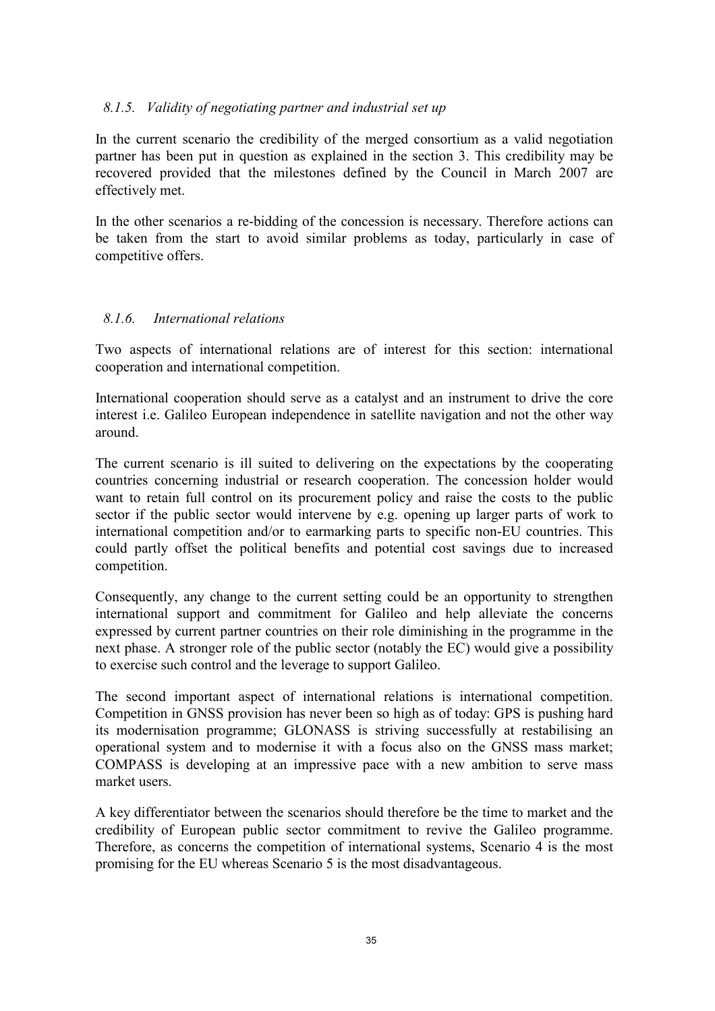## 8.1.5. Validity of negotiating partner and industrial set up

In the current scenario the credibility of the merged consortium as a valid negotiation partner has been put in question as explained in the section 3. This credibility may be recovered provided that the milestones defined by the Council in March 2007 are effectively met.

In the other scenarios a re-bidding of the concession is necessary. Therefore actions can be taken from the start to avoid similar problems as today, particularly in case of competitive offers.

## 8.1.6. International relations

Two aspects of international relations are of interest for this section: international cooperation and international competition.

International cooperation should serve as a catalyst and an instrument to drive the core interest i.e. Galileo European independence in satellite navigation and not the other way around.

The current scenario is ill suited to delivering on the expectations by the cooperating countries concerning industrial or research cooperation. The concession holder would want to retain full control on its procurement policy and raise the costs to the public sector if the public sector would intervene by e.g. opening up larger parts of work to international competition and/or to earmarking parts to specific non-EU countries. This could partly offset the political benefits and potential cost savings due to increased competition.

Consequently, any change to the current setting could be an opportunity to strengthen international support and commitment for Galileo and help alleviate the concerns expressed by current partner countries on their role diminishing in the programme in the next phase. A stronger role of the public sector (notably the EC) would give a possibility to exercise such control and the leverage to support Galileo.

The second important aspect of international relations is international competition. Competition in GNSS provision has never been so high as of today: GPS is pushing hard its modernisation programme; GLONASS is striving successfully at restabilising an operational system and to modernise it with a focus also on the GNSS mass market; COMPASS is developing at an impressive pace with a new ambition to serve mass market users.

A key differentiator between the scenarios should therefore be the time to market and the credibility of European public sector commitment to revive the Galileo programme. Therefore, as concerns the competition of international systems, Scenario 4 is the most promising for the EU whereas Scenario 5 is the most disadvantageous.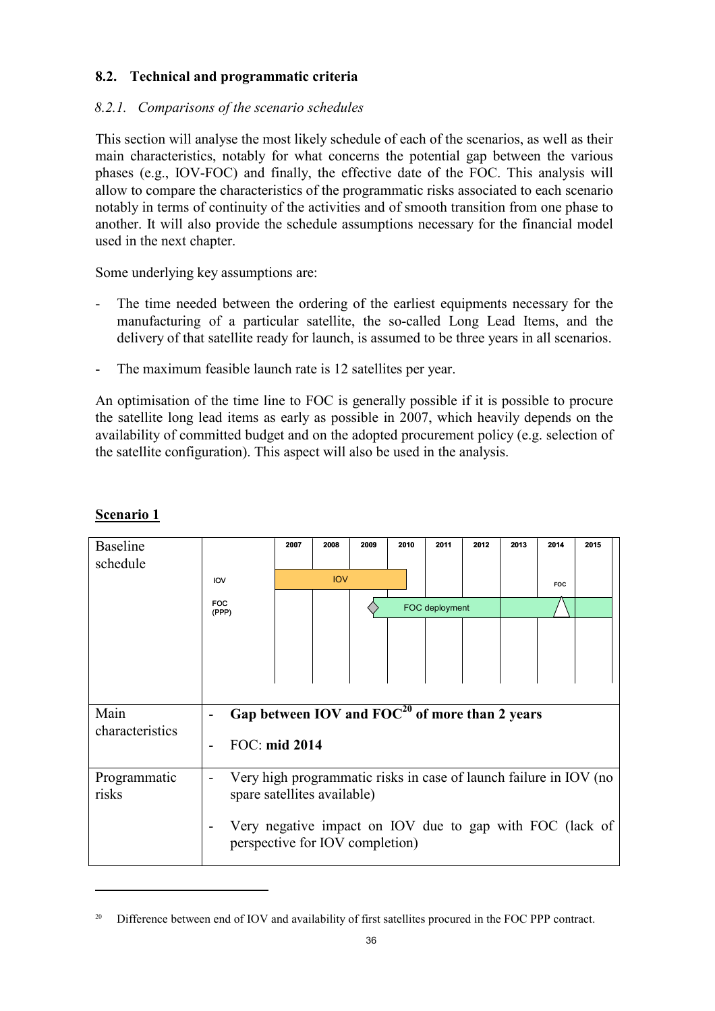# 8.2. Technical and programmatic criteria

# 8.2.1. Comparisons of the scenario schedules

This section will analyse the most likely schedule of each of the scenarios, as well as their main characteristics, notably for what concerns the potential gap between the various phases (e.g., IOV-FOC) and finally, the effective date of the FOC. This analysis will allow to compare the characteristics of the programmatic risks associated to each scenario notably in terms of continuity of the activities and of smooth transition from one phase to another. It will also provide the schedule assumptions necessary for the financial model used in the next chapter.

Some underlying key assumptions are:

- The time needed between the ordering of the earliest equipments necessary for the manufacturing of a particular satellite, the so-called Long Lead Items, and the delivery of that satellite ready for launch, is assumed to be three years in all scenarios.
- The maximum feasible launch rate is 12 satellites per year.

An optimisation of the time line to FOC is generally possible if it is possible to procure the satellite long lead items as early as possible in 2007, which heavily depends on the availability of committed budget and on the adopted procurement policy (e.g. selection of the satellite configuration). This aspect will also be used in the analysis.

| <b>Baseline</b><br>schedule |                                                                                                                         | 2007 | 2008       | 2009 | 2010 | 2011           | 2012 | 2013 | 2014       | 2015 |  |
|-----------------------------|-------------------------------------------------------------------------------------------------------------------------|------|------------|------|------|----------------|------|------|------------|------|--|
|                             | <b>IOV</b>                                                                                                              |      | <b>IOV</b> |      |      |                |      |      | <b>FOC</b> |      |  |
|                             | <b>FOC</b><br>(PPP)                                                                                                     |      |            |      |      | FOC deployment |      |      |            |      |  |
|                             |                                                                                                                         |      |            |      |      |                |      |      |            |      |  |
|                             |                                                                                                                         |      |            |      |      |                |      |      |            |      |  |
|                             |                                                                                                                         |      |            |      |      |                |      |      |            |      |  |
| Main<br>characteristics     | Gap between IOV and $FOC^{20}$ of more than 2 years                                                                     |      |            |      |      |                |      |      |            |      |  |
|                             | FOC: mid 2014                                                                                                           |      |            |      |      |                |      |      |            |      |  |
| Programmatic<br>risks       | Very high programmatic risks in case of launch failure in IOV (no<br>spare satellites available)                        |      |            |      |      |                |      |      |            |      |  |
|                             | Very negative impact on IOV due to gap with FOC (lack of<br>$\overline{\phantom{a}}$<br>perspective for IOV completion) |      |            |      |      |                |      |      |            |      |  |

# Scenario 1

<sup>&</sup>lt;sup>20</sup> Difference between end of IOV and availability of first satellites procured in the FOC PPP contract.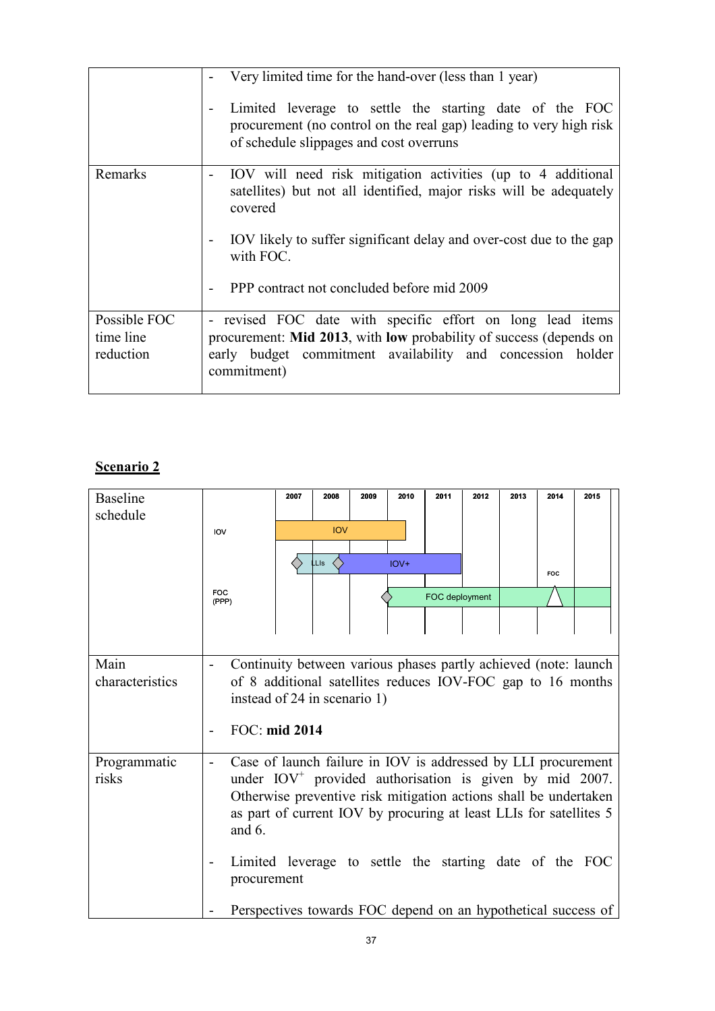|                                        | Very limited time for the hand-over (less than 1 year)<br>Limited leverage to settle the starting date of the FOC<br>procurement (no control on the real gap) leading to very high risk<br>of schedule slippages and cost overruns                                                          |
|----------------------------------------|---------------------------------------------------------------------------------------------------------------------------------------------------------------------------------------------------------------------------------------------------------------------------------------------|
| Remarks                                | IOV will need risk mitigation activities (up to 4 additional<br>۰<br>satellities) but not all identified, major risks will be adequately<br>covered<br>IOV likely to suffer significant delay and over-cost due to the gap<br>Ξ.<br>with FOC.<br>PPP contract not concluded before mid 2009 |
| Possible FOC<br>time line<br>reduction | - revised FOC date with specific effort on long lead items<br>procurement: Mid 2013, with low probability of success (depends on<br>early budget commitment availability and concession holder<br>commitment)                                                                               |

# Scenario 2

| <b>Baseline</b>         |                                                                                                                                                                                                                                                                                                                                                                                                                             | 2007 | 2008       | 2009 | 2010   | 2011           | 2012 | 2013 | 2014 | 2015 |
|-------------------------|-----------------------------------------------------------------------------------------------------------------------------------------------------------------------------------------------------------------------------------------------------------------------------------------------------------------------------------------------------------------------------------------------------------------------------|------|------------|------|--------|----------------|------|------|------|------|
| schedule                |                                                                                                                                                                                                                                                                                                                                                                                                                             |      |            |      |        |                |      |      |      |      |
|                         | IOV                                                                                                                                                                                                                                                                                                                                                                                                                         |      | <b>IOV</b> |      |        |                |      |      |      |      |
|                         |                                                                                                                                                                                                                                                                                                                                                                                                                             |      |            |      |        |                |      |      |      |      |
|                         |                                                                                                                                                                                                                                                                                                                                                                                                                             |      | LLIs       |      | $IOV+$ |                |      |      | FOC  |      |
|                         | FOC<br>(PPP)                                                                                                                                                                                                                                                                                                                                                                                                                |      |            |      |        | FOC deployment |      |      |      |      |
|                         |                                                                                                                                                                                                                                                                                                                                                                                                                             |      |            |      |        |                |      |      |      |      |
|                         |                                                                                                                                                                                                                                                                                                                                                                                                                             |      |            |      |        |                |      |      |      |      |
| Main<br>characteristics | Continuity between various phases partly achieved (note: launch<br>of 8 additional satellites reduces IOV-FOC gap to 16 months<br>instead of 24 in scenario 1)<br>FOC: mid 2014                                                                                                                                                                                                                                             |      |            |      |        |                |      |      |      |      |
| Programmatic<br>risks   | Case of launch failure in IOV is addressed by LLI procurement<br>under $IOV+$ provided authorisation is given by mid 2007.<br>Otherwise preventive risk mitigation actions shall be undertaken<br>as part of current IOV by procuring at least LLIs for satellites 5<br>and $6.$<br>Limited leverage to settle the starting date of the FOC<br>procurement<br>Perspectives towards FOC depend on an hypothetical success of |      |            |      |        |                |      |      |      |      |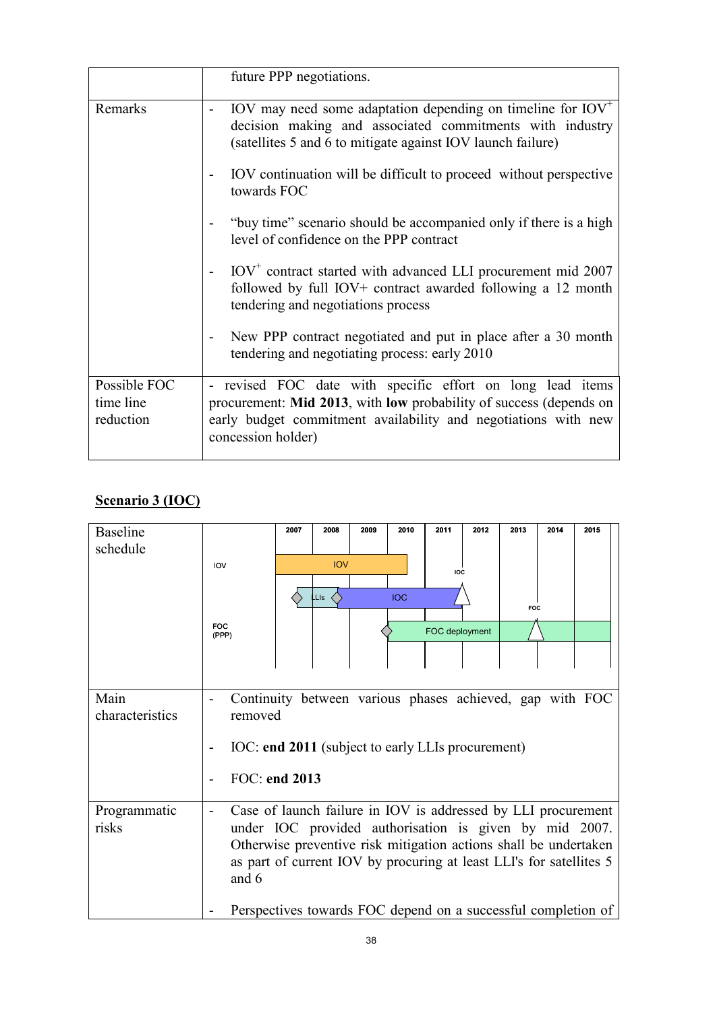|                                        | future PPP negotiations.                                                                                                                                                                                                  |
|----------------------------------------|---------------------------------------------------------------------------------------------------------------------------------------------------------------------------------------------------------------------------|
| Remarks                                | IOV may need some adaptation depending on timeline for $IOV^+$<br>$\qquad \qquad \blacksquare$<br>decision making and associated commitments with industry<br>(satellites 5 and 6 to mitigate against IOV launch failure) |
|                                        | IOV continuation will be difficult to proceed without perspective<br>towards FOC                                                                                                                                          |
|                                        | "buy time" scenario should be accompanied only if there is a high<br>level of confidence on the PPP contract                                                                                                              |
|                                        | $IOV+$ contract started with advanced LLI procurement mid 2007<br>$\qquad \qquad -$<br>followed by full IOV+ contract awarded following a 12 month<br>tendering and negotiations process                                  |
|                                        | New PPP contract negotiated and put in place after a 30 month<br>tendering and negotiating process: early 2010                                                                                                            |
| Possible FOC<br>time line<br>reduction | - revised FOC date with specific effort on long lead items<br>procurement: Mid 2013, with low probability of success (depends on<br>early budget commitment availability and negotiations with new<br>concession holder)  |

# Scenario 3 (IOC)

| <b>Baseline</b>         |                                                                                                                                                                                                                                                                             | 2007 | 2008       | 2009 | 2010       | 2011           | 2012 | 2013       | 2014 | 2015                                                          |
|-------------------------|-----------------------------------------------------------------------------------------------------------------------------------------------------------------------------------------------------------------------------------------------------------------------------|------|------------|------|------------|----------------|------|------------|------|---------------------------------------------------------------|
| schedule                | <b>IOV</b>                                                                                                                                                                                                                                                                  |      | <b>IOV</b> |      |            | IOC            |      |            |      |                                                               |
|                         |                                                                                                                                                                                                                                                                             |      | LLIs       |      | <b>IOC</b> |                |      | <b>FOC</b> |      |                                                               |
|                         | <b>FOC</b><br>(PPP)                                                                                                                                                                                                                                                         |      |            |      |            | FOC deployment |      |            |      |                                                               |
|                         |                                                                                                                                                                                                                                                                             |      |            |      |            |                |      |            |      |                                                               |
| Main<br>characteristics | Continuity between various phases achieved, gap with FOC<br>removed<br>IOC: end 2011 (subject to early LLIs procurement)                                                                                                                                                    |      |            |      |            |                |      |            |      |                                                               |
|                         | FOC: end 2013                                                                                                                                                                                                                                                               |      |            |      |            |                |      |            |      |                                                               |
| Programmatic<br>risks   | Case of launch failure in IOV is addressed by LLI procurement<br>under IOC provided authorisation is given by mid 2007.<br>Otherwise preventive risk mitigation actions shall be undertaken<br>as part of current IOV by procuring at least LLI's for satellites 5<br>and 6 |      |            |      |            |                |      |            |      |                                                               |
|                         |                                                                                                                                                                                                                                                                             |      |            |      |            |                |      |            |      | Perspectives towards FOC depend on a successful completion of |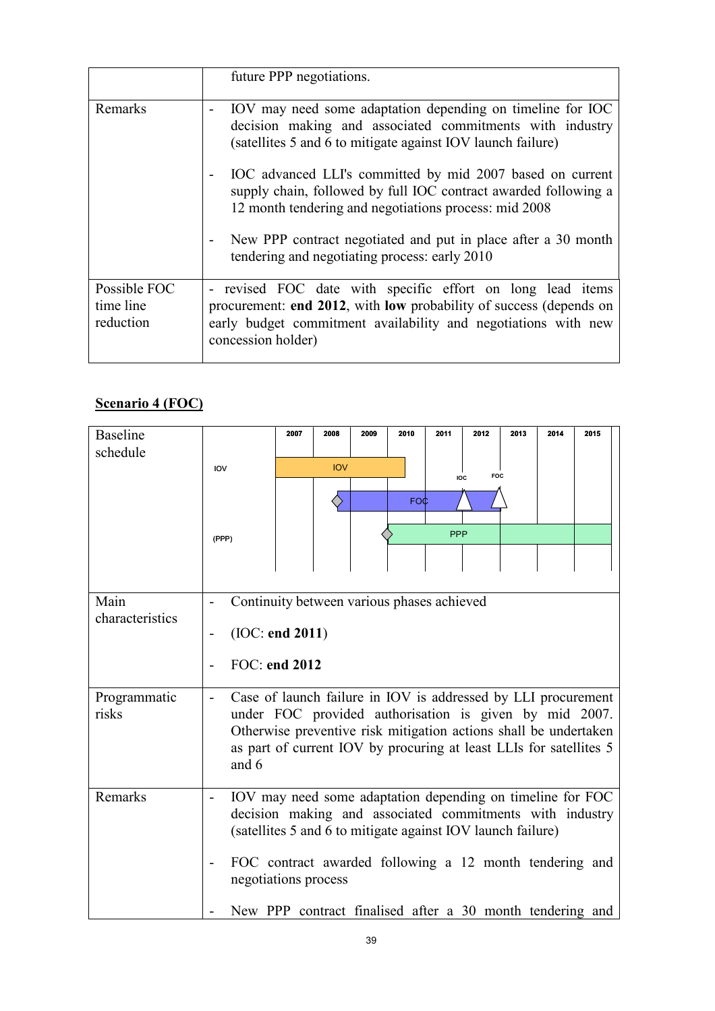|                                        | future PPP negotiations.                                                                                                                                                                                                                           |
|----------------------------------------|----------------------------------------------------------------------------------------------------------------------------------------------------------------------------------------------------------------------------------------------------|
| Remarks                                | IOV may need some adaptation depending on timeline for IOC<br>-<br>decision making and associated commitments with industry<br>(satellities 5 and 6 to mitigate against IOV launch failure)                                                        |
|                                        | IOC advanced LLI's committed by mid 2007 based on current<br>supply chain, followed by full IOC contract awarded following a<br>12 month tendering and negotiations process: mid 2008                                                              |
|                                        | New PPP contract negotiated and put in place after a 30 month<br>-<br>tendering and negotiating process: early 2010                                                                                                                                |
| Possible FOC<br>time line<br>reduction | revised FOC date with specific effort on long lead items<br>$\overline{\phantom{0}}$<br>procurement: end 2012, with low probability of success (depends on<br>early budget commitment availability and negotiations with new<br>concession holder) |

# Scenario 4 (FOC)

| <b>Baseline</b><br>schedule | IOV<br>(PPP)                                                                                                                                                                                                                                                               | 2007 | 2008<br><b>IOV</b> | 2009 | 2010<br><b>FOC</b> | 2011<br><b>PPP</b> | 2012<br>FOC<br><b>IOC</b> | 2013 | 2014 | 2015 |  |
|-----------------------------|----------------------------------------------------------------------------------------------------------------------------------------------------------------------------------------------------------------------------------------------------------------------------|------|--------------------|------|--------------------|--------------------|---------------------------|------|------|------|--|
| Main<br>characteristics     | Continuity between various phases achieved<br>(IOC: end 2011)<br>FOC: end 2012                                                                                                                                                                                             |      |                    |      |                    |                    |                           |      |      |      |  |
| Programmatic<br>risks       | Case of launch failure in IOV is addressed by LLI procurement<br>under FOC provided authorisation is given by mid 2007.<br>Otherwise preventive risk mitigation actions shall be undertaken<br>as part of current IOV by procuring at least LLIs for satellites 5<br>and 6 |      |                    |      |                    |                    |                           |      |      |      |  |
| Remarks                     | IOV may need some adaptation depending on timeline for FOC<br>decision making and associated commitments with industry<br>(satellites 5 and 6 to mitigate against IOV launch failure)<br>FOC contract awarded following a 12 month tendering and<br>negotiations process   |      |                    |      |                    |                    |                           |      |      |      |  |
|                             | New PPP contract finalised after a 30 month tendering and                                                                                                                                                                                                                  |      |                    |      |                    |                    |                           |      |      |      |  |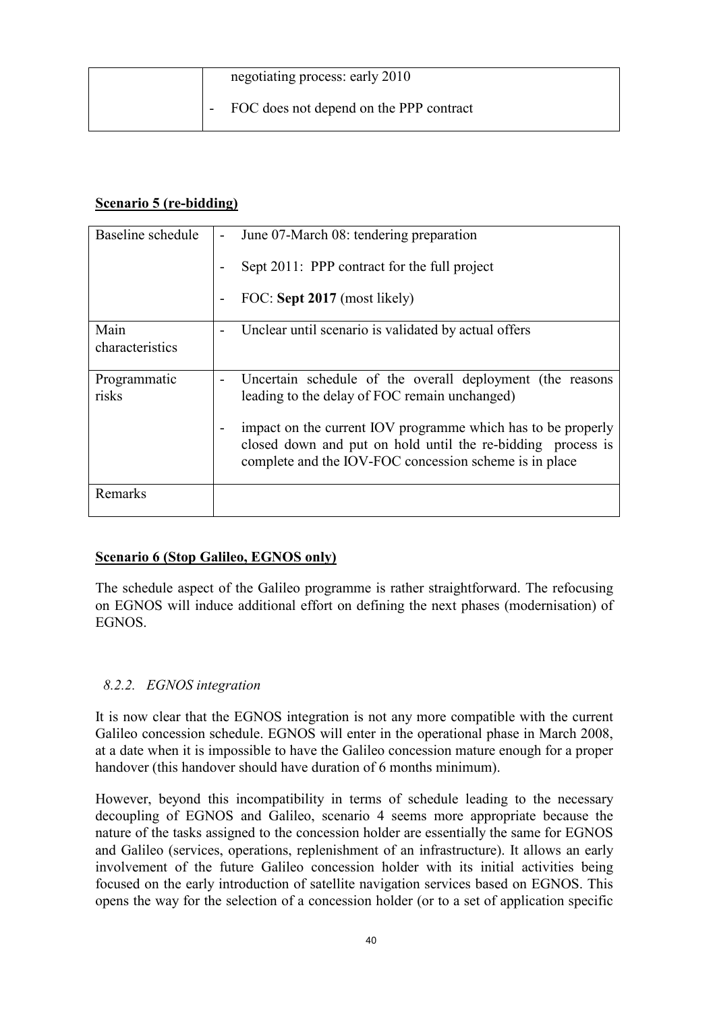| negotiating process: early 2010         |
|-----------------------------------------|
| FOC does not depend on the PPP contract |

# Scenario 5 (re-bidding)

| Baseline schedule | June 07-March 08: tendering preparation                                                                                                                                               |
|-------------------|---------------------------------------------------------------------------------------------------------------------------------------------------------------------------------------|
|                   | Sept 2011: PPP contract for the full project                                                                                                                                          |
|                   | FOC: Sept 2017 (most likely)                                                                                                                                                          |
| Main              | Unclear until scenario is validated by actual offers                                                                                                                                  |
| characteristics   |                                                                                                                                                                                       |
|                   |                                                                                                                                                                                       |
|                   |                                                                                                                                                                                       |
| Programmatic      | Uncertain schedule of the overall deployment (the reasons                                                                                                                             |
| risks             | leading to the delay of FOC remain unchanged)                                                                                                                                         |
|                   |                                                                                                                                                                                       |
|                   | impact on the current IOV programme which has to be properly<br>closed down and put on hold until the re-bidding process is<br>complete and the IOV-FOC concession scheme is in place |
| Remarks           |                                                                                                                                                                                       |
|                   |                                                                                                                                                                                       |

# Scenario 6 (Stop Galileo, EGNOS only)

The schedule aspect of the Galileo programme is rather straightforward. The refocusing on EGNOS will induce additional effort on defining the next phases (modernisation) of EGNOS.

# 8.2.2. EGNOS integration

It is now clear that the EGNOS integration is not any more compatible with the current Galileo concession schedule. EGNOS will enter in the operational phase in March 2008, at a date when it is impossible to have the Galileo concession mature enough for a proper handover (this handover should have duration of 6 months minimum).

However, beyond this incompatibility in terms of schedule leading to the necessary decoupling of EGNOS and Galileo, scenario 4 seems more appropriate because the nature of the tasks assigned to the concession holder are essentially the same for EGNOS and Galileo (services, operations, replenishment of an infrastructure). It allows an early involvement of the future Galileo concession holder with its initial activities being focused on the early introduction of satellite navigation services based on EGNOS. This opens the way for the selection of a concession holder (or to a set of application specific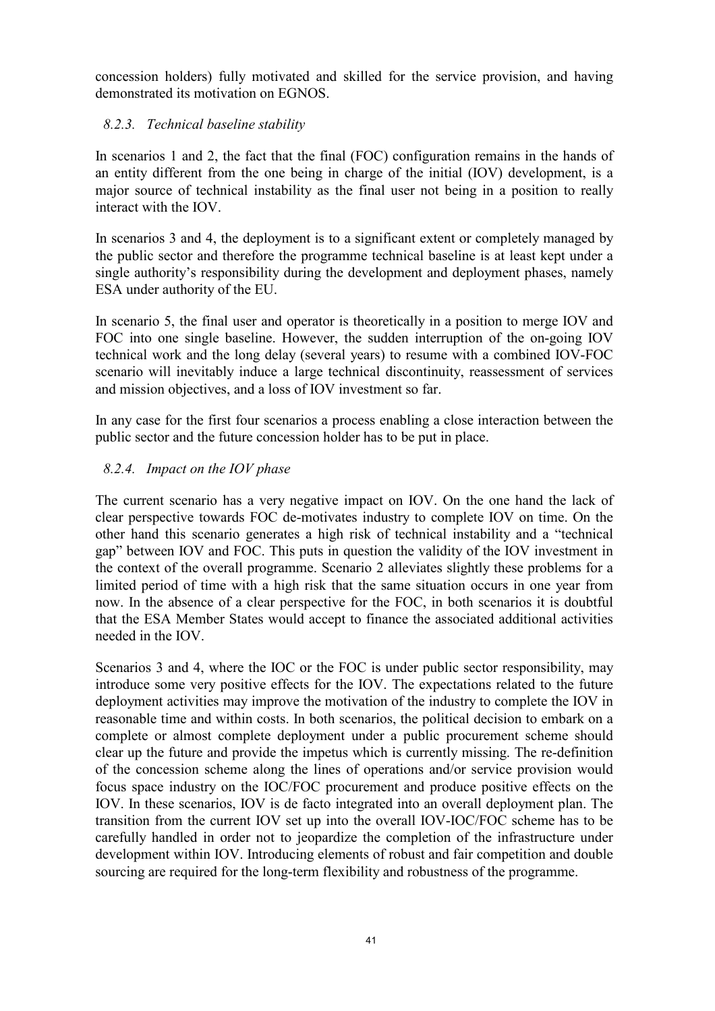concession holders) fully motivated and skilled for the service provision, and having demonstrated its motivation on EGNOS.

# 8.2.3. Technical baseline stability

In scenarios 1 and 2, the fact that the final (FOC) configuration remains in the hands of an entity different from the one being in charge of the initial (IOV) development, is a major source of technical instability as the final user not being in a position to really interact with the IOV.

In scenarios 3 and 4, the deployment is to a significant extent or completely managed by the public sector and therefore the programme technical baseline is at least kept under a single authority's responsibility during the development and deployment phases, namely ESA under authority of the EU.

In scenario 5, the final user and operator is theoretically in a position to merge IOV and FOC into one single baseline. However, the sudden interruption of the on-going IOV technical work and the long delay (several years) to resume with a combined IOV-FOC scenario will inevitably induce a large technical discontinuity, reassessment of services and mission objectives, and a loss of IOV investment so far.

In any case for the first four scenarios a process enabling a close interaction between the public sector and the future concession holder has to be put in place.

# 8.2.4. Impact on the IOV phase

The current scenario has a very negative impact on IOV. On the one hand the lack of clear perspective towards FOC de-motivates industry to complete IOV on time. On the other hand this scenario generates a high risk of technical instability and a "technical gap" between IOV and FOC. This puts in question the validity of the IOV investment in the context of the overall programme. Scenario 2 alleviates slightly these problems for a limited period of time with a high risk that the same situation occurs in one year from now. In the absence of a clear perspective for the FOC, in both scenarios it is doubtful that the ESA Member States would accept to finance the associated additional activities needed in the IOV.

Scenarios 3 and 4, where the IOC or the FOC is under public sector responsibility, may introduce some very positive effects for the IOV. The expectations related to the future deployment activities may improve the motivation of the industry to complete the IOV in reasonable time and within costs. In both scenarios, the political decision to embark on a complete or almost complete deployment under a public procurement scheme should clear up the future and provide the impetus which is currently missing. The re-definition of the concession scheme along the lines of operations and/or service provision would focus space industry on the IOC/FOC procurement and produce positive effects on the IOV. In these scenarios, IOV is de facto integrated into an overall deployment plan. The transition from the current IOV set up into the overall IOV-IOC/FOC scheme has to be carefully handled in order not to jeopardize the completion of the infrastructure under development within IOV. Introducing elements of robust and fair competition and double sourcing are required for the long-term flexibility and robustness of the programme.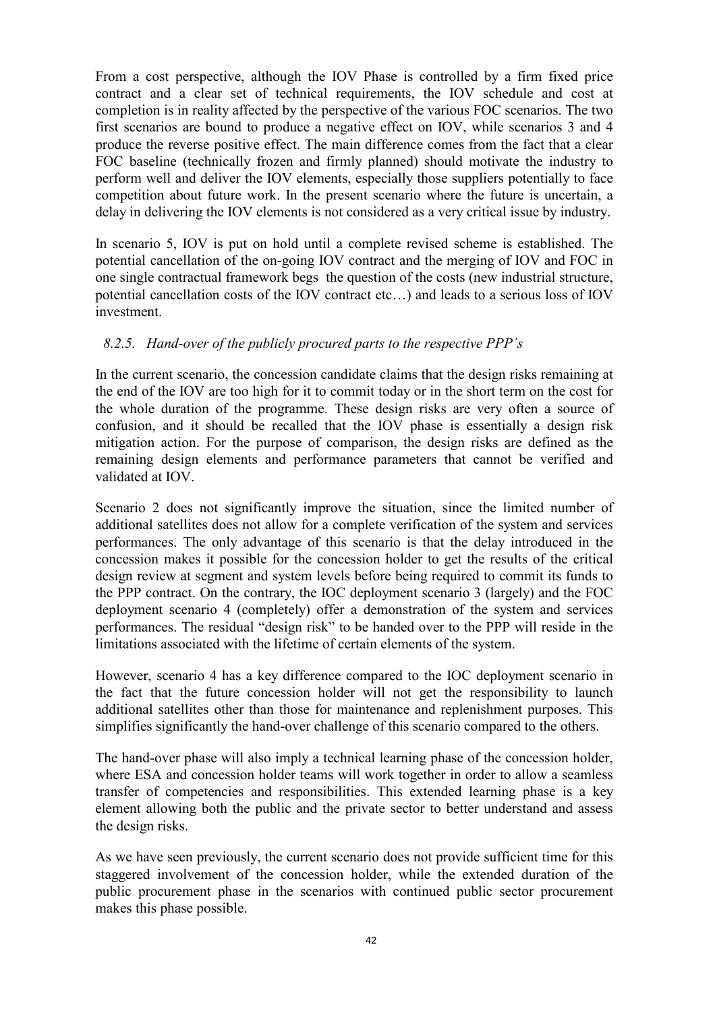From a cost perspective, although the IOV Phase is controlled by a firm fixed price contract and a clear set of technical requirements, the IOV schedule and cost at completion is in reality affected by the perspective of the various FOC scenarios. The two first scenarios are bound to produce a negative effect on IOV, while scenarios 3 and 4 produce the reverse positive effect. The main difference comes from the fact that a clear FOC baseline (technically frozen and firmly planned) should motivate the industry to perform well and deliver the IOV elements, especially those suppliers potentially to face competition about future work. In the present scenario where the future is uncertain, a delay in delivering the IOV elements is not considered as a very critical issue by industry.

In scenario 5, IOV is put on hold until a complete revised scheme is established. The potential cancellation of the on-going IOV contract and the merging of IOV and FOC in one single contractual framework begs the question of the costs (new industrial structure, potential cancellation costs of the IOV contract etc…) and leads to a serious loss of IOV investment.

# 8.2.5. Hand-over of the publicly procured parts to the respective PPP´s

In the current scenario, the concession candidate claims that the design risks remaining at the end of the IOV are too high for it to commit today or in the short term on the cost for the whole duration of the programme. These design risks are very often a source of confusion, and it should be recalled that the IOV phase is essentially a design risk mitigation action. For the purpose of comparison, the design risks are defined as the remaining design elements and performance parameters that cannot be verified and validated at IOV.

Scenario 2 does not significantly improve the situation, since the limited number of additional satellites does not allow for a complete verification of the system and services performances. The only advantage of this scenario is that the delay introduced in the concession makes it possible for the concession holder to get the results of the critical design review at segment and system levels before being required to commit its funds to the PPP contract. On the contrary, the IOC deployment scenario 3 (largely) and the FOC deployment scenario 4 (completely) offer a demonstration of the system and services performances. The residual "design risk" to be handed over to the PPP will reside in the limitations associated with the lifetime of certain elements of the system.

However, scenario 4 has a key difference compared to the IOC deployment scenario in the fact that the future concession holder will not get the responsibility to launch additional satellites other than those for maintenance and replenishment purposes. This simplifies significantly the hand-over challenge of this scenario compared to the others.

The hand-over phase will also imply a technical learning phase of the concession holder, where ESA and concession holder teams will work together in order to allow a seamless transfer of competencies and responsibilities. This extended learning phase is a key element allowing both the public and the private sector to better understand and assess the design risks.

As we have seen previously, the current scenario does not provide sufficient time for this staggered involvement of the concession holder, while the extended duration of the public procurement phase in the scenarios with continued public sector procurement makes this phase possible.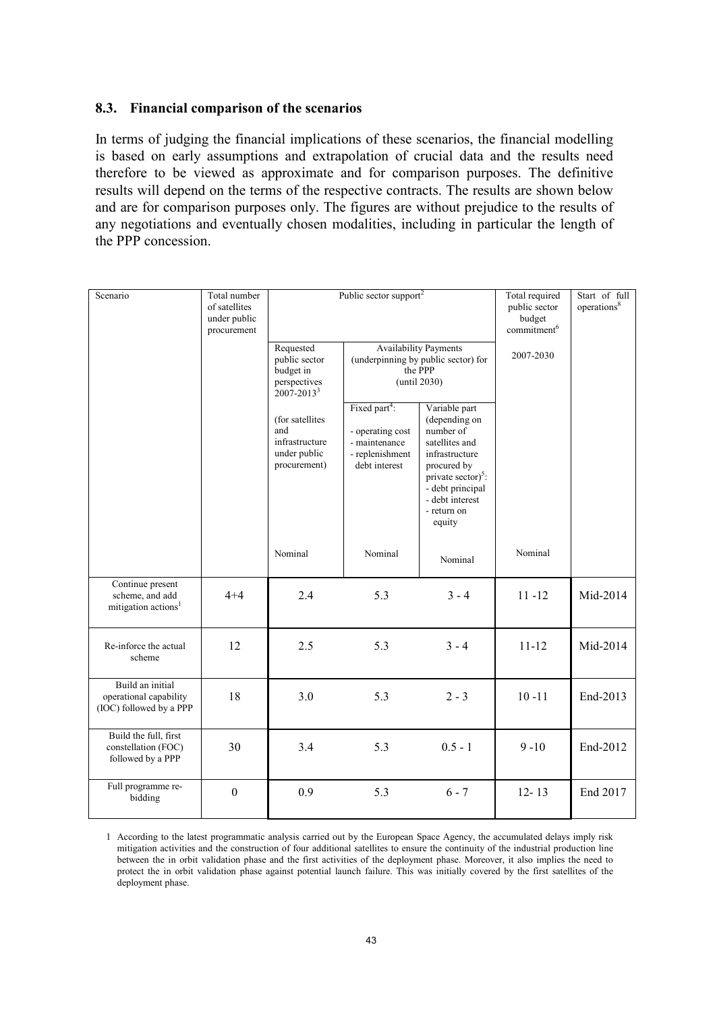#### 8.3. Financial comparison of the scenarios

In terms of judging the financial implications of these scenarios, the financial modelling is based on early assumptions and extrapolation of crucial data and the results need therefore to be viewed as approximate and for comparison purposes. The definitive results will depend on the terms of the respective contracts. The results are shown below and are for comparison purposes only. The figures are without prejudice to the results of any negotiations and eventually chosen modalities, including in particular the length of the PPP concession.

| Scenario                                                                    | Total number<br>of satellites<br>under public<br>procurement |                                                                                                                                                         | Public sector support <sup>2</sup>                                                                 | Total required<br>public sector<br>budget<br>commitment <sup>6</sup>                                                                                                                                                                                                                            | Start of full<br>operations <sup>8</sup> |          |
|-----------------------------------------------------------------------------|--------------------------------------------------------------|---------------------------------------------------------------------------------------------------------------------------------------------------------|----------------------------------------------------------------------------------------------------|-------------------------------------------------------------------------------------------------------------------------------------------------------------------------------------------------------------------------------------------------------------------------------------------------|------------------------------------------|----------|
|                                                                             |                                                              | Requested<br>public sector<br>budget in<br>perspectives<br>$2007 - 2013^3$<br>(for satellites)<br>and<br>infrastructure<br>under public<br>procurement) | Fixed part <sup>4</sup> :<br>- operating cost<br>- maintenance<br>- replenishment<br>debt interest | <b>Availability Payments</b><br>(underpinning by public sector) for<br>the PPP<br>$($ until 2030 $)$<br>Variable part<br>(depending on<br>number of<br>satellites and<br>infrastructure<br>procured by<br>private sector) $5$ :<br>- debt principal<br>- debt interest<br>- return on<br>equity | 2007-2030                                |          |
|                                                                             |                                                              | Nominal                                                                                                                                                 | Nominal                                                                                            | Nominal                                                                                                                                                                                                                                                                                         | Nominal                                  |          |
| Continue present<br>scheme, and add<br>mitigation actions <sup>1</sup>      | $4 + 4$                                                      | 2.4                                                                                                                                                     | 5.3                                                                                                | $3 - 4$                                                                                                                                                                                                                                                                                         | $11 - 12$                                | Mid-2014 |
| Re-inforce the actual<br>scheme                                             | 12                                                           | 2.5                                                                                                                                                     | 5.3<br>$3 - 4$                                                                                     |                                                                                                                                                                                                                                                                                                 | $11 - 12$                                | Mid-2014 |
| Build an initial<br>18<br>operational capability<br>(IOC) followed by a PPP |                                                              | 3.0                                                                                                                                                     | 5.3<br>$2 - 3$                                                                                     |                                                                                                                                                                                                                                                                                                 | $10 - 11$                                | End-2013 |
| Build the full, first<br>30<br>constellation (FOC)<br>followed by a PPP     |                                                              | 3.4                                                                                                                                                     | 5.3                                                                                                | $0.5 - 1$                                                                                                                                                                                                                                                                                       | $9 - 10$                                 | End-2012 |
| Full programme re-<br>$\boldsymbol{0}$<br>bidding                           |                                                              | 0.9                                                                                                                                                     | 5.3<br>$6 - 7$                                                                                     |                                                                                                                                                                                                                                                                                                 | $12 - 13$                                | End 2017 |

1 According to the latest programmatic analysis carried out by the European Space Agency, the accumulated delays imply risk mitigation activities and the construction of four additional satellites to ensure the continuity of the industrial production line between the in orbit validation phase and the first activities of the deployment phase. Moreover, it also implies the need to protect the in orbit validation phase against potential launch failure. This was initially covered by the first satellites of the deployment phase.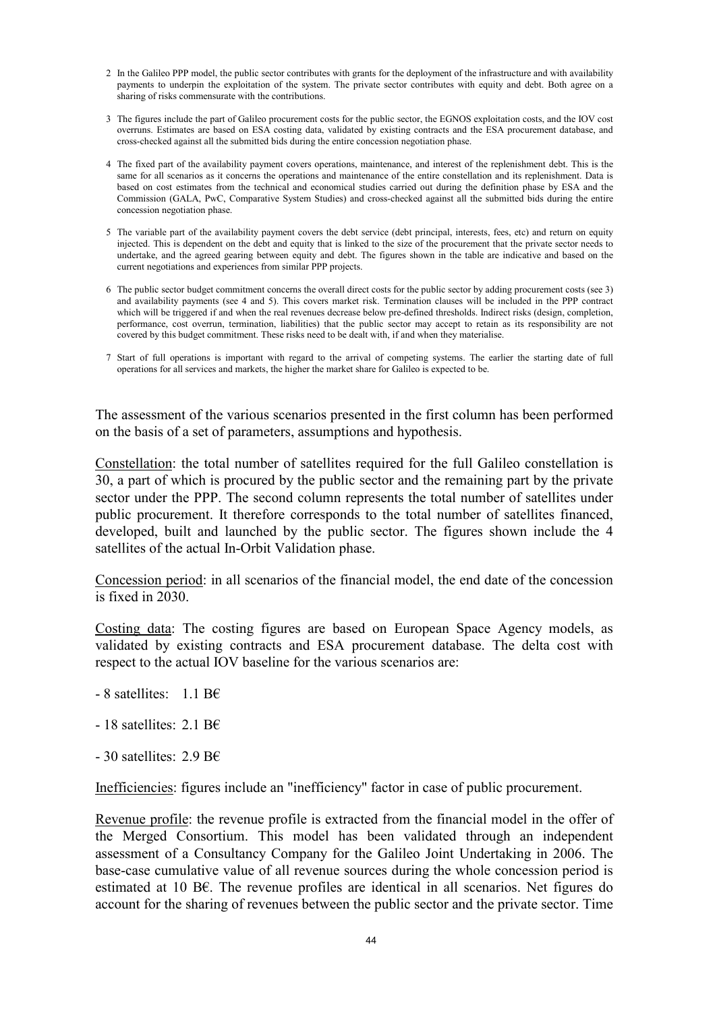- 2 In the Galileo PPP model, the public sector contributes with grants for the deployment of the infrastructure and with availability payments to underpin the exploitation of the system. The private sector contributes with equity and debt. Both agree on a sharing of risks commensurate with the contributions.
- 3 The figures include the part of Galileo procurement costs for the public sector, the EGNOS exploitation costs, and the IOV cost overruns. Estimates are based on ESA costing data, validated by existing contracts and the ESA procurement database, and cross-checked against all the submitted bids during the entire concession negotiation phase.
- 4 The fixed part of the availability payment covers operations, maintenance, and interest of the replenishment debt. This is the same for all scenarios as it concerns the operations and maintenance of the entire constellation and its replenishment. Data is based on cost estimates from the technical and economical studies carried out during the definition phase by ESA and the Commission (GALA, PwC, Comparative System Studies) and cross-checked against all the submitted bids during the entire concession negotiation phase.
- 5 The variable part of the availability payment covers the debt service (debt principal, interests, fees, etc) and return on equity injected. This is dependent on the debt and equity that is linked to the size of the procurement that the private sector needs to undertake, and the agreed gearing between equity and debt. The figures shown in the table are indicative and based on the current negotiations and experiences from similar PPP projects.
- 6 The public sector budget commitment concerns the overall direct costs for the public sector by adding procurement costs (see 3) and availability payments (see 4 and 5). This covers market risk. Termination clauses will be included in the PPP contract which will be triggered if and when the real revenues decrease below pre-defined thresholds. Indirect risks (design, completion, performance, cost overrun, termination, liabilities) that the public sector may accept to retain as its responsibility are not covered by this budget commitment. These risks need to be dealt with, if and when they materialise.
- 7 Start of full operations is important with regard to the arrival of competing systems. The earlier the starting date of full operations for all services and markets, the higher the market share for Galileo is expected to be.

The assessment of the various scenarios presented in the first column has been performed on the basis of a set of parameters, assumptions and hypothesis.

Constellation: the total number of satellites required for the full Galileo constellation is 30, a part of which is procured by the public sector and the remaining part by the private sector under the PPP. The second column represents the total number of satellites under public procurement. It therefore corresponds to the total number of satellites financed, developed, built and launched by the public sector. The figures shown include the 4 satellites of the actual In-Orbit Validation phase.

Concession period: in all scenarios of the financial model, the end date of the concession is fixed in 2030.

Costing data: The costing figures are based on European Space Agency models, as validated by existing contracts and ESA procurement database. The delta cost with respect to the actual IOV baseline for the various scenarios are:

- 8 satellites: 1.1 B€
- 18 satellites: 2.1 B $\epsilon$
- $-30$  satellites: 2.9 B $\epsilon$

Inefficiencies: figures include an "inefficiency" factor in case of public procurement.

Revenue profile: the revenue profile is extracted from the financial model in the offer of the Merged Consortium. This model has been validated through an independent assessment of a Consultancy Company for the Galileo Joint Undertaking in 2006. The base-case cumulative value of all revenue sources during the whole concession period is estimated at 10 B€. The revenue profiles are identical in all scenarios. Net figures do account for the sharing of revenues between the public sector and the private sector. Time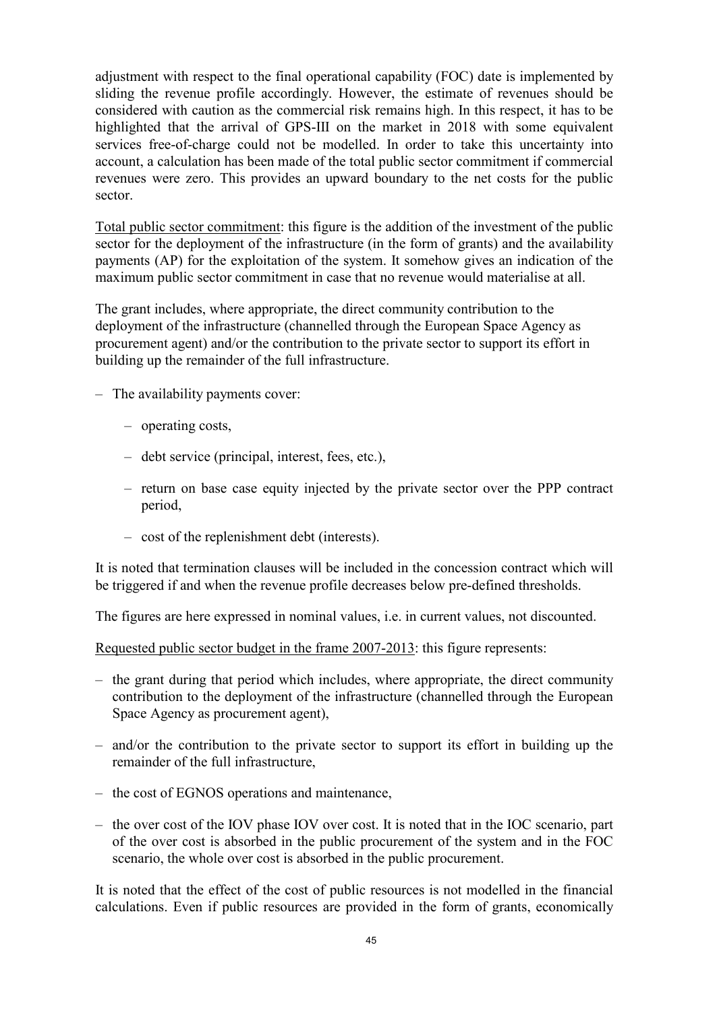adjustment with respect to the final operational capability (FOC) date is implemented by sliding the revenue profile accordingly. However, the estimate of revenues should be considered with caution as the commercial risk remains high. In this respect, it has to be highlighted that the arrival of GPS-III on the market in 2018 with some equivalent services free-of-charge could not be modelled. In order to take this uncertainty into account, a calculation has been made of the total public sector commitment if commercial revenues were zero. This provides an upward boundary to the net costs for the public sector.

Total public sector commitment: this figure is the addition of the investment of the public sector for the deployment of the infrastructure (in the form of grants) and the availability payments (AP) for the exploitation of the system. It somehow gives an indication of the maximum public sector commitment in case that no revenue would materialise at all.

The grant includes, where appropriate, the direct community contribution to the deployment of the infrastructure (channelled through the European Space Agency as procurement agent) and/or the contribution to the private sector to support its effort in building up the remainder of the full infrastructure.

- The availability payments cover:
	- operating costs,
	- debt service (principal, interest, fees, etc.),
	- return on base case equity injected by the private sector over the PPP contract period,
	- cost of the replenishment debt (interests).

It is noted that termination clauses will be included in the concession contract which will be triggered if and when the revenue profile decreases below pre-defined thresholds.

The figures are here expressed in nominal values, i.e. in current values, not discounted.

Requested public sector budget in the frame 2007-2013: this figure represents:

- the grant during that period which includes, where appropriate, the direct community contribution to the deployment of the infrastructure (channelled through the European Space Agency as procurement agent),
- and/or the contribution to the private sector to support its effort in building up the remainder of the full infrastructure,
- the cost of EGNOS operations and maintenance,
- the over cost of the IOV phase IOV over cost. It is noted that in the IOC scenario, part of the over cost is absorbed in the public procurement of the system and in the FOC scenario, the whole over cost is absorbed in the public procurement.

It is noted that the effect of the cost of public resources is not modelled in the financial calculations. Even if public resources are provided in the form of grants, economically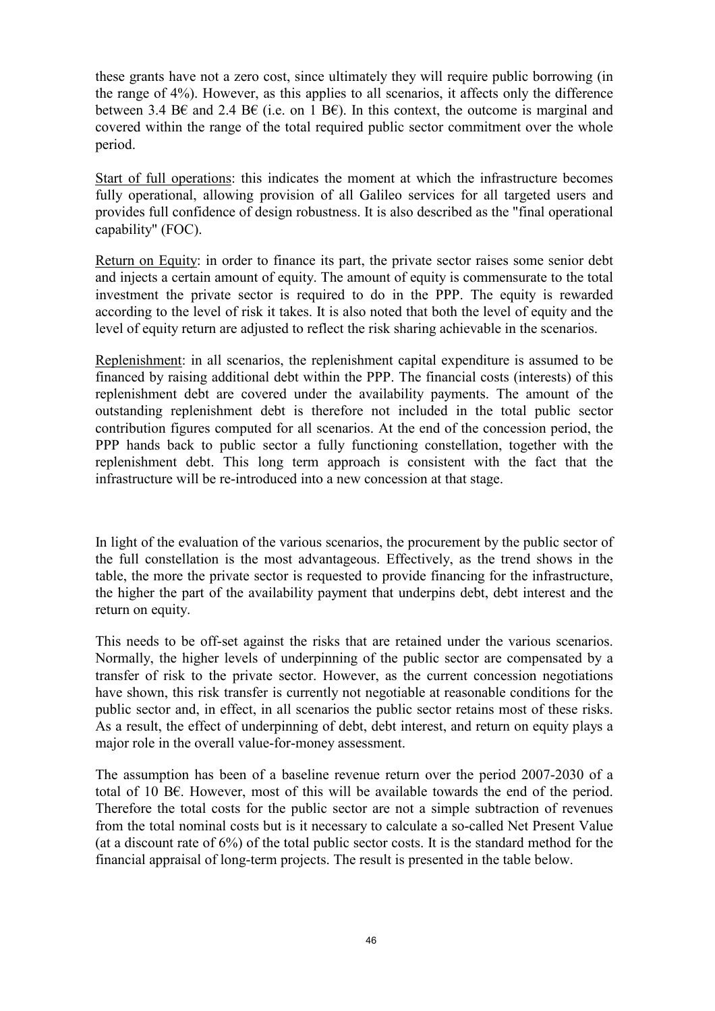these grants have not a zero cost, since ultimately they will require public borrowing (in the range of 4%). However, as this applies to all scenarios, it affects only the difference between 3.4 B€ and 2.4 B€ (i.e. on 1 B€). In this context, the outcome is marginal and covered within the range of the total required public sector commitment over the whole period.

Start of full operations: this indicates the moment at which the infrastructure becomes fully operational, allowing provision of all Galileo services for all targeted users and provides full confidence of design robustness. It is also described as the "final operational capability" (FOC).

Return on Equity: in order to finance its part, the private sector raises some senior debt and injects a certain amount of equity. The amount of equity is commensurate to the total investment the private sector is required to do in the PPP. The equity is rewarded according to the level of risk it takes. It is also noted that both the level of equity and the level of equity return are adjusted to reflect the risk sharing achievable in the scenarios.

Replenishment: in all scenarios, the replenishment capital expenditure is assumed to be financed by raising additional debt within the PPP. The financial costs (interests) of this replenishment debt are covered under the availability payments. The amount of the outstanding replenishment debt is therefore not included in the total public sector contribution figures computed for all scenarios. At the end of the concession period, the PPP hands back to public sector a fully functioning constellation, together with the replenishment debt. This long term approach is consistent with the fact that the infrastructure will be re-introduced into a new concession at that stage.

In light of the evaluation of the various scenarios, the procurement by the public sector of the full constellation is the most advantageous. Effectively, as the trend shows in the table, the more the private sector is requested to provide financing for the infrastructure, the higher the part of the availability payment that underpins debt, debt interest and the return on equity.

This needs to be off-set against the risks that are retained under the various scenarios. Normally, the higher levels of underpinning of the public sector are compensated by a transfer of risk to the private sector. However, as the current concession negotiations have shown, this risk transfer is currently not negotiable at reasonable conditions for the public sector and, in effect, in all scenarios the public sector retains most of these risks. As a result, the effect of underpinning of debt, debt interest, and return on equity plays a major role in the overall value-for-money assessment.

The assumption has been of a baseline revenue return over the period 2007-2030 of a total of 10 B€. However, most of this will be available towards the end of the period. Therefore the total costs for the public sector are not a simple subtraction of revenues from the total nominal costs but is it necessary to calculate a so-called Net Present Value (at a discount rate of 6%) of the total public sector costs. It is the standard method for the financial appraisal of long-term projects. The result is presented in the table below.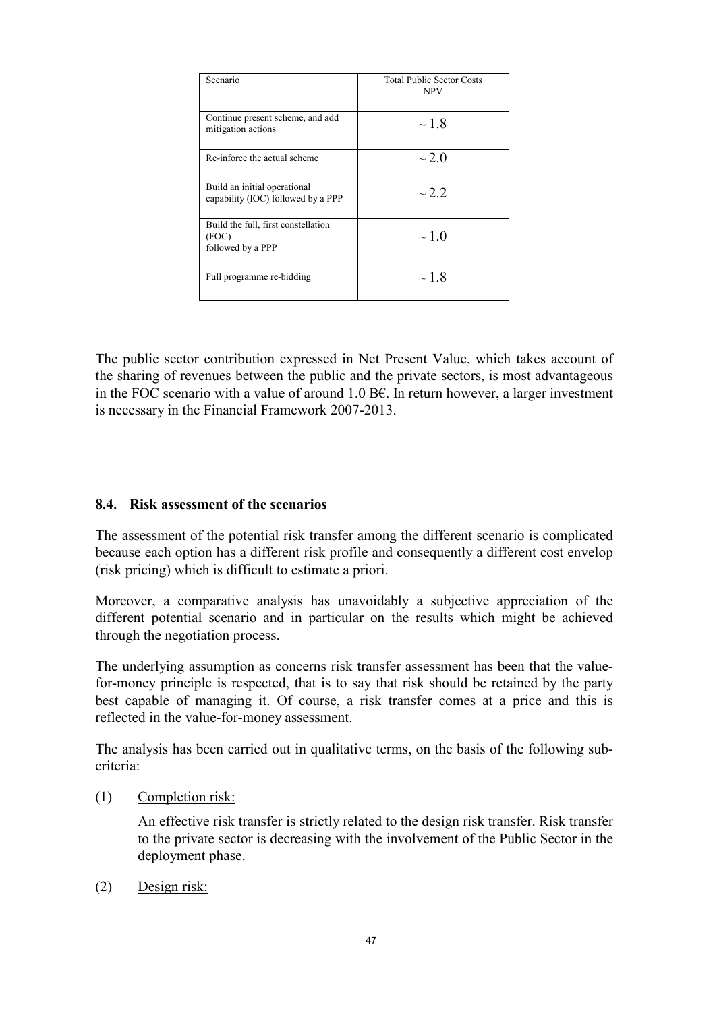| Scenario                                                           | <b>Total Public Sector Costs</b><br><b>NPV</b> |
|--------------------------------------------------------------------|------------------------------------------------|
| Continue present scheme, and add<br>mitigation actions             | $\sim$ 1.8                                     |
| Re-inforce the actual scheme                                       | $\sim$ 2.0                                     |
| Build an initial operational<br>capability (IOC) followed by a PPP | $\sim$ 2 2                                     |
| Build the full, first constellation<br>(FOC)<br>followed by a PPP  | $\sim$ 1.0                                     |
| Full programme re-bidding                                          | $\sim$ 1.8                                     |

The public sector contribution expressed in Net Present Value, which takes account of the sharing of revenues between the public and the private sectors, is most advantageous in the FOC scenario with a value of around 1.0 B€. In return however, a larger investment is necessary in the Financial Framework 2007-2013.

### 8.4. Risk assessment of the scenarios

The assessment of the potential risk transfer among the different scenario is complicated because each option has a different risk profile and consequently a different cost envelop (risk pricing) which is difficult to estimate a priori.

Moreover, a comparative analysis has unavoidably a subjective appreciation of the different potential scenario and in particular on the results which might be achieved through the negotiation process.

The underlying assumption as concerns risk transfer assessment has been that the valuefor-money principle is respected, that is to say that risk should be retained by the party best capable of managing it. Of course, a risk transfer comes at a price and this is reflected in the value-for-money assessment.

The analysis has been carried out in qualitative terms, on the basis of the following subcriteria:

(1) Completion risk:

An effective risk transfer is strictly related to the design risk transfer. Risk transfer to the private sector is decreasing with the involvement of the Public Sector in the deployment phase.

(2) Design risk: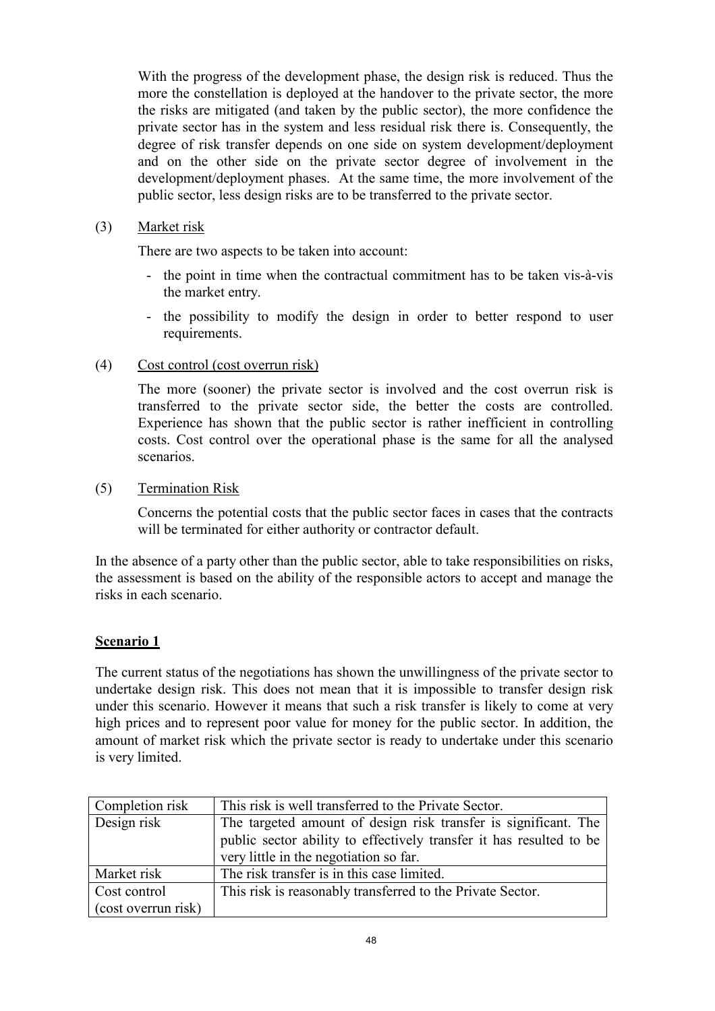With the progress of the development phase, the design risk is reduced. Thus the more the constellation is deployed at the handover to the private sector, the more the risks are mitigated (and taken by the public sector), the more confidence the private sector has in the system and less residual risk there is. Consequently, the degree of risk transfer depends on one side on system development/deployment and on the other side on the private sector degree of involvement in the development/deployment phases. At the same time, the more involvement of the public sector, less design risks are to be transferred to the private sector.

## (3) Market risk

There are two aspects to be taken into account:

- the point in time when the contractual commitment has to be taken vis-à-vis the market entry.
- the possibility to modify the design in order to better respond to user requirements.

# (4) Cost control (cost overrun risk)

The more (sooner) the private sector is involved and the cost overrun risk is transferred to the private sector side, the better the costs are controlled. Experience has shown that the public sector is rather inefficient in controlling costs. Cost control over the operational phase is the same for all the analysed scenarios.

## (5) Termination Risk

Concerns the potential costs that the public sector faces in cases that the contracts will be terminated for either authority or contractor default.

In the absence of a party other than the public sector, able to take responsibilities on risks, the assessment is based on the ability of the responsible actors to accept and manage the risks in each scenario.

# Scenario 1

The current status of the negotiations has shown the unwillingness of the private sector to undertake design risk. This does not mean that it is impossible to transfer design risk under this scenario. However it means that such a risk transfer is likely to come at very high prices and to represent poor value for money for the public sector. In addition, the amount of market risk which the private sector is ready to undertake under this scenario is very limited.

| Completion risk     | This risk is well transferred to the Private Sector.                |
|---------------------|---------------------------------------------------------------------|
| Design risk         | The targeted amount of design risk transfer is significant. The     |
|                     | public sector ability to effectively transfer it has resulted to be |
|                     | very little in the negotiation so far.                              |
| Market risk         | The risk transfer is in this case limited.                          |
| Cost control        | This risk is reasonably transferred to the Private Sector.          |
| (cost overrun risk) |                                                                     |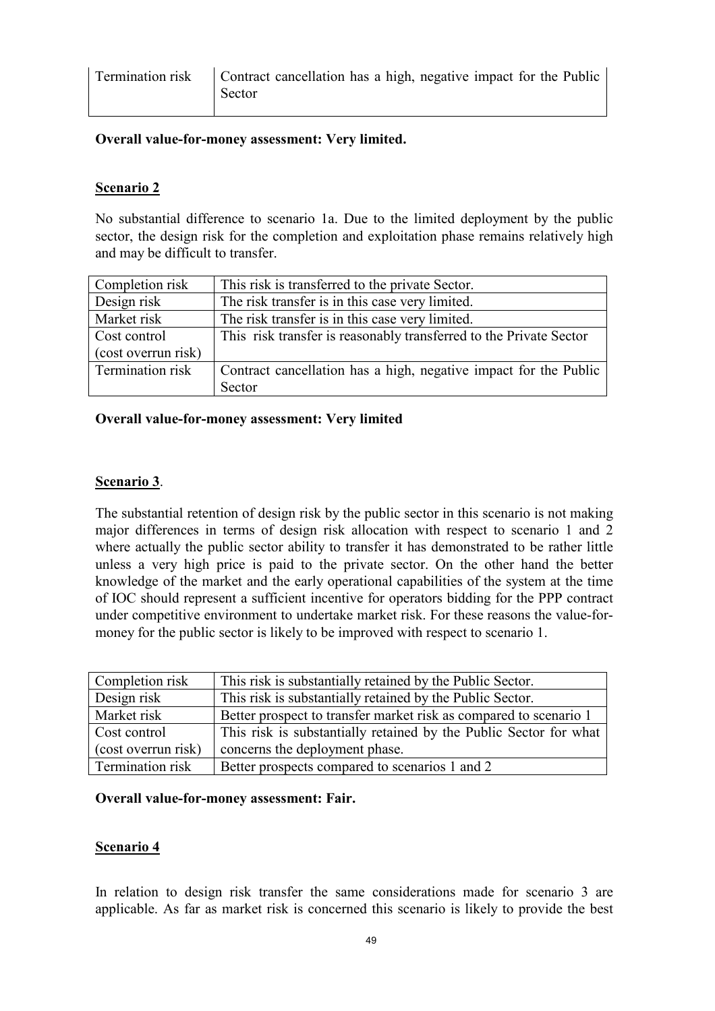## Overall value-for-money assessment: Very limited.

## Scenario 2

No substantial difference to scenario 1a. Due to the limited deployment by the public sector, the design risk for the completion and exploitation phase remains relatively high and may be difficult to transfer.

| Completion risk     | This risk is transferred to the private Sector.                    |
|---------------------|--------------------------------------------------------------------|
| Design risk         | The risk transfer is in this case very limited.                    |
| Market risk         | The risk transfer is in this case very limited.                    |
| Cost control        | This risk transfer is reasonably transferred to the Private Sector |
| (cost overrun risk) |                                                                    |
| Termination risk    | Contract cancellation has a high, negative impact for the Public   |
|                     | Sector                                                             |

### Overall value-for-money assessment: Very limited

### Scenario 3.

The substantial retention of design risk by the public sector in this scenario is not making major differences in terms of design risk allocation with respect to scenario 1 and 2 where actually the public sector ability to transfer it has demonstrated to be rather little unless a very high price is paid to the private sector. On the other hand the better knowledge of the market and the early operational capabilities of the system at the time of IOC should represent a sufficient incentive for operators bidding for the PPP contract under competitive environment to undertake market risk. For these reasons the value-formoney for the public sector is likely to be improved with respect to scenario 1.

| Completion risk     | This risk is substantially retained by the Public Sector.         |
|---------------------|-------------------------------------------------------------------|
| Design risk         | This risk is substantially retained by the Public Sector.         |
| Market risk         | Better prospect to transfer market risk as compared to scenario 1 |
| Cost control        | This risk is substantially retained by the Public Sector for what |
| (cost overrun risk) | concerns the deployment phase.                                    |
| Termination risk    | Better prospects compared to scenarios 1 and 2                    |

### Overall value-for-money assessment: Fair.

### Scenario 4

In relation to design risk transfer the same considerations made for scenario 3 are applicable. As far as market risk is concerned this scenario is likely to provide the best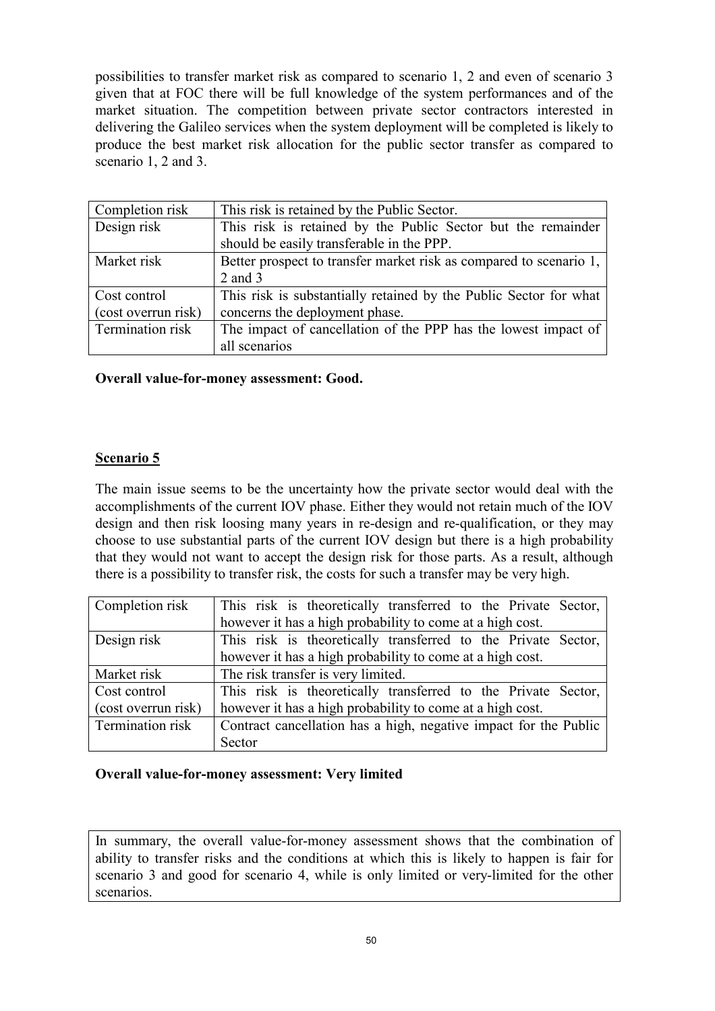possibilities to transfer market risk as compared to scenario 1, 2 and even of scenario 3 given that at FOC there will be full knowledge of the system performances and of the market situation. The competition between private sector contractors interested in delivering the Galileo services when the system deployment will be completed is likely to produce the best market risk allocation for the public sector transfer as compared to scenario 1, 2 and 3.

| Completion risk     | This risk is retained by the Public Sector.                        |  |  |  |  |
|---------------------|--------------------------------------------------------------------|--|--|--|--|
| Design risk         | This risk is retained by the Public Sector but the remainder       |  |  |  |  |
|                     | should be easily transferable in the PPP.                          |  |  |  |  |
| Market risk         | Better prospect to transfer market risk as compared to scenario 1, |  |  |  |  |
|                     | $2$ and $3$                                                        |  |  |  |  |
| Cost control        | This risk is substantially retained by the Public Sector for what  |  |  |  |  |
| (cost overrun risk) | concerns the deployment phase.                                     |  |  |  |  |
| Termination risk    | The impact of cancellation of the PPP has the lowest impact of     |  |  |  |  |
|                     | all scenarios                                                      |  |  |  |  |

## Overall value-for-money assessment: Good.

### Scenario 5

The main issue seems to be the uncertainty how the private sector would deal with the accomplishments of the current IOV phase. Either they would not retain much of the IOV design and then risk loosing many years in re-design and re-qualification, or they may choose to use substantial parts of the current IOV design but there is a high probability that they would not want to accept the design risk for those parts. As a result, although there is a possibility to transfer risk, the costs for such a transfer may be very high.

| Completion risk     | This risk is theoretically transferred to the Private Sector,    |  |  |  |  |  |  |
|---------------------|------------------------------------------------------------------|--|--|--|--|--|--|
|                     | however it has a high probability to come at a high cost.        |  |  |  |  |  |  |
| Design risk         | This risk is theoretically transferred to the Private Sector,    |  |  |  |  |  |  |
|                     | however it has a high probability to come at a high cost.        |  |  |  |  |  |  |
| Market risk         | The risk transfer is very limited.                               |  |  |  |  |  |  |
| Cost control        | This risk is theoretically transferred to the Private Sector,    |  |  |  |  |  |  |
| (cost overrun risk) | however it has a high probability to come at a high cost.        |  |  |  |  |  |  |
| Termination risk    | Contract cancellation has a high, negative impact for the Public |  |  |  |  |  |  |
|                     | Sector                                                           |  |  |  |  |  |  |

### Overall value-for-money assessment: Very limited

In summary, the overall value-for-money assessment shows that the combination of ability to transfer risks and the conditions at which this is likely to happen is fair for scenario 3 and good for scenario 4, while is only limited or very-limited for the other scenarios.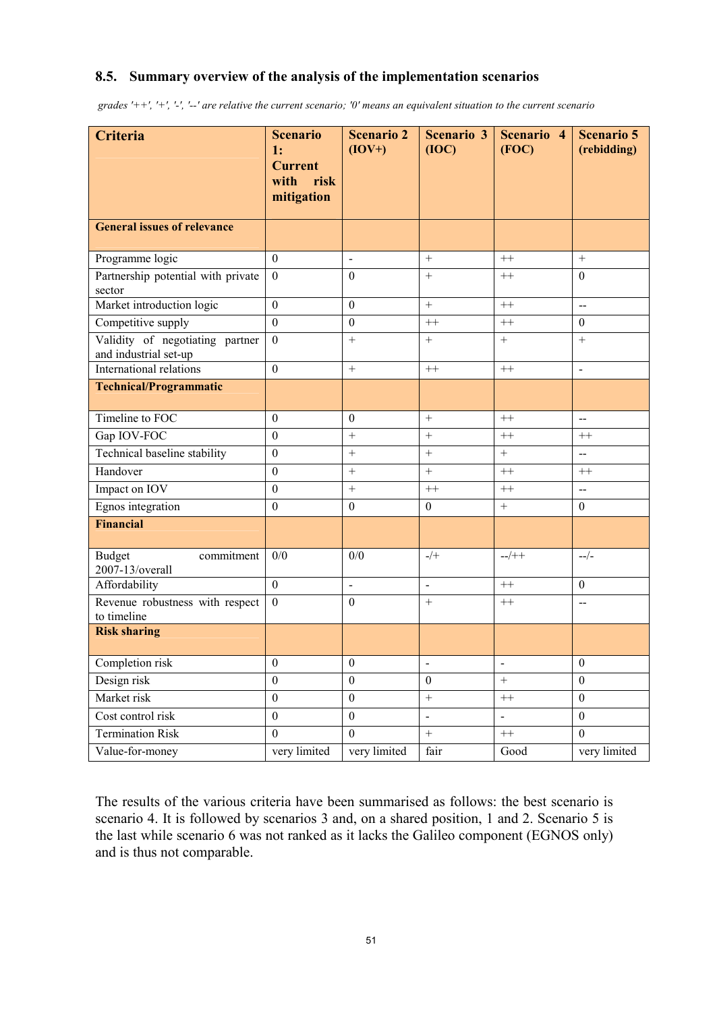## 8.5. Summary overview of the analysis of the implementation scenarios

grades '++', '+', '-', '--' are relative the current scenario; '0' means an equivalent situation to the current scenario

| <b>Criteria</b>                                          | <b>Scenario</b><br>1:<br><b>Current</b><br>with<br>risk<br>mitigation | <b>Scenario 2</b><br>$(IOV+)$ | <b>Scenario 3</b><br>(IOC) | Scenario 4<br>(FOC)          | <b>Scenario 5</b><br>(rebidding) |
|----------------------------------------------------------|-----------------------------------------------------------------------|-------------------------------|----------------------------|------------------------------|----------------------------------|
| <b>General issues of relevance</b>                       |                                                                       |                               |                            |                              |                                  |
| Programme logic                                          | $\mathbf{0}$                                                          | $\blacksquare$                | $+$                        | $++$                         | $+$                              |
| Partnership potential with private<br>sector             | $\boldsymbol{0}$                                                      | $\boldsymbol{0}$              | $+$                        | $^{++}$                      | $\theta$                         |
| Market introduction logic                                | $\boldsymbol{0}$                                                      | $\boldsymbol{0}$              | $\boldsymbol{+}$           | $++$                         | $\overline{\phantom{a}}$         |
| Competitive supply                                       | $\boldsymbol{0}$                                                      | $\boldsymbol{0}$              | $++$                       | $++$                         | $\mathbf{0}$                     |
| Validity of negotiating partner<br>and industrial set-up | $\boldsymbol{0}$                                                      | $+$                           | $+$                        | $+$                          | $+$                              |
| International relations                                  | $\mathbf{0}$                                                          | $+$                           | $++$                       | $++$                         | $\sim$                           |
| <b>Technical/Programmatic</b>                            |                                                                       |                               |                            |                              |                                  |
| Timeline to FOC                                          | $\mathbf{0}$                                                          | $\boldsymbol{0}$              | $\qquad \qquad +$          | $++$                         | $\overline{\phantom{a}}$         |
| Gap IOV-FOC                                              | $\overline{0}$                                                        |                               | $\boldsymbol{+}$           | $^{++}$                      | $^{++}$                          |
| Technical baseline stability                             | $\boldsymbol{0}$                                                      | $+$                           | $\boldsymbol{+}$           | $+$                          | $\overline{\phantom{a}}$         |
| Handover                                                 | $\boldsymbol{0}$                                                      | $+$                           | $+$                        | $++$                         | $++$                             |
| Impact on IOV                                            | $\boldsymbol{0}$                                                      | $+$                           | $^{++}$                    | $++$                         | $\overline{\phantom{a}}$         |
| Egnos integration                                        | $\boldsymbol{0}$                                                      | $\boldsymbol{0}$              | $\mathbf{0}$               | $^{+}$                       | $\bf{0}$                         |
| <b>Financial</b>                                         |                                                                       |                               |                            |                              |                                  |
| <b>Budget</b><br>commitment<br>2007-13/overall           | 0/0                                                                   | 0/0                           | $-/+$                      | $-$ /++                      | $-/-$                            |
| Affordability                                            | $\overline{0}$                                                        | $\overline{a}$                | $\overline{a}$             | $++$                         | $\mathbf{0}$                     |
| Revenue robustness with respect<br>to timeline           | $\Omega$                                                              | $\theta$                      | $+$                        | $^{++}$                      | --                               |
| <b>Risk sharing</b>                                      |                                                                       |                               |                            |                              |                                  |
| Completion risk                                          | $\bf{0}$                                                              | $\bf{0}$                      | $\blacksquare$             | $\qquad \qquad \blacksquare$ | $\theta$                         |
| Design risk                                              | $\mathbf{0}$                                                          | $\boldsymbol{0}$              | $\mathbf{0}$               | $+$                          | $\boldsymbol{0}$                 |
| Market risk                                              | $\boldsymbol{0}$                                                      | $\boldsymbol{0}$              | $\boldsymbol{+}$           | $^{++}\,$                    | $\boldsymbol{0}$                 |
| Cost control risk                                        | $\boldsymbol{0}$                                                      | $\boldsymbol{0}$              | $\overline{a}$             | $\omega$                     | $\mathbf{0}$                     |
| <b>Termination Risk</b>                                  | $\overline{0}$                                                        | $\boldsymbol{0}$              | $\qquad \qquad +$          | $^{++}\,$                    | $\boldsymbol{0}$                 |
| Value-for-money                                          | very limited                                                          | very limited                  | fair                       | Good                         | very limited                     |

The results of the various criteria have been summarised as follows: the best scenario is scenario 4. It is followed by scenarios 3 and, on a shared position, 1 and 2. Scenario 5 is the last while scenario 6 was not ranked as it lacks the Galileo component (EGNOS only) and is thus not comparable.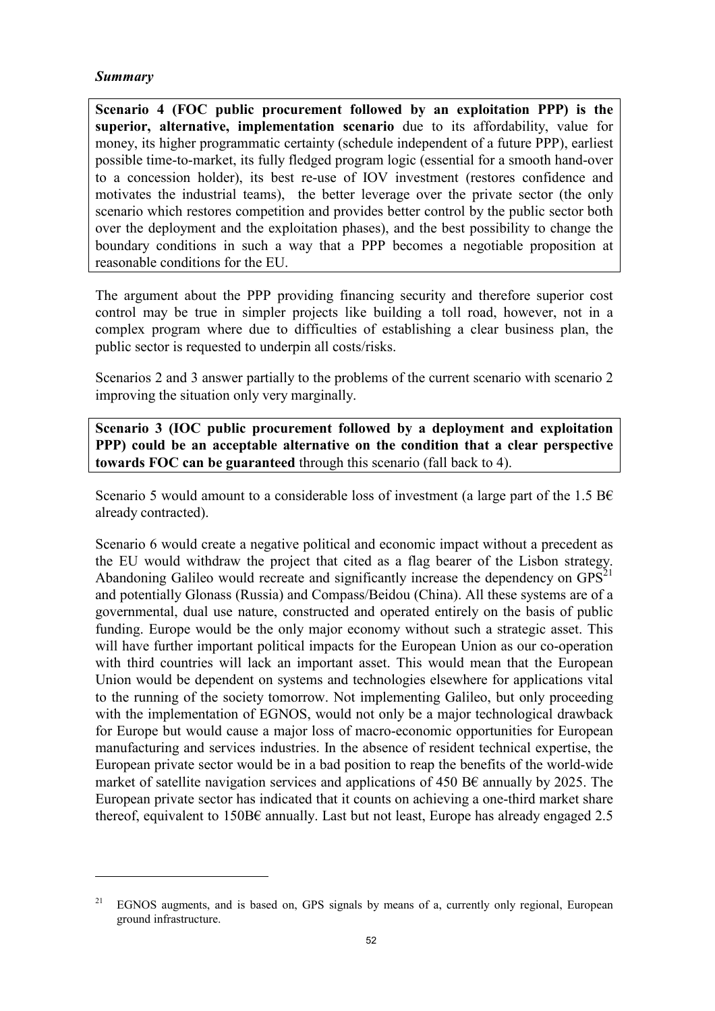#### Summary

 $\overline{a}$ 

Scenario 4 (FOC public procurement followed by an exploitation PPP) is the superior, alternative, implementation scenario due to its affordability, value for money, its higher programmatic certainty (schedule independent of a future PPP), earliest possible time-to-market, its fully fledged program logic (essential for a smooth hand-over to a concession holder), its best re-use of IOV investment (restores confidence and motivates the industrial teams), the better leverage over the private sector (the only scenario which restores competition and provides better control by the public sector both over the deployment and the exploitation phases), and the best possibility to change the boundary conditions in such a way that a PPP becomes a negotiable proposition at reasonable conditions for the EU.

The argument about the PPP providing financing security and therefore superior cost control may be true in simpler projects like building a toll road, however, not in a complex program where due to difficulties of establishing a clear business plan, the public sector is requested to underpin all costs/risks.

Scenarios 2 and 3 answer partially to the problems of the current scenario with scenario 2 improving the situation only very marginally.

Scenario 3 (IOC public procurement followed by a deployment and exploitation PPP) could be an acceptable alternative on the condition that a clear perspective towards FOC can be guaranteed through this scenario (fall back to 4).

Scenario 5 would amount to a considerable loss of investment (a large part of the 1.5 BC already contracted).

Scenario 6 would create a negative political and economic impact without a precedent as the EU would withdraw the project that cited as a flag bearer of the Lisbon strategy. Abandoning Galileo would recreate and significantly increase the dependency on  $GPS<sup>21</sup>$ and potentially Glonass (Russia) and Compass/Beidou (China). All these systems are of a governmental, dual use nature, constructed and operated entirely on the basis of public funding. Europe would be the only major economy without such a strategic asset. This will have further important political impacts for the European Union as our co-operation with third countries will lack an important asset. This would mean that the European Union would be dependent on systems and technologies elsewhere for applications vital to the running of the society tomorrow. Not implementing Galileo, but only proceeding with the implementation of EGNOS, would not only be a major technological drawback for Europe but would cause a major loss of macro-economic opportunities for European manufacturing and services industries. In the absence of resident technical expertise, the European private sector would be in a bad position to reap the benefits of the world-wide market of satellite navigation services and applications of 450 B€ annually by 2025. The European private sector has indicated that it counts on achieving a one-third market share thereof, equivalent to 150B $\epsilon$  annually. Last but not least, Europe has already engaged 2.5

<sup>&</sup>lt;sup>21</sup> EGNOS augments, and is based on, GPS signals by means of a, currently only regional, European ground infrastructure.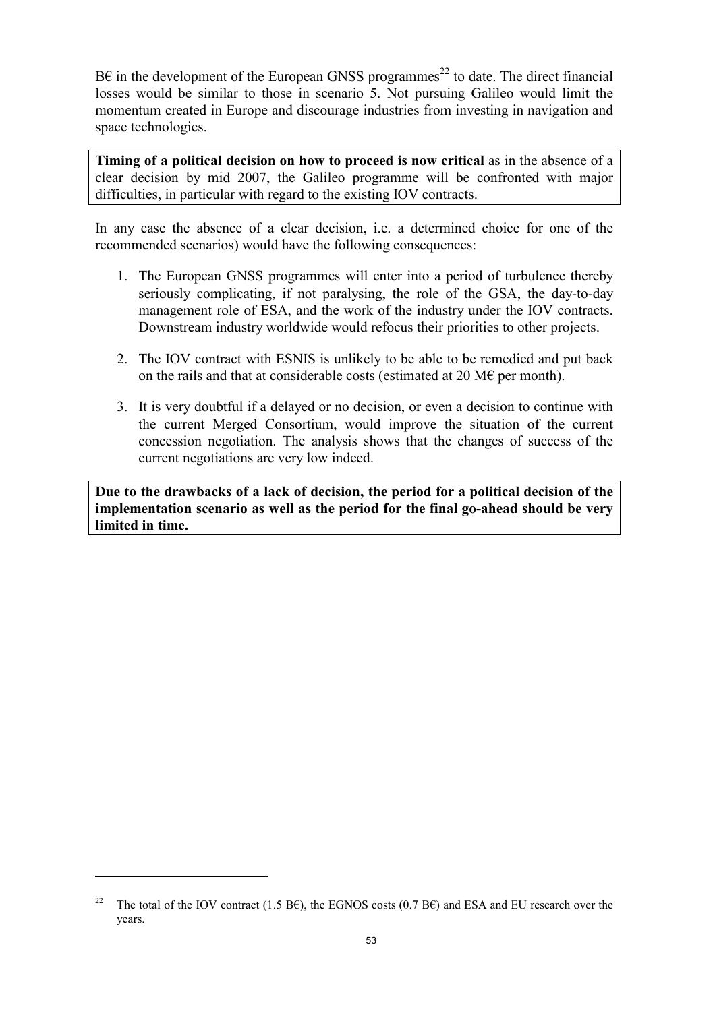$B\epsilon$  in the development of the European GNSS programmes<sup>22</sup> to date. The direct financial losses would be similar to those in scenario 5. Not pursuing Galileo would limit the momentum created in Europe and discourage industries from investing in navigation and space technologies.

Timing of a political decision on how to proceed is now critical as in the absence of a clear decision by mid 2007, the Galileo programme will be confronted with major difficulties, in particular with regard to the existing IOV contracts.

In any case the absence of a clear decision, i.e. a determined choice for one of the recommended scenarios) would have the following consequences:

- 1. The European GNSS programmes will enter into a period of turbulence thereby seriously complicating, if not paralysing, the role of the GSA, the day-to-day management role of ESA, and the work of the industry under the IOV contracts. Downstream industry worldwide would refocus their priorities to other projects.
- 2. The IOV contract with ESNIS is unlikely to be able to be remedied and put back on the rails and that at considerable costs (estimated at 20 M $\epsilon$  per month).
- 3. It is very doubtful if a delayed or no decision, or even a decision to continue with the current Merged Consortium, would improve the situation of the current concession negotiation. The analysis shows that the changes of success of the current negotiations are very low indeed.

Due to the drawbacks of a lack of decision, the period for a political decision of the implementation scenario as well as the period for the final go-ahead should be very limited in time.

<sup>&</sup>lt;sup>22</sup> The total of the IOV contract (1.5 B€), the EGNOS costs (0.7 B€) and ESA and EU research over the years.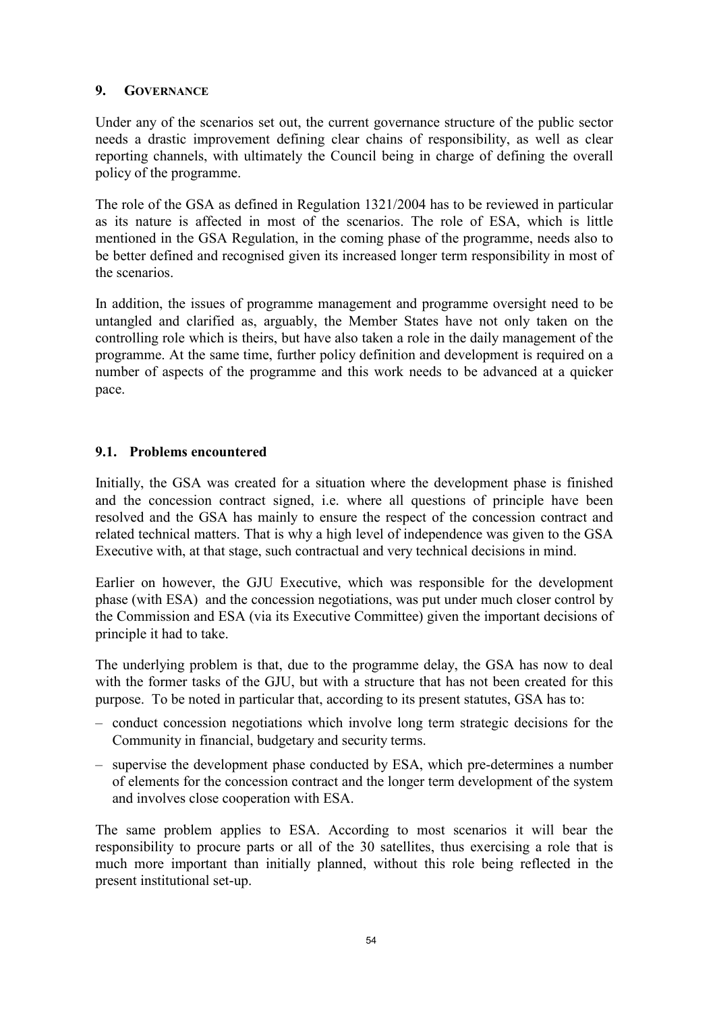## 9. GOVERNANCE

Under any of the scenarios set out, the current governance structure of the public sector needs a drastic improvement defining clear chains of responsibility, as well as clear reporting channels, with ultimately the Council being in charge of defining the overall policy of the programme.

The role of the GSA as defined in Regulation 1321/2004 has to be reviewed in particular as its nature is affected in most of the scenarios. The role of ESA, which is little mentioned in the GSA Regulation, in the coming phase of the programme, needs also to be better defined and recognised given its increased longer term responsibility in most of the scenarios.

In addition, the issues of programme management and programme oversight need to be untangled and clarified as, arguably, the Member States have not only taken on the controlling role which is theirs, but have also taken a role in the daily management of the programme. At the same time, further policy definition and development is required on a number of aspects of the programme and this work needs to be advanced at a quicker pace.

# 9.1. Problems encountered

Initially, the GSA was created for a situation where the development phase is finished and the concession contract signed, i.e. where all questions of principle have been resolved and the GSA has mainly to ensure the respect of the concession contract and related technical matters. That is why a high level of independence was given to the GSA Executive with, at that stage, such contractual and very technical decisions in mind.

Earlier on however, the GJU Executive, which was responsible for the development phase (with ESA) and the concession negotiations, was put under much closer control by the Commission and ESA (via its Executive Committee) given the important decisions of principle it had to take.

The underlying problem is that, due to the programme delay, the GSA has now to deal with the former tasks of the GJU, but with a structure that has not been created for this purpose. To be noted in particular that, according to its present statutes, GSA has to:

- conduct concession negotiations which involve long term strategic decisions for the Community in financial, budgetary and security terms.
- supervise the development phase conducted by ESA, which pre-determines a number of elements for the concession contract and the longer term development of the system and involves close cooperation with ESA.

The same problem applies to ESA. According to most scenarios it will bear the responsibility to procure parts or all of the 30 satellites, thus exercising a role that is much more important than initially planned, without this role being reflected in the present institutional set-up.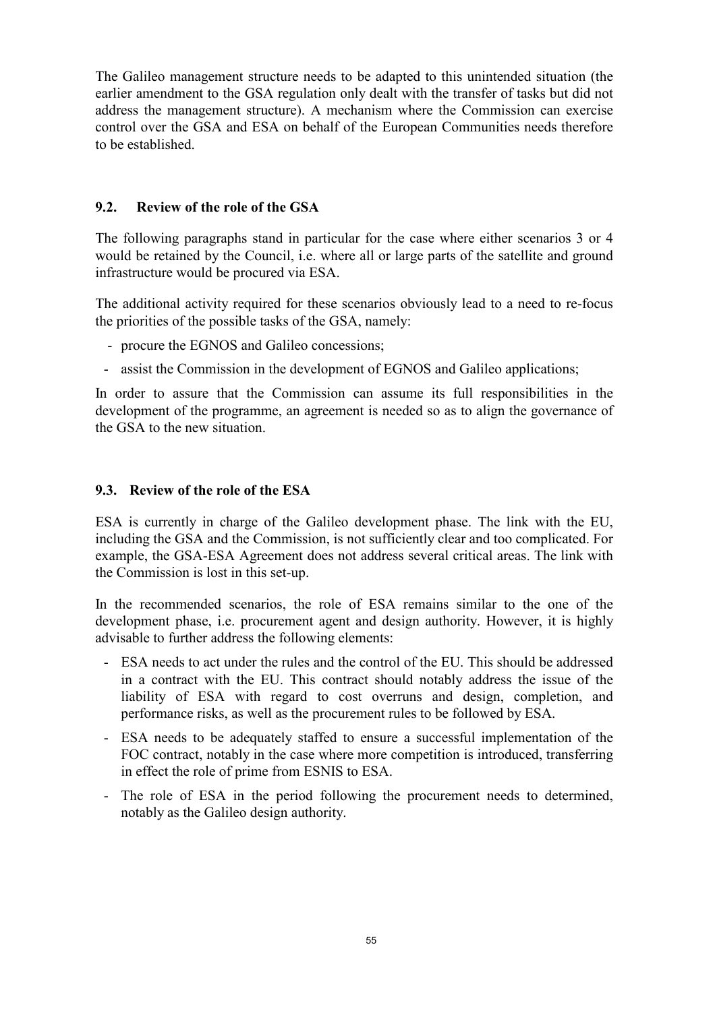The Galileo management structure needs to be adapted to this unintended situation (the earlier amendment to the GSA regulation only dealt with the transfer of tasks but did not address the management structure). A mechanism where the Commission can exercise control over the GSA and ESA on behalf of the European Communities needs therefore to be established.

## 9.2. Review of the role of the GSA

The following paragraphs stand in particular for the case where either scenarios 3 or 4 would be retained by the Council, i.e. where all or large parts of the satellite and ground infrastructure would be procured via ESA.

The additional activity required for these scenarios obviously lead to a need to re-focus the priorities of the possible tasks of the GSA, namely:

- procure the EGNOS and Galileo concessions;
- assist the Commission in the development of EGNOS and Galileo applications;

In order to assure that the Commission can assume its full responsibilities in the development of the programme, an agreement is needed so as to align the governance of the GSA to the new situation.

## 9.3. Review of the role of the ESA

ESA is currently in charge of the Galileo development phase. The link with the EU, including the GSA and the Commission, is not sufficiently clear and too complicated. For example, the GSA-ESA Agreement does not address several critical areas. The link with the Commission is lost in this set-up.

In the recommended scenarios, the role of ESA remains similar to the one of the development phase, i.e. procurement agent and design authority. However, it is highly advisable to further address the following elements:

- ESA needs to act under the rules and the control of the EU. This should be addressed in a contract with the EU. This contract should notably address the issue of the liability of ESA with regard to cost overruns and design, completion, and performance risks, as well as the procurement rules to be followed by ESA.
- ESA needs to be adequately staffed to ensure a successful implementation of the FOC contract, notably in the case where more competition is introduced, transferring in effect the role of prime from ESNIS to ESA.
- The role of ESA in the period following the procurement needs to determined, notably as the Galileo design authority.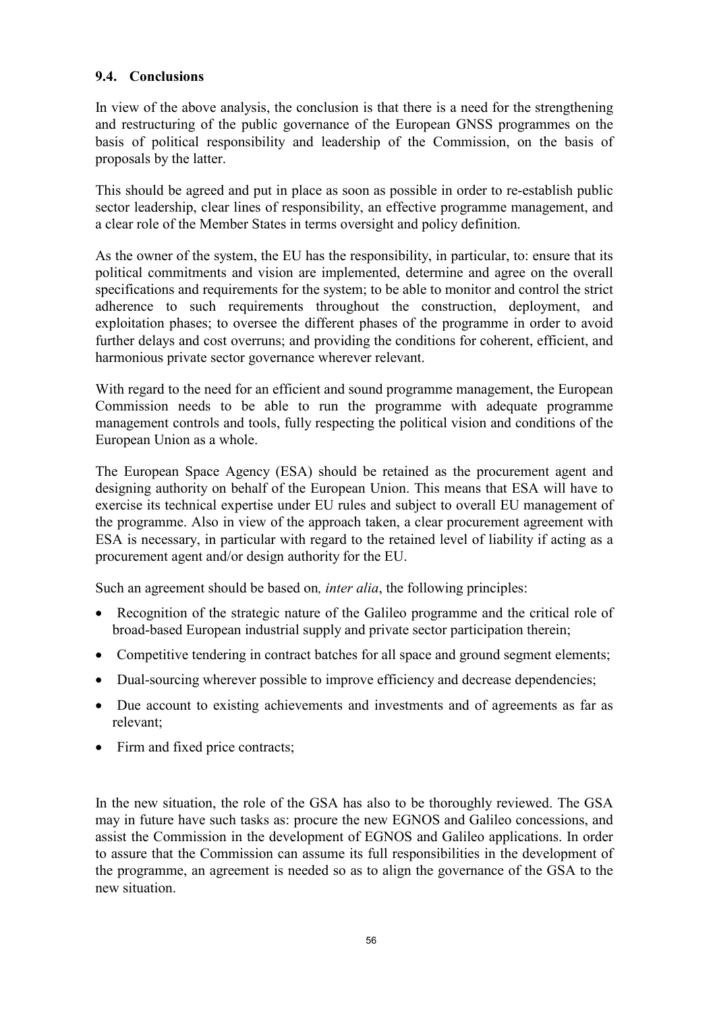# 9.4. Conclusions

In view of the above analysis, the conclusion is that there is a need for the strengthening and restructuring of the public governance of the European GNSS programmes on the basis of political responsibility and leadership of the Commission, on the basis of proposals by the latter.

This should be agreed and put in place as soon as possible in order to re-establish public sector leadership, clear lines of responsibility, an effective programme management, and a clear role of the Member States in terms oversight and policy definition.

As the owner of the system, the EU has the responsibility, in particular, to: ensure that its political commitments and vision are implemented, determine and agree on the overall specifications and requirements for the system; to be able to monitor and control the strict adherence to such requirements throughout the construction, deployment, and exploitation phases; to oversee the different phases of the programme in order to avoid further delays and cost overruns; and providing the conditions for coherent, efficient, and harmonious private sector governance wherever relevant.

With regard to the need for an efficient and sound programme management, the European Commission needs to be able to run the programme with adequate programme management controls and tools, fully respecting the political vision and conditions of the European Union as a whole.

The European Space Agency (ESA) should be retained as the procurement agent and designing authority on behalf of the European Union. This means that ESA will have to exercise its technical expertise under EU rules and subject to overall EU management of the programme. Also in view of the approach taken, a clear procurement agreement with ESA is necessary, in particular with regard to the retained level of liability if acting as a procurement agent and/or design authority for the EU.

Such an agreement should be based on, *inter alia*, the following principles:

- Recognition of the strategic nature of the Galileo programme and the critical role of broad-based European industrial supply and private sector participation therein;
- Competitive tendering in contract batches for all space and ground segment elements;
- Dual-sourcing wherever possible to improve efficiency and decrease dependencies;
- Due account to existing achievements and investments and of agreements as far as relevant;
- Firm and fixed price contracts;

In the new situation, the role of the GSA has also to be thoroughly reviewed. The GSA may in future have such tasks as: procure the new EGNOS and Galileo concessions, and assist the Commission in the development of EGNOS and Galileo applications. In order to assure that the Commission can assume its full responsibilities in the development of the programme, an agreement is needed so as to align the governance of the GSA to the new situation.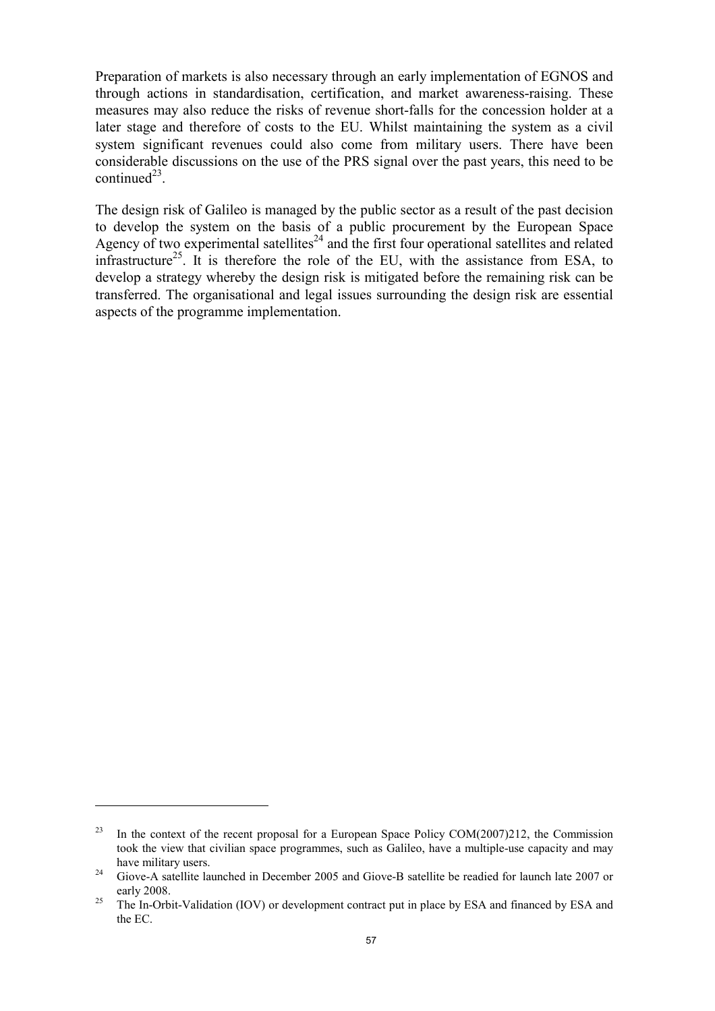Preparation of markets is also necessary through an early implementation of EGNOS and through actions in standardisation, certification, and market awareness-raising. These measures may also reduce the risks of revenue short-falls for the concession holder at a later stage and therefore of costs to the EU. Whilst maintaining the system as a civil system significant revenues could also come from military users. There have been considerable discussions on the use of the PRS signal over the past years, this need to be continued $^{23}$ .

The design risk of Galileo is managed by the public sector as a result of the past decision to develop the system on the basis of a public procurement by the European Space Agency of two experimental satellites<sup>24</sup> and the first four operational satellites and related infrastructure<sup>25</sup>. It is therefore the role of the EU, with the assistance from ESA, to develop a strategy whereby the design risk is mitigated before the remaining risk can be transferred. The organisational and legal issues surrounding the design risk are essential aspects of the programme implementation.

<sup>&</sup>lt;sup>23</sup> In the context of the recent proposal for a European Space Policy COM(2007)212, the Commission took the view that civilian space programmes, such as Galileo, have a multiple-use capacity and may have military users.

<sup>&</sup>lt;sup>24</sup> Giove-A satellite launched in December 2005 and Giove-B satellite be readied for launch late 2007 or early 2008.

<sup>&</sup>lt;sup>25</sup>The In-Orbit-Validation (IOV) or development contract put in place by ESA and financed by ESA and the EC.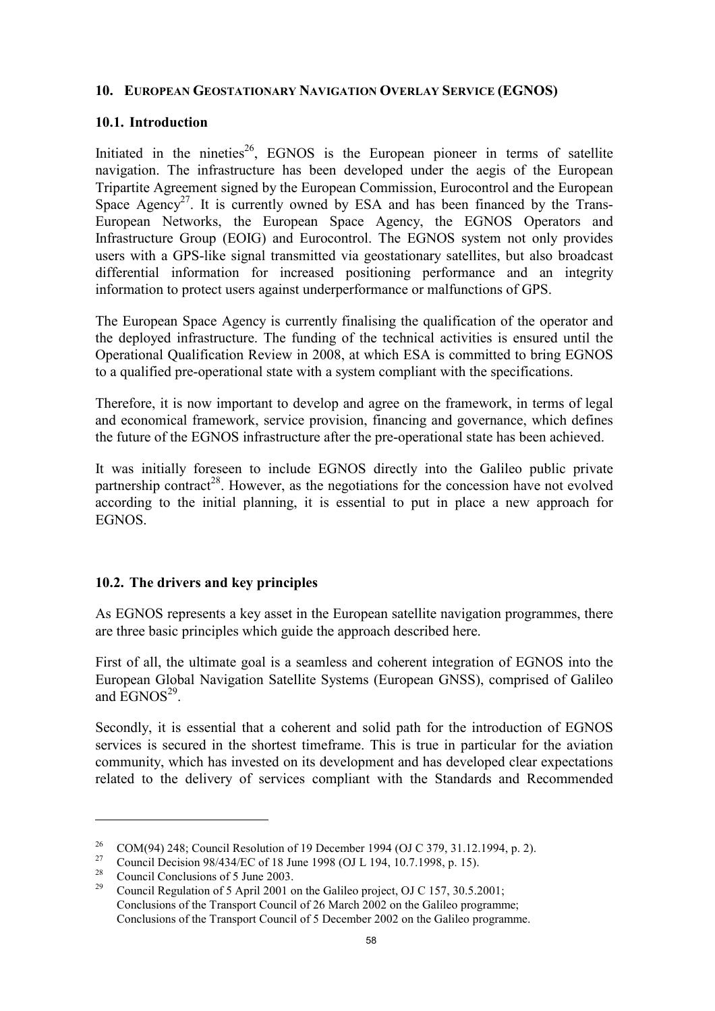## 10. EUROPEAN GEOSTATIONARY NAVIGATION OVERLAY SERVICE (EGNOS)

## 10.1. Introduction

Initiated in the nineties<sup>26</sup>, EGNOS is the European pioneer in terms of satellite navigation. The infrastructure has been developed under the aegis of the European Tripartite Agreement signed by the European Commission, Eurocontrol and the European Space Agency<sup>27</sup>. It is currently owned by ESA and has been financed by the Trans-European Networks, the European Space Agency, the EGNOS Operators and Infrastructure Group (EOIG) and Eurocontrol. The EGNOS system not only provides users with a GPS-like signal transmitted via geostationary satellites, but also broadcast differential information for increased positioning performance and an integrity information to protect users against underperformance or malfunctions of GPS.

The European Space Agency is currently finalising the qualification of the operator and the deployed infrastructure. The funding of the technical activities is ensured until the Operational Qualification Review in 2008, at which ESA is committed to bring EGNOS to a qualified pre-operational state with a system compliant with the specifications.

Therefore, it is now important to develop and agree on the framework, in terms of legal and economical framework, service provision, financing and governance, which defines the future of the EGNOS infrastructure after the pre-operational state has been achieved.

It was initially foreseen to include EGNOS directly into the Galileo public private partnership contract<sup>28</sup>. However, as the negotiations for the concession have not evolved according to the initial planning, it is essential to put in place a new approach for EGNOS.

# 10.2. The drivers and key principles

As EGNOS represents a key asset in the European satellite navigation programmes, there are three basic principles which guide the approach described here.

First of all, the ultimate goal is a seamless and coherent integration of EGNOS into the European Global Navigation Satellite Systems (European GNSS), comprised of Galileo and  $EGNOS<sup>29</sup>$ .

Secondly, it is essential that a coherent and solid path for the introduction of EGNOS services is secured in the shortest timeframe. This is true in particular for the aviation community, which has invested on its development and has developed clear expectations related to the delivery of services compliant with the Standards and Recommended

<sup>&</sup>lt;sup>26</sup> COM(94) 248; Council Resolution of 19 December 1994 (OJ C 379, 31.12.1994, p. 2).

<sup>&</sup>lt;sup>27</sup> Council Decision 98/434/EC of 18 June 1998 (OJ L 194, 10.7.1998, p. 15).

<sup>&</sup>lt;sup>28</sup> Council Conclusions of 5 June 2003.<br><sup>29</sup> Council Regulation of 5 April 2001 o

<sup>29</sup> Council Regulation of 5 April 2001 on the Galileo project, OJ C 157, 30.5.2001; Conclusions of the Transport Council of 26 March 2002 on the Galileo programme; Conclusions of the Transport Council of 5 December 2002 on the Galileo programme.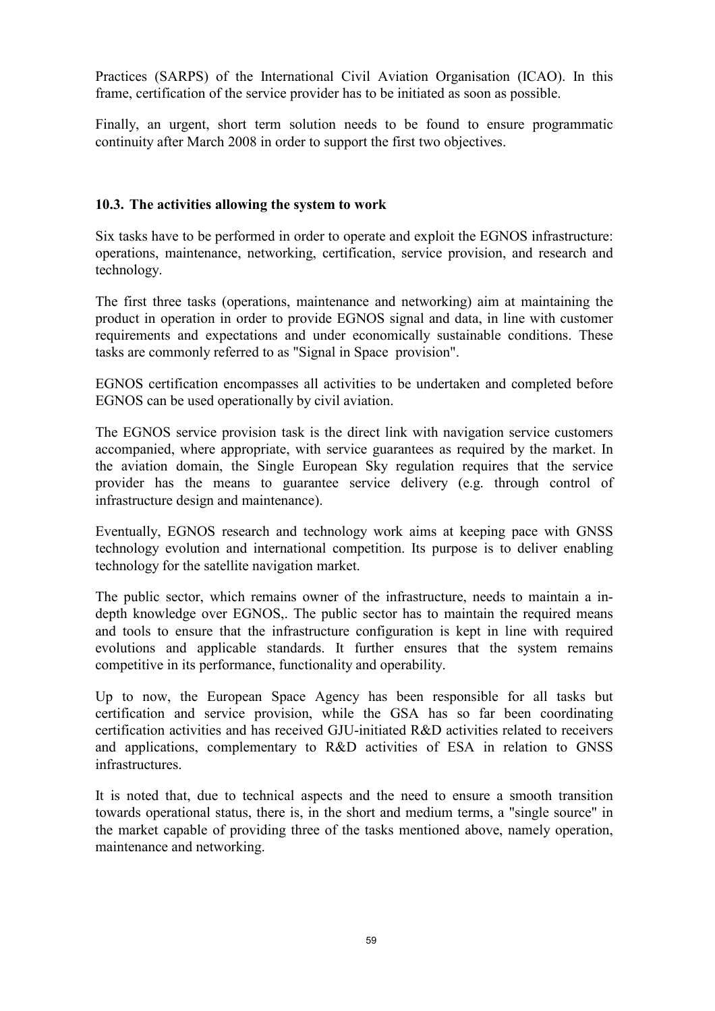Practices (SARPS) of the International Civil Aviation Organisation (ICAO). In this frame, certification of the service provider has to be initiated as soon as possible.

Finally, an urgent, short term solution needs to be found to ensure programmatic continuity after March 2008 in order to support the first two objectives.

## 10.3. The activities allowing the system to work

Six tasks have to be performed in order to operate and exploit the EGNOS infrastructure: operations, maintenance, networking, certification, service provision, and research and technology.

The first three tasks (operations, maintenance and networking) aim at maintaining the product in operation in order to provide EGNOS signal and data, in line with customer requirements and expectations and under economically sustainable conditions. These tasks are commonly referred to as "Signal in Space provision".

EGNOS certification encompasses all activities to be undertaken and completed before EGNOS can be used operationally by civil aviation.

The EGNOS service provision task is the direct link with navigation service customers accompanied, where appropriate, with service guarantees as required by the market. In the aviation domain, the Single European Sky regulation requires that the service provider has the means to guarantee service delivery (e.g. through control of infrastructure design and maintenance).

Eventually, EGNOS research and technology work aims at keeping pace with GNSS technology evolution and international competition. Its purpose is to deliver enabling technology for the satellite navigation market.

The public sector, which remains owner of the infrastructure, needs to maintain a indepth knowledge over EGNOS,. The public sector has to maintain the required means and tools to ensure that the infrastructure configuration is kept in line with required evolutions and applicable standards. It further ensures that the system remains competitive in its performance, functionality and operability.

Up to now, the European Space Agency has been responsible for all tasks but certification and service provision, while the GSA has so far been coordinating certification activities and has received GJU-initiated R&D activities related to receivers and applications, complementary to R&D activities of ESA in relation to GNSS infrastructures.

It is noted that, due to technical aspects and the need to ensure a smooth transition towards operational status, there is, in the short and medium terms, a "single source" in the market capable of providing three of the tasks mentioned above, namely operation, maintenance and networking.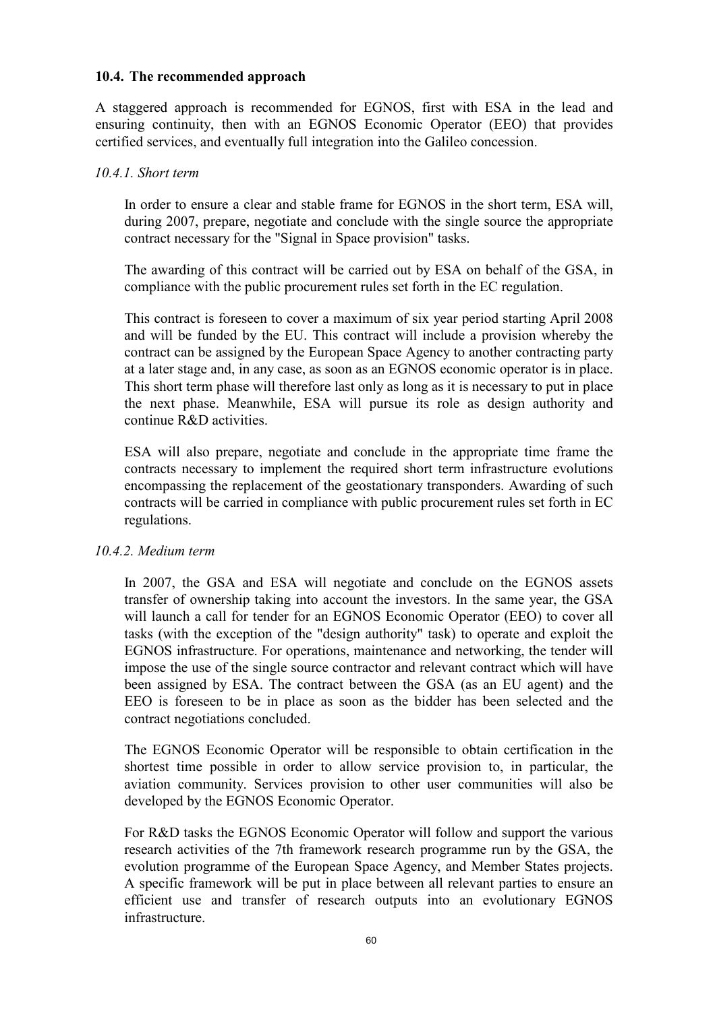## 10.4. The recommended approach

A staggered approach is recommended for EGNOS, first with ESA in the lead and ensuring continuity, then with an EGNOS Economic Operator (EEO) that provides certified services, and eventually full integration into the Galileo concession.

## 10.4.1. Short term

In order to ensure a clear and stable frame for EGNOS in the short term, ESA will, during 2007, prepare, negotiate and conclude with the single source the appropriate contract necessary for the "Signal in Space provision" tasks.

The awarding of this contract will be carried out by ESA on behalf of the GSA, in compliance with the public procurement rules set forth in the EC regulation.

This contract is foreseen to cover a maximum of six year period starting April 2008 and will be funded by the EU. This contract will include a provision whereby the contract can be assigned by the European Space Agency to another contracting party at a later stage and, in any case, as soon as an EGNOS economic operator is in place. This short term phase will therefore last only as long as it is necessary to put in place the next phase. Meanwhile, ESA will pursue its role as design authority and continue R&D activities.

ESA will also prepare, negotiate and conclude in the appropriate time frame the contracts necessary to implement the required short term infrastructure evolutions encompassing the replacement of the geostationary transponders. Awarding of such contracts will be carried in compliance with public procurement rules set forth in EC regulations.

# 10.4.2. Medium term

In 2007, the GSA and ESA will negotiate and conclude on the EGNOS assets transfer of ownership taking into account the investors. In the same year, the GSA will launch a call for tender for an EGNOS Economic Operator (EEO) to cover all tasks (with the exception of the "design authority" task) to operate and exploit the EGNOS infrastructure. For operations, maintenance and networking, the tender will impose the use of the single source contractor and relevant contract which will have been assigned by ESA. The contract between the GSA (as an EU agent) and the EEO is foreseen to be in place as soon as the bidder has been selected and the contract negotiations concluded.

The EGNOS Economic Operator will be responsible to obtain certification in the shortest time possible in order to allow service provision to, in particular, the aviation community. Services provision to other user communities will also be developed by the EGNOS Economic Operator.

For R&D tasks the EGNOS Economic Operator will follow and support the various research activities of the 7th framework research programme run by the GSA, the evolution programme of the European Space Agency, and Member States projects. A specific framework will be put in place between all relevant parties to ensure an efficient use and transfer of research outputs into an evolutionary EGNOS infrastructure.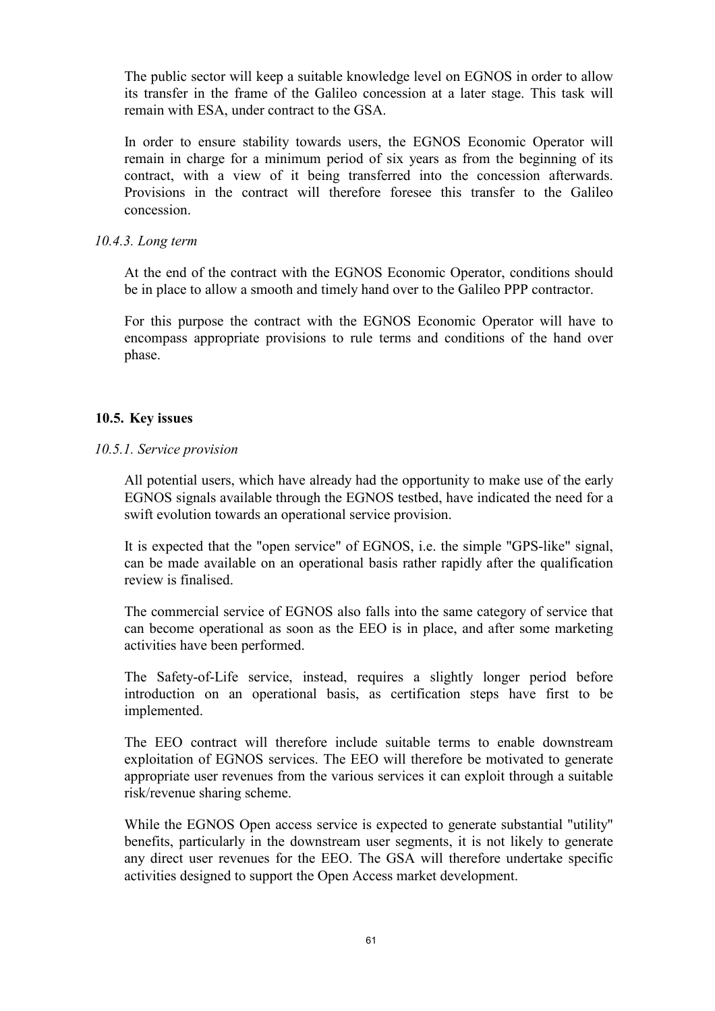The public sector will keep a suitable knowledge level on EGNOS in order to allow its transfer in the frame of the Galileo concession at a later stage. This task will remain with ESA, under contract to the GSA.

In order to ensure stability towards users, the EGNOS Economic Operator will remain in charge for a minimum period of six years as from the beginning of its contract, with a view of it being transferred into the concession afterwards. Provisions in the contract will therefore foresee this transfer to the Galileo concession.

### 10.4.3. Long term

At the end of the contract with the EGNOS Economic Operator, conditions should be in place to allow a smooth and timely hand over to the Galileo PPP contractor.

For this purpose the contract with the EGNOS Economic Operator will have to encompass appropriate provisions to rule terms and conditions of the hand over phase.

## 10.5. Key issues

## 10.5.1. Service provision

All potential users, which have already had the opportunity to make use of the early EGNOS signals available through the EGNOS testbed, have indicated the need for a swift evolution towards an operational service provision.

It is expected that the "open service" of EGNOS, i.e. the simple "GPS-like" signal, can be made available on an operational basis rather rapidly after the qualification review is finalised.

The commercial service of EGNOS also falls into the same category of service that can become operational as soon as the EEO is in place, and after some marketing activities have been performed.

The Safety-of-Life service, instead, requires a slightly longer period before introduction on an operational basis, as certification steps have first to be implemented.

The EEO contract will therefore include suitable terms to enable downstream exploitation of EGNOS services. The EEO will therefore be motivated to generate appropriate user revenues from the various services it can exploit through a suitable risk/revenue sharing scheme.

While the EGNOS Open access service is expected to generate substantial "utility" benefits, particularly in the downstream user segments, it is not likely to generate any direct user revenues for the EEO. The GSA will therefore undertake specific activities designed to support the Open Access market development.